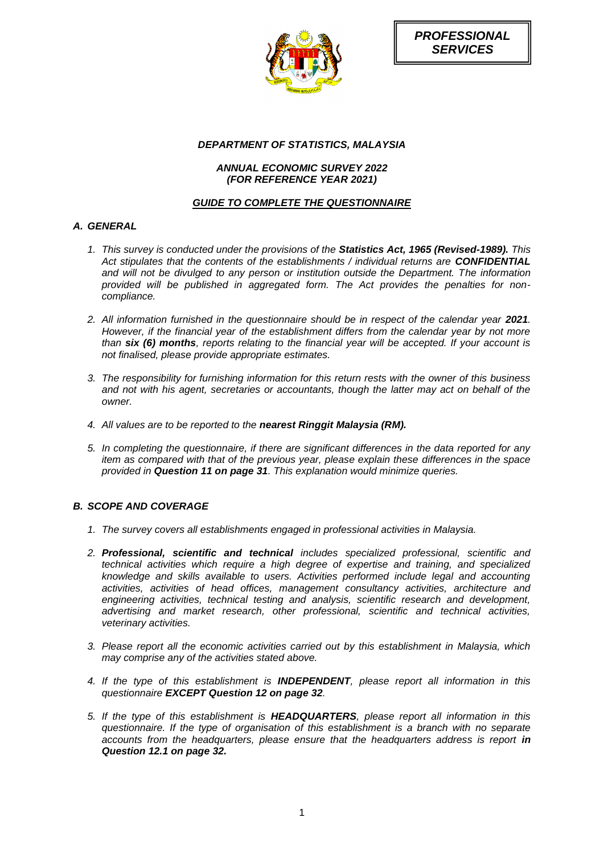

# *DEPARTMENT OF STATISTICS, MALAYSIA*

# *ANNUAL ECONOMIC SURVEY 2022 (FOR REFERENCE YEAR 2021)*

# *GUIDE TO COMPLETE THE QUESTIONNAIRE*

# *A. GENERAL*

- *1. This survey is conducted under the provisions of the Statistics Act, 1965 (Revised-1989). This Act stipulates that the contents of the establishments / individual returns are CONFIDENTIAL and will not be divulged to any person or institution outside the Department. The information provided will be published in aggregated form. The Act provides the penalties for noncompliance.*
- 2. All information furnished in the questionnaire should be in respect of the calendar year 2021. *However, if the financial year of the establishment differs from the calendar year by not more than six (6) months, reports relating to the financial year will be accepted. If your account is not finalised, please provide appropriate estimates.*
- *3. The responsibility for furnishing information for this return rests with the owner of this business and not with his agent, secretaries or accountants, though the latter may act on behalf of the owner.*
- *4. All values are to be reported to the nearest Ringgit Malaysia (RM).*
- *5. In completing the questionnaire, if there are significant differences in the data reported for any item as compared with that of the previous year, please explain these differences in the space provided in Question 11 on page 31. This explanation would minimize queries.*

# *B. SCOPE AND COVERAGE*

- *1. The survey covers all establishments engaged in professional activities in Malaysia.*
- *2. Professional, scientific and technical includes specialized professional, scientific and technical activities which require a high degree of expertise and training, and specialized knowledge and skills available to users. Activities performed include legal and accounting activities, activities of head offices, management consultancy activities, architecture and engineering activities, technical testing and analysis, scientific research and development, advertising and market research, other professional, scientific and technical activities, veterinary activities.*
- *3. Please report all the economic activities carried out by this establishment in Malaysia, which may comprise any of the activities stated above.*
- *4. If the type of this establishment is INDEPENDENT, please report all information in this questionnaire EXCEPT Question 12 on page 32.*
- *5. If the type of this establishment is HEADQUARTERS, please report all information in this questionnaire. If the type of organisation of this establishment is a branch with no separate accounts from the headquarters, please ensure that the headquarters address is report in Question 12.1 on page 32.*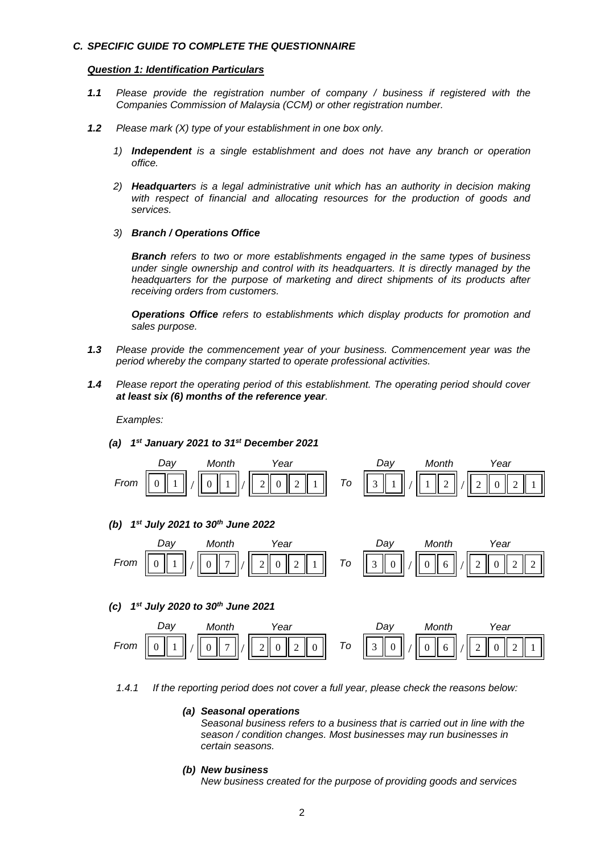#### *C. SPECIFIC GUIDE TO COMPLETE THE QUESTIONNAIRE*

#### *Question 1: Identification Particulars*

- *1.1 Please provide the registration number of company / business if registered with the Companies Commission of Malaysia (CCM) or other registration number.*
- *1.2 Please mark (X) type of your establishment in one box only.*
	- *1) Independent is a single establishment and does not have any branch or operation office.*
	- *2) Headquarters is a legal administrative unit which has an authority in decision making with respect of financial and allocating resources for the production of goods and services.*
	- *3) Branch / Operations Office*

*Branch refers to two or more establishments engaged in the same types of business under single ownership and control with its headquarters. It is directly managed by the headquarters for the purpose of marketing and direct shipments of its products after receiving orders from customers.*

*Operations Office refers to establishments which display products for promotion and sales purpose.*

- *1.3 Please provide the commencement year of your business. Commencement year was the period whereby the company started to operate professional activities.*
- *1.4 Please report the operating period of this establishment. The operating period should cover at least six (6) months of the reference year.*

*Examples:*

*(a) 1 st January 2021 to 31st December 2021*



*1.4.1 If the reporting period does not cover a full year, please check the reasons below:* 

# *(a) Seasonal operations*

*Seasonal business refers to a business that is carried out in line with the season / condition changes. Most businesses may run businesses in certain seasons.*

#### *(b) New business*

*New business created for the purpose of providing goods and services*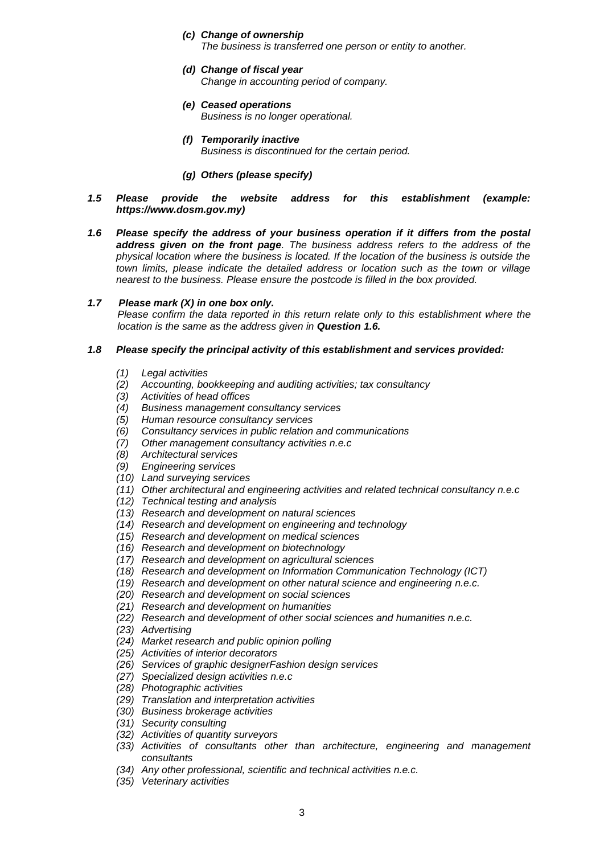- *(c) Change of ownership The business is transferred one person or entity to another.*
- *(d) Change of fiscal year Change in accounting period of company.*
- *(e) Ceased operations Business is no longer operational.*
- *(f) Temporarily inactive Business is discontinued for the certain period.*
- *(g) Others (please specify)*
- *1.5 Please provide the website address for this establishment (example: https://www.dosm.gov.my)*
- *1.6 Please specify the address of your business operation if it differs from the postal address given on the front page. The business address refers to the address of the physical location where the business is located. If the location of the business is outside the town limits, please indicate the detailed address or location such as the town or village nearest to the business. Please ensure the postcode is filled in the box provided.*

### *1.7 Please mark (X) in one box only.*

*Please confirm the data reported in this return relate only to this establishment where the location is the same as the address given in Question 1.6.*

### *1.8 Please specify the principal activity of this establishment and services provided:*

- *(1) Legal activities*
- *(2) Accounting, bookkeeping and auditing activities; tax consultancy*
- *(3) Activities of head offices*
- *(4) Business management consultancy services*
- *(5) Human resource consultancy services*
- *(6) Consultancy services in public relation and communications*
- *(7) Other management consultancy activities n.e.c*
- *(8) Architectural services*
- *(9) Engineering services*
- *(10) Land surveying services*
- *(11) Other architectural and engineering activities and related technical consultancy n.e.c*
- *(12) Technical testing and analysis*
- *(13) Research and development on natural sciences*
- *(14) Research and development on engineering and technology*
- *(15) Research and development on medical sciences*
- *(16) Research and development on biotechnology*
- *(17) Research and development on agricultural sciences*
- *(18) Research and development on Information Communication Technology (ICT)*
- *(19) Research and development on other natural science and engineering n.e.c.*
- *(20) Research and development on social sciences*
- *(21) Research and development on humanities*
- *(22) Research and development of other social sciences and humanities n.e.c.*
- *(23) Advertising*
- *(24) Market research and public opinion polling*
- *(25) Activities of interior decorators*
- *(26) Services of graphic designerFashion design services*
- *(27) Specialized design activities n.e.c*
- *(28) Photographic activities*
- *(29) Translation and interpretation activities*
- *(30) Business brokerage activities*
- *(31) Security consulting*
- *(32) Activities of quantity surveyors*
- *(33) Activities of consultants other than architecture, engineering and management consultants*
- *(34) Any other professional, scientific and technical activities n.e.c.*
- *(35) Veterinary activities*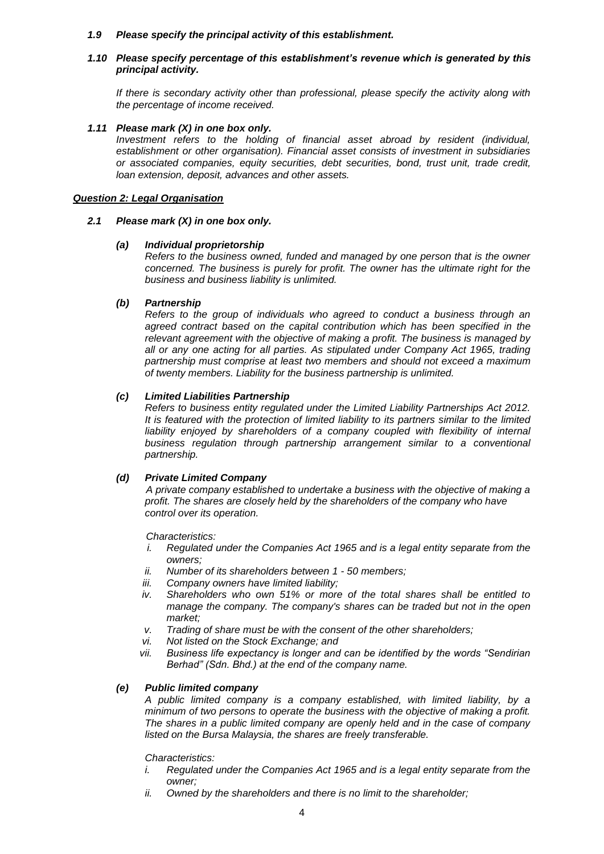#### *1.9 Please specify the principal activity of this establishment.*

### *1.10 Please specify percentage of this establishment's revenue which is generated by this principal activity.*

*If there is secondary activity other than professional, please specify the activity along with the percentage of income received.*

#### *1.11 Please mark (X) in one box only.*

*Investment refers to the holding of financial asset abroad by resident (individual, establishment or other organisation). Financial asset consists of investment in subsidiaries or associated companies, equity securities, debt securities, bond, trust unit, trade credit, loan extension, deposit, advances and other assets.*

### *Question 2: Legal Organisation*

### *2.1 Please mark (X) in one box only.*

### *(a) Individual proprietorship*

*Refers to the business owned, funded and managed by one person that is the owner concerned. The business is purely for profit. The owner has the ultimate right for the business and business liability is unlimited.*

# *(b) Partnership*

*Refers to the group of individuals who agreed to conduct a business through an agreed contract based on the capital contribution which has been specified in the relevant agreement with the objective of making a profit. The business is managed by all or any one acting for all parties. As stipulated under Company Act 1965, trading partnership must comprise at least two members and should not exceed a maximum of twenty members. Liability for the business partnership is unlimited.*

# *(c) Limited Liabilities Partnership*

*Refers to business entity regulated under the Limited Liability Partnerships Act 2012. It is featured with the protection of limited liability to its partners similar to the limited*  liability enjoyed by shareholders of a company coupled with flexibility of internal *business regulation through partnership arrangement similar to a conventional partnership.*

# *(d) Private Limited Company*

*A private company established to undertake a business with the objective of making a profit. The shares are closely held by the shareholders of the company who have control over its operation.*

*Characteristics:*

- *i. Regulated under the Companies Act 1965 and is a legal entity separate from the owners;*
- *ii. Number of its shareholders between 1 - 50 members;*
- *iii. Company owners have limited liability;*
- *iv. Shareholders who own 51% or more of the total shares shall be entitled to manage the company. The company's shares can be traded but not in the open market;*
- *v. Trading of share must be with the consent of the other shareholders;*
- *vi. Not listed on the Stock Exchange; and*
- *vii. Business life expectancy is longer and can be identified by the words "Sendirian Berhad" (Sdn. Bhd.) at the end of the company name.*

#### *(e) Public limited company*

*A public limited company is a company established, with limited liability, by a minimum of two persons to operate the business with the objective of making a profit. The shares in a public limited company are openly held and in the case of company listed on the Bursa Malaysia, the shares are freely transferable.* 

*Characteristics:*

- *i. Regulated under the Companies Act 1965 and is a legal entity separate from the owner;*
- *ii. Owned by the shareholders and there is no limit to the shareholder;*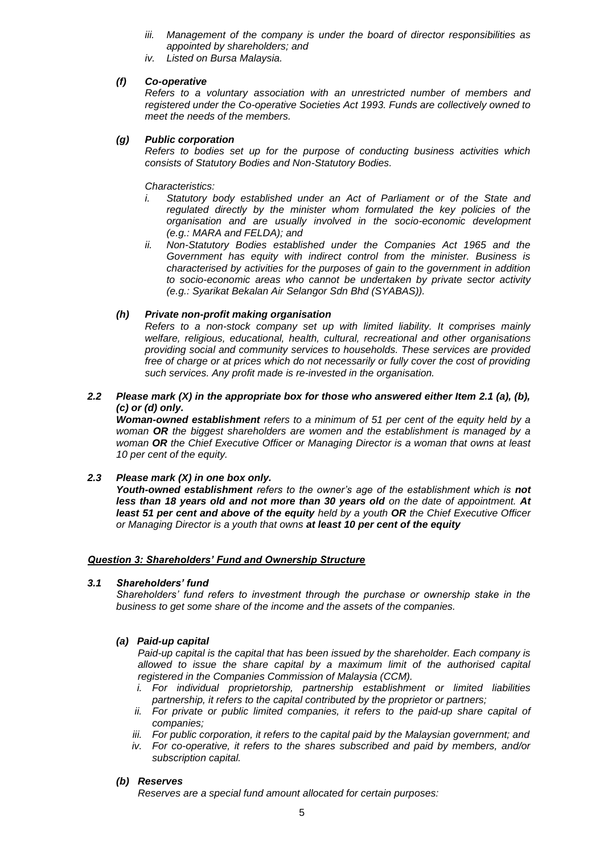- *iii. Management of the company is under the board of director responsibilities as appointed by shareholders; and*
- *iv. Listed on Bursa Malaysia.*

# *(f) Co-operative*

*Refers to a voluntary association with an unrestricted number of members and registered under the Co-operative Societies Act 1993. Funds are collectively owned to meet the needs of the members.*

# *(g) Public corporation*

*Refers to bodies set up for the purpose of conducting business activities which consists of Statutory Bodies and Non-Statutory Bodies.*

*Characteristics:*

- *i. Statutory body established under an Act of Parliament or of the State and regulated directly by the minister whom formulated the key policies of the organisation and are usually involved in the socio-economic development (e.g.: MARA and FELDA); and*
- *ii. Non-Statutory Bodies established under the Companies Act 1965 and the Government has equity with indirect control from the minister. Business is characterised by activities for the purposes of gain to the government in addition to socio-economic areas who cannot be undertaken by private sector activity (e.g.: Syarikat Bekalan Air Selangor Sdn Bhd (SYABAS)).*

# *(h) Private non-profit making organisation*

*Refers to a non-stock company set up with limited liability. It comprises mainly welfare, religious, educational, health, cultural, recreational and other organisations providing social and community services to households. These services are provided free of charge or at prices which do not necessarily or fully cover the cost of providing such services. Any profit made is re-invested in the organisation.*

*2.2 Please mark (X) in the appropriate box for those who answered either Item 2.1 (a), (b), (c) or (d) only.*

*Woman-owned establishment refers to a minimum of 51 per cent of the equity held by a woman OR the biggest shareholders are women and the establishment is managed by a woman OR the Chief Executive Officer or Managing Director is a woman that owns at least 10 per cent of the equity.*

# *2.3 Please mark (X) in one box only.*

*Youth-owned establishment refers to the owner's age of the establishment which is not less than 18 years old and not more than 30 years old on the date of appointment. At least 51 per cent and above of the equity held by a youth OR the Chief Executive Officer or Managing Director is a youth that owns at least 10 per cent of the equity*

# *Question 3: Shareholders' Fund and Ownership Structure*

# *3.1 Shareholders' fund*

*Shareholders' fund refers to investment through the purchase or ownership stake in the business to get some share of the income and the assets of the companies.*

# *(a) Paid-up capital*

*Paid-up capital is the capital that has been issued by the shareholder. Each company is allowed to issue the share capital by a maximum limit of the authorised capital registered in the Companies Commission of Malaysia (CCM).*

- *i. For individual proprietorship, partnership establishment or limited liabilities partnership, it refers to the capital contributed by the proprietor or partners;*
- *ii. For private or public limited companies, it refers to the paid-up share capital of companies;*
- *iii. For public corporation, it refers to the capital paid by the Malaysian government; and*
- *iv. For co-operative, it refers to the shares subscribed and paid by members, and/or subscription capital.*

#### *(b) Reserves*

*Reserves are a special fund amount allocated for certain purposes:*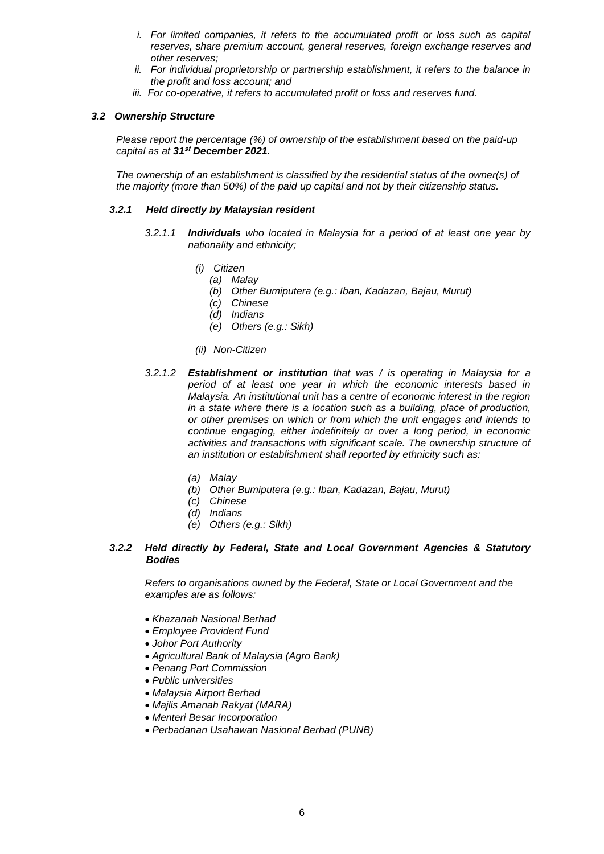- *i.* For limited companies, it refers to the accumulated profit or loss such as capital *reserves, share premium account, general reserves, foreign exchange reserves and other reserves;*
- *ii. For individual proprietorship or partnership establishment, it refers to the balance in the profit and loss account; and*
- *iii. For co-operative, it refers to accumulated profit or loss and reserves fund.*

### *3.2 Ownership Structure*

*Please report the percentage (%) of ownership of the establishment based on the paid-up capital as at 31***st** *December 2021.*

*The ownership of an establishment is classified by the residential status of the owner(s) of the majority (more than 50%) of the paid up capital and not by their citizenship status.*

#### *3.2.1 Held directly by Malaysian resident*

- *3.2.1.1 Individuals who located in Malaysia for a period of at least one year by nationality and ethnicity;*
	- *(i) Citizen*
		- *(a) Malay*
			- *(b) Other Bumiputera (e.g.: Iban, Kadazan, Bajau, Murut)*
			- *(c) Chinese*
			- *(d) Indians*
		- *(e) Others (e.g.: Sikh)*
	- *(ii) Non-Citizen*
- *3.2.1.2 Establishment or institution that was / is operating in Malaysia for a period of at least one year in which the economic interests based in Malaysia. An institutional unit has a centre of economic interest in the region in a state where there is a location such as a building, place of production, or other premises on which or from which the unit engages and intends to continue engaging, either indefinitely or over a long period, in economic activities and transactions with significant scale. The ownership structure of an institution or establishment shall reported by ethnicity such as:*
	- *(a) Malay*
	- *(b) Other Bumiputera (e.g.: Iban, Kadazan, Bajau, Murut)*
	- *(c) Chinese*
	- *(d) Indians*
	- *(e) Others (e.g.: Sikh)*

### *3.2.2 Held directly by Federal, State and Local Government Agencies & Statutory Bodies*

 *Refers to organisations owned by the Federal, State or Local Government and the examples are as follows:*

- *Khazanah Nasional Berhad*
- *Employee Provident Fund*
- *Johor Port Authority*
- *Agricultural Bank of Malaysia (Agro Bank)*
- *Penang Port Commission*
- *Public universities*
- *Malaysia Airport Berhad*
- *Majlis Amanah Rakyat (MARA)*
- *Menteri Besar Incorporation*
- *Perbadanan Usahawan Nasional Berhad (PUNB)*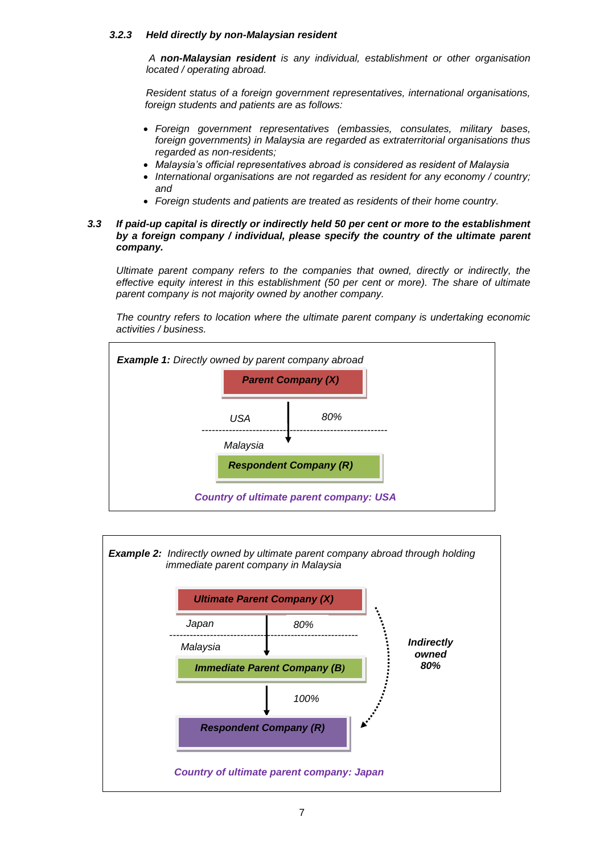### *3.2.3 Held directly by non-Malaysian resident*

*A non-Malaysian resident is any individual, establishment or other organisation located / operating abroad.* 

*Resident status of a foreign government representatives, international organisations, foreign students and patients are as follows:*

- *Foreign government representatives (embassies, consulates, military bases, foreign governments) in Malaysia are regarded as extraterritorial organisations thus regarded as non-residents;*
- *Malaysia's official representatives abroad is considered as resident of Malaysia*
- *International organisations are not regarded as resident for any economy / country; and*
- *Foreign students and patients are treated as residents of their home country.*

### *3.3 If paid-up capital is directly or indirectly held 50 per cent or more to the establishment by a foreign company / individual, please specify the country of the ultimate parent company.*

*Ultimate parent company refers to the companies that owned, directly or indirectly, the effective equity interest in this establishment (50 per cent or more). The share of ultimate parent company is not majority owned by another company.*

*The country refers to location where the ultimate parent company is undertaking economic activities / business.*



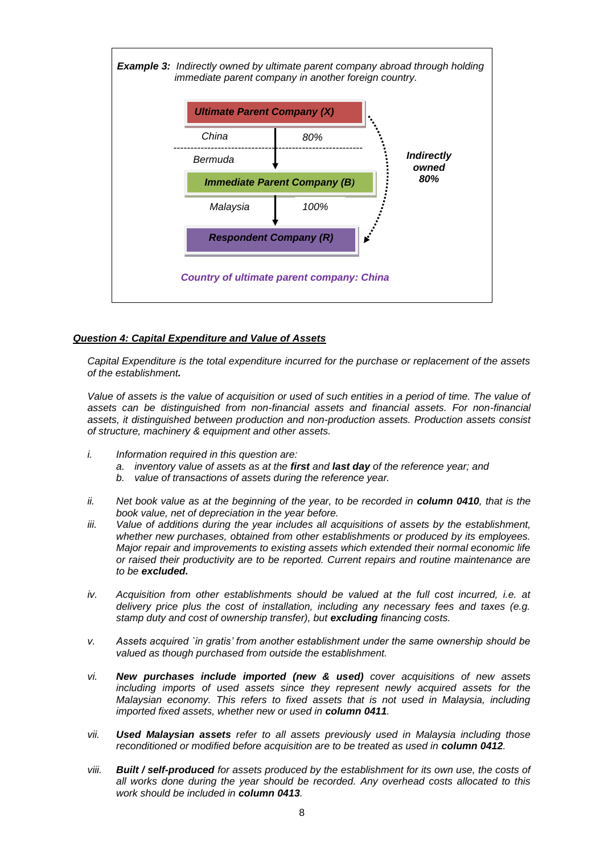

# *Question 4: Capital Expenditure and Value of Assets*

*Capital Expenditure is the total expenditure incurred for the purchase or replacement of the assets of the establishment.* 

Value of assets is the value of acquisition or used of such entities in a period of time. The value of *assets can be distinguished from non-financial assets and financial assets. For non-financial assets, it distinguished between production and non-production assets. Production assets consist of structure, machinery & equipment and other assets.*

- *i. Information required in this question are:*
	- *a. inventory value of assets as at the first and last day of the reference year; and*
	- *b. value of transactions of assets during the reference year.*
- *ii.* Net book value as at the beginning of the year, to be recorded in **column 0410**, that is the *book value, net of depreciation in the year before.*
- *iii. Value of additions during the year includes all acquisitions of assets by the establishment, whether new purchases, obtained from other establishments or produced by its employees. Major repair and improvements to existing assets which extended their normal economic life or raised their productivity are to be reported. Current repairs and routine maintenance are to be excluded.*
- *iv. Acquisition from other establishments should be valued at the full cost incurred, i.e. at delivery price plus the cost of installation, including any necessary fees and taxes (e.g. stamp duty and cost of ownership transfer), but excluding financing costs.*
- *v. Assets acquired `in gratis' from another establishment under the same ownership should be valued as though purchased from outside the establishment.*
- *vi. New purchases include imported (new & used) cover acquisitions of new assets including imports of used assets since they represent newly acquired assets for the Malaysian economy. This refers to fixed assets that is not used in Malaysia, including imported fixed assets, whether new or used in column 0411.*
- *vii. Used Malaysian assets refer to all assets previously used in Malaysia including those reconditioned or modified before acquisition are to be treated as used in column 0412.*
- *viii. Built / self-produced for assets produced by the establishment for its own use, the costs of all works done during the year should be recorded. Any overhead costs allocated to this work should be included in column 0413.*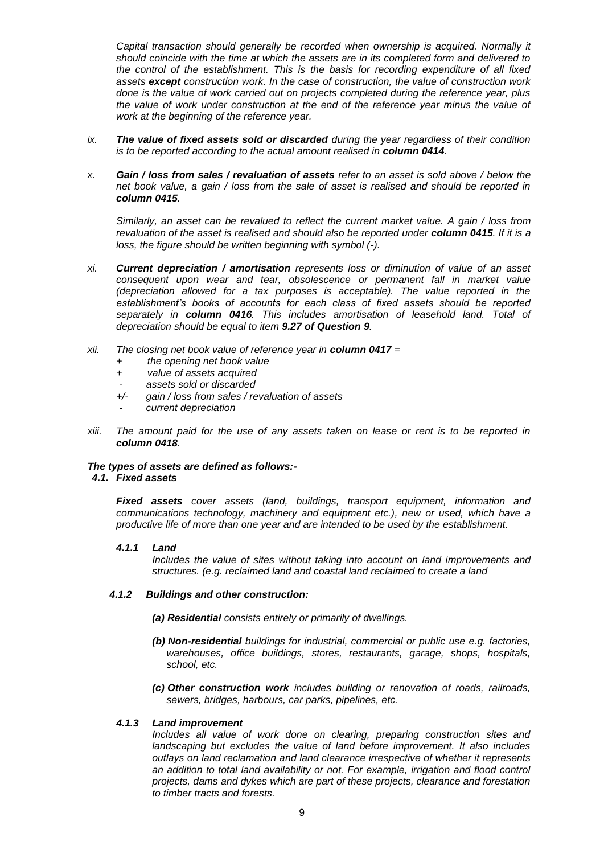*Capital transaction should generally be recorded when ownership is acquired. Normally it should coincide with the time at which the assets are in its completed form and delivered to the control of the establishment. This is the basis for recording expenditure of all fixed assets except construction work. In the case of construction, the value of construction work done is the value of work carried out on projects completed during the reference year, plus the value of work under construction at the end of the reference year minus the value of work at the beginning of the reference year.*

- *ix. The value of fixed assets sold or discarded during the year regardless of their condition is to be reported according to the actual amount realised in column 0414.*
- *x. Gain / loss from sales / revaluation of assets refer to an asset is sold above / below the net book value, a gain / loss from the sale of asset is realised and should be reported in column 0415.*

*Similarly, an asset can be revalued to reflect the current market value. A gain / loss from revaluation of the asset is realised and should also be reported under column 0415. If it is a loss, the figure should be written beginning with symbol (-).*

- *xi. Current depreciation / amortisation represents loss or diminution of value of an asset consequent upon wear and tear, obsolescence or permanent fall in market value (depreciation allowed for a tax purposes is acceptable). The value reported in the establishment's books of accounts for each class of fixed assets should be reported separately in column 0416. This includes amortisation of leasehold land. Total of depreciation should be equal to item 9.27 of Question 9.*
- *xii. The closing net book value of reference year in column 0417 =* 
	- *+ the opening net book value*
	- *+ value of assets acquired*
	- - *assets sold or discarded*
	- *+/- gain / loss from sales / revaluation of assets*
	- - *current depreciation*
- *xiii. The amount paid for the use of any assets taken on lease or rent is to be reported in column 0418.*

# *The types of assets are defined as follows:-*

*4.1. Fixed assets*

*Fixed assets cover assets (land, buildings, transport equipment, information and communications technology, machinery and equipment etc.), new or used, which have a productive life of more than one year and are intended to be used by the establishment.*

#### *4.1.1 Land*

*Includes the value of sites without taking into account on land improvements and structures. (e.g. reclaimed land and coastal land reclaimed to create a land*

# *4.1.2 Buildings and other construction:*

*(a) Residential consists entirely or primarily of dwellings.*

- *(b) Non-residential buildings for industrial, commercial or public use e.g. factories, warehouses, office buildings, stores, restaurants, garage, shops, hospitals, school, etc.*
- *(c) Other construction work includes building or renovation of roads, railroads, sewers, bridges, harbours, car parks, pipelines, etc.*

# *4.1.3 Land improvement*

*Includes all value of work done on clearing, preparing construction sites and landscaping but excludes the value of land before improvement. It also includes outlays on land reclamation and land clearance irrespective of whether it represents an addition to total land availability or not. For example, irrigation and flood control projects, dams and dykes which are part of these projects, clearance and forestation to timber tracts and forests.*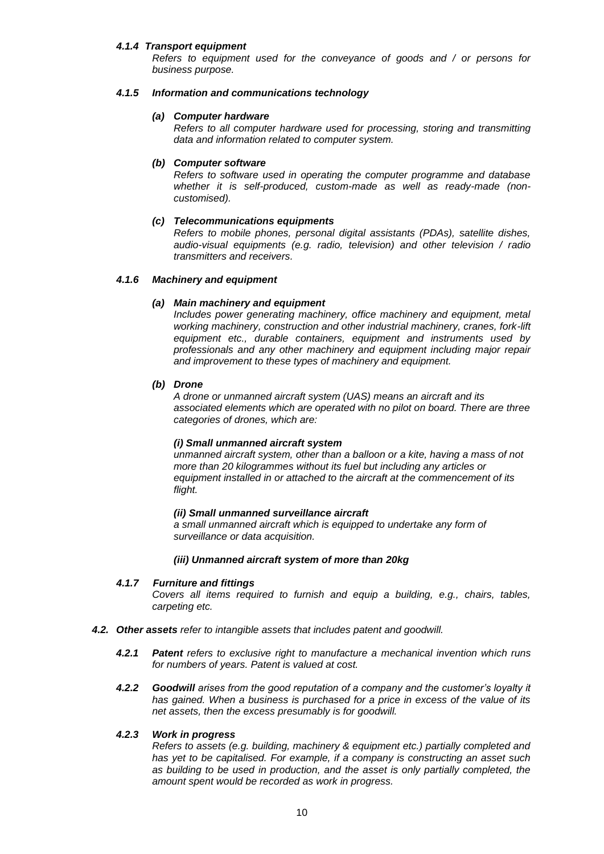#### *4.1.4 Transport equipment*

*Refers to equipment used for the conveyance of goods and / or persons for business purpose.*

#### *4.1.5 Information and communications technology*

#### *(a) Computer hardware*

*Refers to all computer hardware used for processing, storing and transmitting data and information related to computer system.*

#### *(b) Computer software*

*Refers to software used in operating the computer programme and database whether it is self-produced, custom-made as well as ready-made (noncustomised).*

#### *(c) Telecommunications equipments*

*Refers to mobile phones, personal digital assistants (PDAs), satellite dishes, audio-visual equipments (e.g. radio, television) and other television / radio transmitters and receivers.*

#### *4.1.6 Machinery and equipment*

#### *(a) Main machinery and equipment*

*Includes power generating machinery, office machinery and equipment, metal working machinery, construction and other industrial machinery, cranes, fork-lift equipment etc., durable containers, equipment and instruments used by professionals and any other machinery and equipment including major repair and improvement to these types of machinery and equipment.*

#### *(b) Drone*

*A drone or unmanned aircraft system (UAS) means an aircraft and its associated elements which are operated with no pilot on board. There are three categories of drones, which are:*

#### *(i) Small unmanned aircraft system*

*unmanned aircraft system, other than a balloon or a kite, having a mass of not more than 20 kilogrammes without its fuel but including any articles or equipment installed in or attached to the aircraft at the commencement of its flight.*

#### *(ii) Small unmanned surveillance aircraft*

*a small unmanned aircraft which is equipped to undertake any form of surveillance or data acquisition.*

#### *(iii) Unmanned aircraft system of more than 20kg*

#### *4.1.7 Furniture and fittings*

*Covers all items required to furnish and equip a building, e.g., chairs, tables, carpeting etc.*

#### *4.2. Other assets refer to intangible assets that includes patent and goodwill.*

- *4.2.1 Patent refers to exclusive right to manufacture a mechanical invention which runs for numbers of years. Patent is valued at cost.*
- *4.2.2 Goodwill arises from the good reputation of a company and the customer's loyalty it has gained. When a business is purchased for a price in excess of the value of its net assets, then the excess presumably is for goodwill.*

#### *4.2.3 Work in progress*

*Refers to assets (e.g. building, machinery & equipment etc.) partially completed and has yet to be capitalised. For example, if a company is constructing an asset such as building to be used in production, and the asset is only partially completed, the amount spent would be recorded as work in progress.*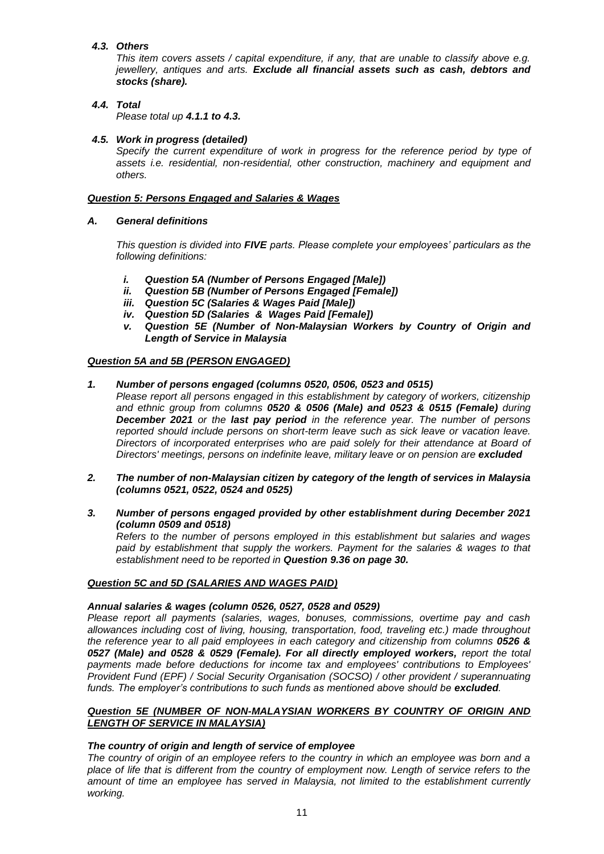# *4.3. Others*

*This item covers assets / capital expenditure, if any, that are unable to classify above e.g. jewellery, antiques and arts. Exclude all financial assets such as cash, debtors and stocks (share).*

# *4.4. Total*

*Please total up 4.1.1 to 4.3.*

# *4.5. Work in progress (detailed)*

*Specify the current expenditure of work in progress for the reference period by type of assets i.e. residential, non-residential, other construction, machinery and equipment and others.*

# *Question 5: Persons Engaged and Salaries & Wages*

# *A. General definitions*

*This question is divided into FIVE parts. Please complete your employees' particulars as the following definitions:*

- *i. Question 5A (Number of Persons Engaged [Male])*
- *ii. Question 5B (Number of Persons Engaged [Female])*
- *iii. Question 5C (Salaries & Wages Paid [Male])*
- *iv. Question 5D (Salaries & Wages Paid [Female])*
- *v. Question 5E (Number of Non-Malaysian Workers by Country of Origin and Length of Service in Malaysia*

# *Question 5A and 5B (PERSON ENGAGED)*

- *1. Number of persons engaged (columns 0520, 0506, 0523 and 0515) Please report all persons engaged in this establishment by category of workers, citizenship and ethnic group from columns 0520 & 0506 (Male) and 0523 & 0515 (Female) during December 2021 or the last pay period in the reference year. The number of persons reported should include persons on short-term leave such as sick leave or vacation leave. Directors of incorporated enterprises who are paid solely for their attendance at Board of Directors' meetings, persons on indefinite leave, military leave or on pension are excluded*
- *2. The number of non-Malaysian citizen by category of the length of services in Malaysia (columns 0521, 0522, 0524 and 0525)*
- *3. Number of persons engaged provided by other establishment during December 2021 (column 0509 and 0518) Refers to the number of persons employed in this establishment but salaries and wages paid by establishment that supply the workers. Payment for the salaries & wages to that*

# *Question 5C and 5D (SALARIES AND WAGES PAID)*

# *Annual salaries & wages (column 0526, 0527, 0528 and 0529)*

*establishment need to be reported in Question 9.36 on page 30.*

*Please report all payments (salaries, wages, bonuses, commissions, overtime pay and cash allowances including cost of living, housing, transportation, food, traveling etc.) made throughout the reference year to all paid employees in each category and citizenship from columns 0526 & 0527 (Male) and 0528 & 0529 (Female). For all directly employed workers, report the total payments made before deductions for income tax and employees' contributions to Employees' Provident Fund (EPF) / Social Security Organisation (SOCSO) / other provident / superannuating funds. The employer's contributions to such funds as mentioned above should be excluded.*

# *Question 5E (NUMBER OF NON-MALAYSIAN WORKERS BY COUNTRY OF ORIGIN AND LENGTH OF SERVICE IN MALAYSIA)*

# *The country of origin and length of service of employee*

*The country of origin of an employee refers to the country in which an employee was born and a place of life that is different from the country of employment now. Length of service refers to the amount of time an employee has served in Malaysia, not limited to the establishment currently working.*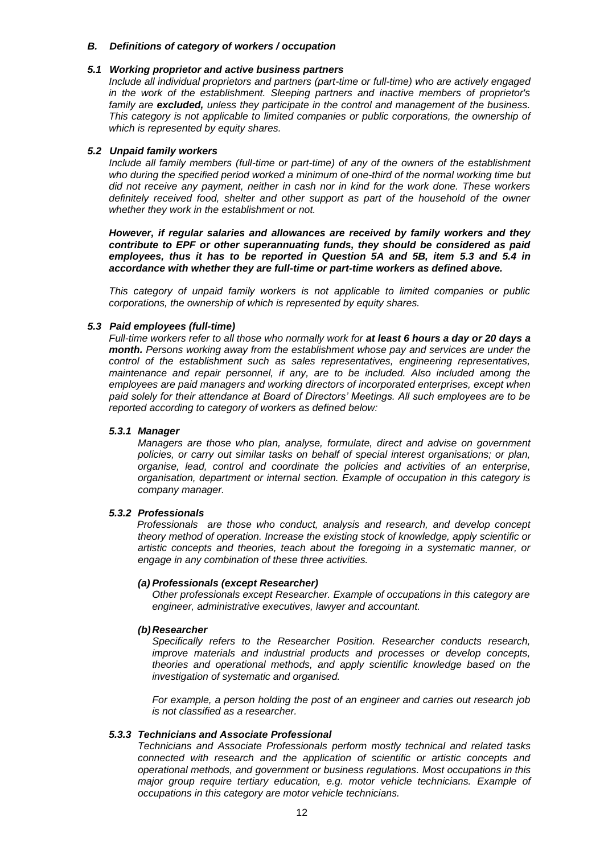#### *B. Definitions of category of workers / occupation*

#### *5.1 Working proprietor and active business partners*

*Include all individual proprietors and partners (part-time or full-time) who are actively engaged in the work of the establishment. Sleeping partners and inactive members of proprietor's family are excluded, unless they participate in the control and management of the business. This category is not applicable to limited companies or public corporations, the ownership of which is represented by equity shares.*

#### *5.2 Unpaid family workers*

*Include all family members (full-time or part-time) of any of the owners of the establishment who during the specified period worked a minimum of one-third of the normal working time but did not receive any payment, neither in cash nor in kind for the work done. These workers definitely received food, shelter and other support as part of the household of the owner whether they work in the establishment or not.*

*However, if regular salaries and allowances are received by family workers and they contribute to EPF or other superannuating funds, they should be considered as paid employees, thus it has to be reported in Question 5A and 5B, item 5.3 and 5.4 in accordance with whether they are full-time or part-time workers as defined above.*

*This category of unpaid family workers is not applicable to limited companies or public corporations, the ownership of which is represented by equity shares.*

### *5.3 Paid employees (full-time)*

*Full-time workers refer to all those who normally work for at least 6 hours a day or 20 days a month. Persons working away from the establishment whose pay and services are under the control of the establishment such as sales representatives, engineering representatives, maintenance and repair personnel, if any, are to be included. Also included among the employees are paid managers and working directors of incorporated enterprises, except when paid solely for their attendance at Board of Directors' Meetings. All such employees are to be reported according to category of workers as defined below:*

#### *5.3.1 Manager*

*Managers are those who plan, analyse, formulate, direct and advise on government policies, or carry out similar tasks on behalf of special interest organisations; or plan, organise, lead, control and coordinate the policies and activities of an enterprise, organisation, department or internal section. Example of occupation in this category is company manager.*

#### *5.3.2 Professionals*

 *Professionals are those who conduct, analysis and research, and develop concept theory method of operation. Increase the existing stock of knowledge, apply scientific or artistic concepts and theories, teach about the foregoing in a systematic manner, or engage in any combination of these three activities.*

#### *(a) Professionals (except Researcher)*

*Other professionals except Researcher. Example of occupations in this category are engineer, administrative executives, lawyer and accountant.*

#### *(b)Researcher*

*Specifically refers to the Researcher Position. Researcher conducts research, improve materials and industrial products and processes or develop concepts, theories and operational methods, and apply scientific knowledge based on the investigation of systematic and organised.*

*For example, a person holding the post of an engineer and carries out research job is not classified as a researcher.* 

#### *5.3.3 Technicians and Associate Professional*

*Technicians and Associate Professionals perform mostly technical and related tasks connected with research and the application of scientific or artistic concepts and operational methods, and government or business regulations. Most occupations in this major group require tertiary education, e.g. motor vehicle technicians. Example of occupations in this category are motor vehicle technicians.*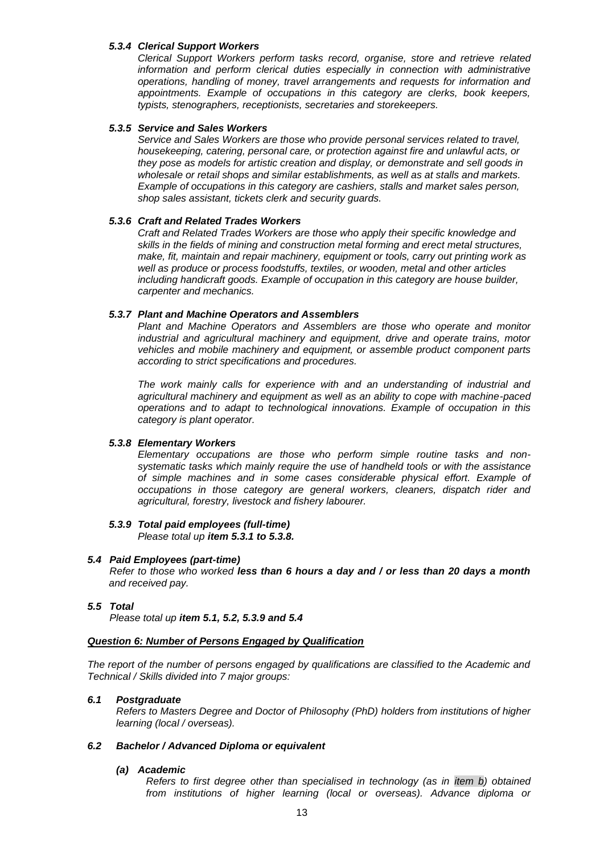### *5.3.4 Clerical Support Workers*

*Clerical Support Workers perform tasks record, organise, store and retrieve related information and perform clerical duties especially in connection with administrative operations, handling of money, travel arrangements and requests for information and appointments. Example of occupations in this category are clerks, book keepers, typists, stenographers, receptionists, secretaries and storekeepers.*

### *5.3.5 Service and Sales Workers*

*Service and Sales Workers are those who provide personal services related to travel, housekeeping, catering, personal care, or protection against fire and unlawful acts, or they pose as models for artistic creation and display, or demonstrate and sell goods in wholesale or retail shops and similar establishments, as well as at stalls and markets. Example of occupations in this category are cashiers, stalls and market sales person, shop sales assistant, tickets clerk and security guards.*

### *5.3.6 Craft and Related Trades Workers*

*Craft and Related Trades Workers are those who apply their specific knowledge and skills in the fields of mining and construction metal forming and erect metal structures, make, fit, maintain and repair machinery, equipment or tools, carry out printing work as well as produce or process foodstuffs, textiles, or wooden, metal and other articles including handicraft goods. Example of occupation in this category are house builder, carpenter and mechanics.* 

### *5.3.7 Plant and Machine Operators and Assemblers*

*Plant and Machine Operators and Assemblers are those who operate and monitor industrial and agricultural machinery and equipment, drive and operate trains, motor vehicles and mobile machinery and equipment, or assemble product component parts according to strict specifications and procedures.* 

*The work mainly calls for experience with and an understanding of industrial and agricultural machinery and equipment as well as an ability to cope with machine-paced operations and to adapt to technological innovations. Example of occupation in this category is plant operator.*

# *5.3.8 Elementary Workers*

*Elementary occupations are those who perform simple routine tasks and nonsystematic tasks which mainly require the use of handheld tools or with the assistance of simple machines and in some cases considerable physical effort. Example of occupations in those category are general workers, cleaners, dispatch rider and agricultural, forestry, livestock and fishery labourer.*

# *5.3.9 Total paid employees (full-time)*

*Please total up item 5.3.1 to 5.3.8.*

### *5.4 Paid Employees (part-time)*

*Refer to those who worked less than 6 hours a day and / or less than 20 days a month and received pay.*

#### *5.5 Total*

*Please total up item 5.1, 5.2, 5.3.9 and 5.4*

# *Question 6: Number of Persons Engaged by Qualification*

*The report of the number of persons engaged by qualifications are classified to the Academic and Technical / Skills divided into 7 major groups:*

#### *6.1 Postgraduate*

*Refers to Masters Degree and Doctor of Philosophy (PhD) holders from institutions of higher learning (local / overseas).*

#### *6.2 Bachelor / Advanced Diploma or equivalent*

#### *(a) Academic*

*Refers to first degree other than specialised in technology (as in item b) obtained from institutions of higher learning (local or overseas). Advance diploma or*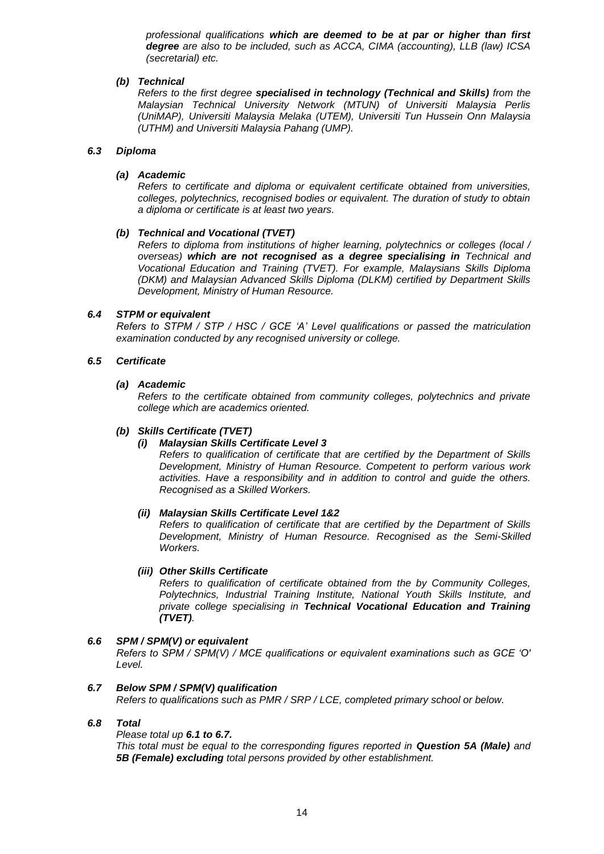*professional qualifications which are deemed to be at par or higher than first degree are also to be included, such as ACCA, CIMA (accounting), LLB (law) ICSA (secretarial) etc.*

### *(b) Technical*

*Refers to the first degree specialised in technology (Technical and Skills) from the Malaysian Technical University Network (MTUN) of Universiti Malaysia Perlis (UniMAP), Universiti Malaysia Melaka (UTEM), Universiti Tun Hussein Onn Malaysia (UTHM) and Universiti Malaysia Pahang (UMP).*

### *6.3 Diploma*

### *(a) Academic*

*Refers to certificate and diploma or equivalent certificate obtained from universities, colleges, polytechnics, recognised bodies or equivalent. The duration of study to obtain a diploma or certificate is at least two years.*

### *(b) Technical and Vocational (TVET)*

*Refers to diploma from institutions of higher learning, polytechnics or colleges (local / overseas) which are not recognised as a degree specialising in Technical and Vocational Education and Training (TVET). For example, Malaysians Skills Diploma (DKM) and Malaysian Advanced Skills Diploma (DLKM) certified by Department Skills Development, Ministry of Human Resource.*

### *6.4 STPM or equivalent*

*Refers to STPM / STP / HSC / GCE 'A' Level qualifications or passed the matriculation examination conducted by any recognised university or college.*

### *6.5 Certificate*

# *(a) Academic*

*Refers to the certificate obtained from community colleges, polytechnics and private college which are academics oriented.*

# *(b) Skills Certificate (TVET)*

# *(i) Malaysian Skills Certificate Level 3*

*Refers to qualification of certificate that are certified by the Department of Skills Development, Ministry of Human Resource. Competent to perform various work activities. Have a responsibility and in addition to control and guide the others. Recognised as a Skilled Workers.*

# *(ii) Malaysian Skills Certificate Level 1&2*

*Refers to qualification of certificate that are certified by the Department of Skills Development, Ministry of Human Resource. Recognised as the Semi-Skilled Workers.*

#### *(iii) Other Skills Certificate*

*Refers to qualification of certificate obtained from the by Community Colleges, Polytechnics, Industrial Training Institute, National Youth Skills Institute, and private college specialising in Technical Vocational Education and Training (TVET).*

# *6.6 SPM / SPM(V) or equivalent*

*Refers to SPM / SPM(V) / MCE qualifications or equivalent examinations such as GCE 'O' Level.*

# *6.7 Below SPM / SPM(V) qualification*

*Refers to qualifications such as PMR / SRP / LCE, completed primary school or below.* 

#### *6.8 Total*

*Please total up 6.1 to 6.7. This total must be equal to the corresponding figures reported in Question 5A (Male) and 5B (Female) excluding total persons provided by other establishment.*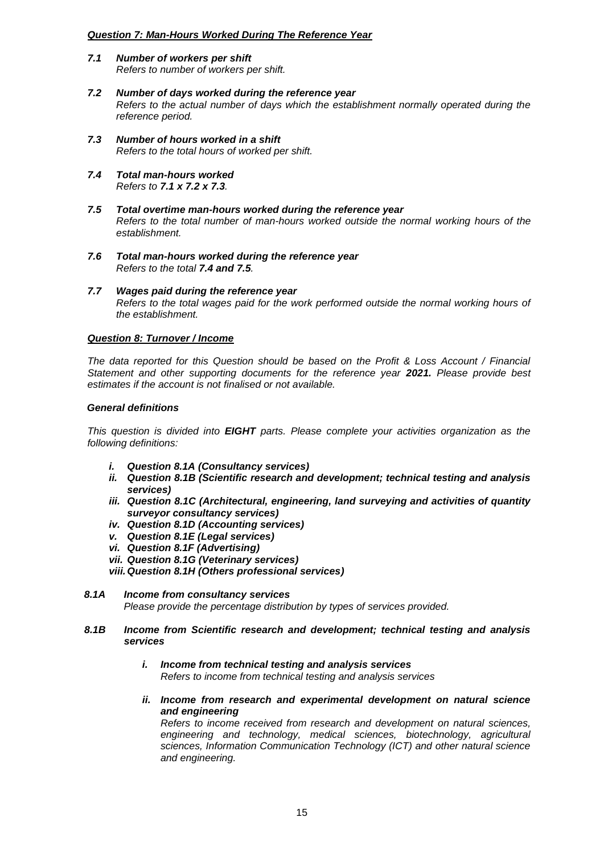### *Question 7: Man-Hours Worked During The Reference Year*

- *7.1 Number of workers per shift Refers to number of workers per shift.*
- *7.2 Number of days worked during the reference year Refers to the actual number of days which the establishment normally operated during the reference period.*
- *7.3 Number of hours worked in a shift Refers to the total hours of worked per shift.*
- *7.4 Total man-hours worked Refers to 7.1 x 7.2 x 7.3.*
- *7.5 Total overtime man-hours worked during the reference year Refers to the total number of man-hours worked outside the normal working hours of the establishment.*
- *7.6 Total man-hours worked during the reference year Refers to the total 7.4 and 7.5.*
- *7.7 Wages paid during the reference year Refers to the total wages paid for the work performed outside the normal working hours of the establishment.*

### *Question 8: Turnover / Income*

*The data reported for this Question should be based on the Profit & Loss Account / Financial Statement and other supporting documents for the reference year 2021. Please provide best estimates if the account is not finalised or not available.*

### *General definitions*

*This question is divided into EIGHT parts. Please complete your activities organization as the following definitions:*

- *i. Question 8.1A (Consultancy services)*
- *ii. Question 8.1B (Scientific research and development; technical testing and analysis services)*
- *iii. Question 8.1C (Architectural, engineering, land surveying and activities of quantity surveyor consultancy services)*
- *iv. Question 8.1D (Accounting services)*
- *v. Question 8.1E (Legal services)*
- *vi. Question 8.1F (Advertising)*
- *vii. Question 8.1G (Veterinary services)*
- *viii.Question 8.1H (Others professional services)*
- *8.1A Income from consultancy services Please provide the percentage distribution by types of services provided.*
- *8.1B Income from Scientific research and development; technical testing and analysis services*
	- *i. Income from technical testing and analysis services Refers to income from technical testing and analysis services*
	- *ii. Income from research and experimental development on natural science and engineering*

*Refers to income received from research and development on natural sciences, engineering and technology, medical sciences, biotechnology, agricultural sciences, Information Communication Technology (ICT) and other natural science and engineering.*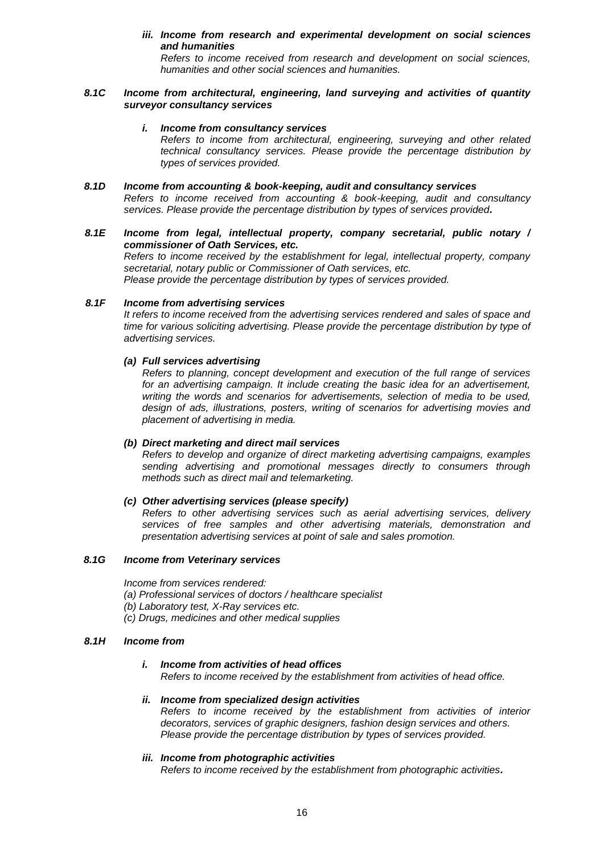# *iii. Income from research and experimental development on social sciences and humanities*

*Refers to income received from research and development on social sciences, humanities and other social sciences and humanities.*

#### *8.1C Income from architectural, engineering, land surveying and activities of quantity surveyor consultancy services*

#### *i. Income from consultancy services*

*Refers to income from architectural, engineering, surveying and other related technical consultancy services. Please provide the percentage distribution by types of services provided.*

#### *8.1D Income from accounting & book-keeping, audit and consultancy services Refers to income received from accounting & book-keeping, audit and consultancy services. Please provide the percentage distribution by types of services provided.*

### *8.1E Income from legal, intellectual property, company secretarial, public notary / commissioner of Oath Services, etc.*

*Refers to income received by the establishment for legal, intellectual property, company secretarial, notary public or Commissioner of Oath services, etc.* 

*Please provide the percentage distribution by types of services provided.*

#### *8.1F Income from advertising services*

*It refers to income received from the advertising services rendered and sales of space and time for various soliciting advertising. Please provide the percentage distribution by type of advertising services.* 

# *(a) Full services advertising*

*Refers to planning, concept development and execution of the full range of services for an advertising campaign. It include creating the basic idea for an advertisement, writing the words and scenarios for advertisements, selection of media to be used, design of ads, illustrations, posters, writing of scenarios for advertising movies and placement of advertising in media.* 

#### *(b) Direct marketing and direct mail services*

*Refers to develop and organize of direct marketing advertising campaigns, examples sending advertising and promotional messages directly to consumers through methods such as direct mail and telemarketing.*

#### *(c) Other advertising services (please specify)*

*Refers to other advertising services such as aerial advertising services, delivery services of free samples and other advertising materials, demonstration and presentation advertising services at point of sale and sales promotion.*

#### *8.1G Income from Veterinary services*

*Income from services rendered:*

- *(a) Professional services of doctors / healthcare specialist*
- *(b) Laboratory test, X-Ray services etc.*
- *(c) Drugs, medicines and other medical supplies*

#### *8.1H Income from*

#### *i. Income from activities of head offices*

*Refers to income received by the establishment from activities of head office.*

#### *ii. Income from specialized design activities Refers to income received by the establishment from activities of interior decorators, services of graphic designers, fashion design services and others. Please provide the percentage distribution by types of services provided.*

#### *iii. Income from photographic activities*

*Refers to income received by the establishment from photographic activities.*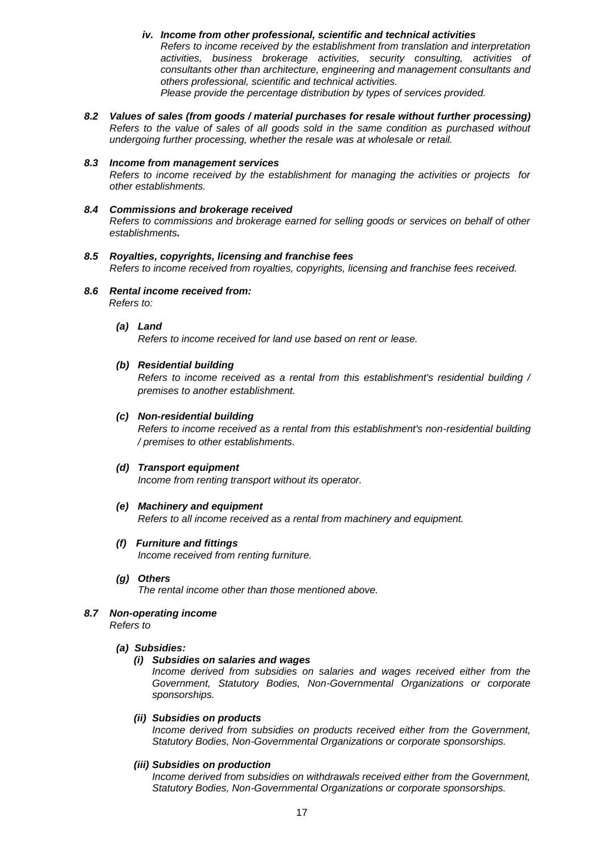- *iv. Income from other professional, scientific and technical activities Refers to income received by the establishment from translation and interpretation activities, business brokerage activities, security consulting, activities of consultants other than architecture, engineering and management consultants and others professional, scientific and technical activities. Please provide the percentage distribution by types of services provided.*
- *8.2 Values of sales (from goods / material purchases for resale without further processing) Refers to the value of sales of all goods sold in the same condition as purchased without undergoing further processing, whether the resale was at wholesale or retail.*

#### *8.3 Income from management services Refers to income received by the establishment for managing the activities or projects for other establishments.*

- *8.4 Commissions and brokerage received Refers to commissions and brokerage earned for selling goods or services on behalf of other establishments.*
- *8.5 Royalties, copyrights, licensing and franchise fees Refers to income received from royalties, copyrights, licensing and franchise fees received.*
- *8.6 Rental income received from: Refers to:*
	- *(a) Land*

*Refers to income received for land use based on rent or lease.*

#### *(b) Residential building*

*Refers to income received as a rental from this establishment's residential building / premises to another establishment.*

#### *(c) Non-residential building*

*Refers to income received as a rental from this establishment's non-residential building / premises to other establishments.*

#### *(d) Transport equipment*

*Income from renting transport without its operator.*

#### *(e) Machinery and equipment*

*Refers to all income received as a rental from machinery and equipment.*

- *(f) Furniture and fittings Income received from renting furniture.*
- *(g) Others*

*The rental income other than those mentioned above.*

*8.7 Non-operating income*

*Refers to*

# *(a) Subsidies:*

#### *(i) Subsidies on salaries and wages*

*Income derived from subsidies on salaries and wages received either from the Government, Statutory Bodies, Non-Governmental Organizations or corporate sponsorships.*

### *(ii) Subsidies on products*

*Income derived from subsidies on products received either from the Government, Statutory Bodies, Non-Governmental Organizations or corporate sponsorships.*

#### *(iii) Subsidies on production*

*Income derived from subsidies on withdrawals received either from the Government, Statutory Bodies, Non-Governmental Organizations or corporate sponsorships.*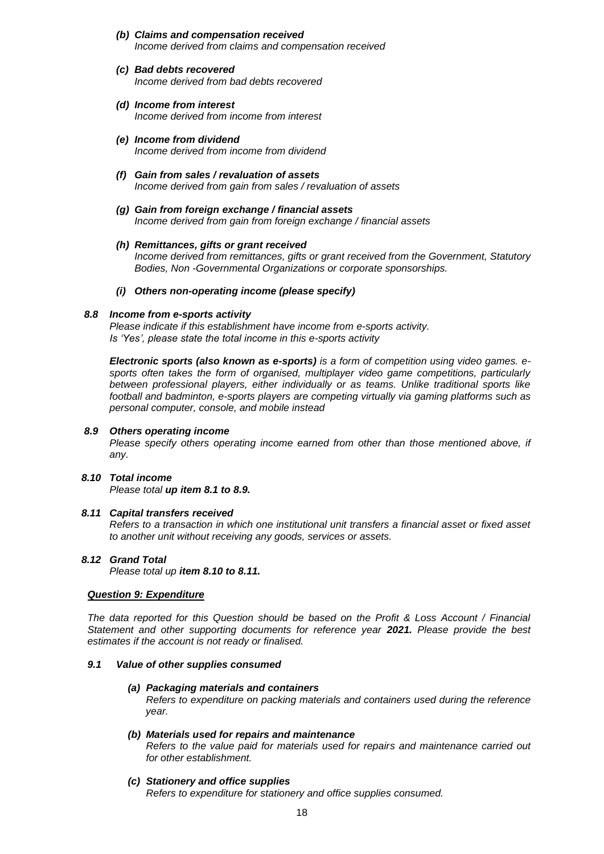- *(b) Claims and compensation received Income derived from claims and compensation received*
- *(c) Bad debts recovered Income derived from bad debts recovered*
- *(d) Income from interest Income derived from income from interest*
- *(e) Income from dividend Income derived from income from dividend*
- *(f) Gain from sales / revaluation of assets Income derived from gain from sales / revaluation of assets*
- *(g) Gain from foreign exchange / financial assets Income derived from gain from foreign exchange / financial assets*
- *(h) Remittances, gifts or grant received Income derived from remittances, gifts or grant received from the Government, Statutory Bodies, Non -Governmental Organizations or corporate sponsorships.*
- *(i) Others non-operating income (please specify)*

### *8.8 Income from e-sports activity*

*Please indicate if this establishment have income from e-sports activity. Is 'Yes', please state the total income in this e-sports activity*

*Electronic sports (also known as e-sports) is a form of competition using video games. esports often takes the form of organised, multiplayer video game competitions, particularly between professional players, either individually or as teams. Unlike traditional sports like football and badminton, e-sports players are competing virtually via gaming platforms such as personal computer, console, and mobile instead*

### *8.9 Others operating income*

*Please specify others operating income earned from other than those mentioned above, if any.*

#### *8.10 Total income Please total up item 8.1 to 8.9.*

# *8.11 Capital transfers received*

*Refers to a transaction in which one institutional unit transfers a financial asset or fixed asset to another unit without receiving any goods, services or assets.*

# *8.12 Grand Total*

*Please total up item 8.10 to 8.11.*

#### *Question 9: Expenditure*

*The data reported for this Question should be based on the Profit & Loss Account / Financial Statement and other supporting documents for reference year 2021. Please provide the best estimates if the account is not ready or finalised.*

#### *9.1 Value of other supplies consumed*

#### *(a) Packaging materials and containers*

*Refers to expenditure on packing materials and containers used during the reference year.*

- *(b) Materials used for repairs and maintenance Refers to the value paid for materials used for repairs and maintenance carried out for other establishment.*
- *(c) Stationery and office supplies Refers to expenditure for stationery and office supplies consumed.*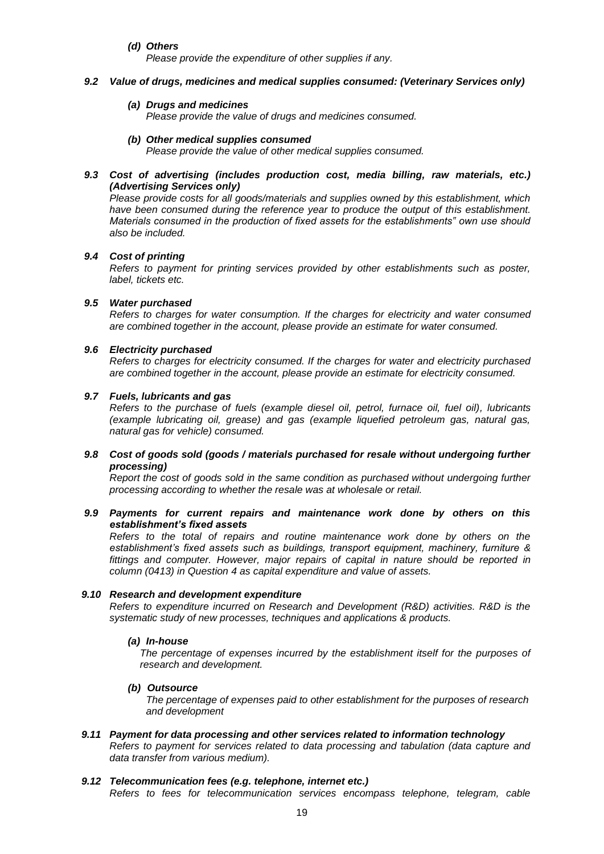*(d) Others* 

*Please provide the expenditure of other supplies if any.*

#### *9.2 Value of drugs, medicines and medical supplies consumed: (Veterinary Services only)*

#### *(a) Drugs and medicines*

*Please provide the value of drugs and medicines consumed.*

#### *(b) Other medical supplies consumed*

*Please provide the value of other medical supplies consumed.*

# *9.3 Cost of advertising (includes production cost, media billing, raw materials, etc.) (Advertising Services only)*

*Please provide costs for all goods/materials and supplies owned by this establishment, which have been consumed during the reference year to produce the output of this establishment. Materials consumed in the production of fixed assets for the establishments" own use should also be included.*

### *9.4 Cost of printing*

*Refers to payment for printing services provided by other establishments such as poster, label, tickets etc.*

### *9.5 Water purchased*

*Refers to charges for water consumption. If the charges for electricity and water consumed are combined together in the account, please provide an estimate for water consumed.*

### *9.6 Electricity purchased*

*Refers to charges for electricity consumed. If the charges for water and electricity purchased are combined together in the account, please provide an estimate for electricity consumed.*

# *9.7 Fuels, lubricants and gas*

*Refers to the purchase of fuels (example diesel oil, petrol, furnace oil, fuel oil), lubricants (example lubricating oil, grease) and gas (example liquefied petroleum gas, natural gas, natural gas for vehicle) consumed.*

### *9.8 Cost of goods sold (goods / materials purchased for resale without undergoing further processing)*

*Report the cost of goods sold in the same condition as purchased without undergoing further processing according to whether the resale was at wholesale or retail.*

### *9.9 Payments for current repairs and maintenance work done by others on this establishment's fixed assets*

*Refers to the total of repairs and routine maintenance work done by others on the establishment's fixed assets such as buildings, transport equipment, machinery, furniture & fittings and computer. However, major repairs of capital in nature should be reported in column (0413) in Question 4 as capital expenditure and value of assets.* 

#### *9.10 Research and development expenditure*

*Refers to expenditure incurred on Research and Development (R&D) activities. R&D is the systematic study of new processes, techniques and applications & products.*

# *(a) In-house*

*The percentage of expenses incurred by the establishment itself for the purposes of research and development.*

### *(b) Outsource*

*The percentage of expenses paid to other establishment for the purposes of research and development*

*9.11 Payment for data processing and other services related to information technology Refers to payment for services related to data processing and tabulation (data capture and data transfer from various medium).*

### *9.12 Telecommunication fees (e.g. telephone, internet etc.)*

*Refers to fees for telecommunication services encompass telephone, telegram, cable*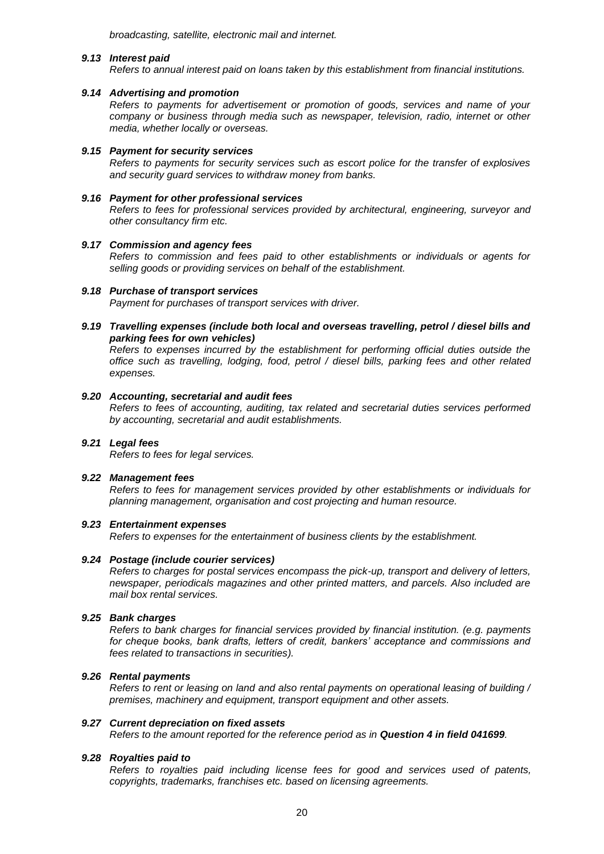*broadcasting, satellite, electronic mail and internet.*

#### *9.13 Interest paid*

*Refers to annual interest paid on loans taken by this establishment from financial institutions.*

#### *9.14 Advertising and promotion*

*Refers to payments for advertisement or promotion of goods, services and name of your company or business through media such as newspaper, television, radio, internet or other media, whether locally or overseas.*

#### *9.15 Payment for security services*

*Refers to payments for security services such as escort police for the transfer of explosives and security guard services to withdraw money from banks.*

#### *9.16 Payment for other professional services*

*Refers to fees for professional services provided by architectural, engineering, surveyor and other consultancy firm etc.*

#### *9.17 Commission and agency fees*

*Refers to commission and fees paid to other establishments or individuals or agents for selling goods or providing services on behalf of the establishment.*

#### *9.18 Purchase of transport services*

*Payment for purchases of transport services with driver.*

*9.19 Travelling expenses (include both local and overseas travelling, petrol / diesel bills and parking fees for own vehicles)*

*Refers to expenses incurred by the establishment for performing official duties outside the office such as travelling, lodging, food, petrol / diesel bills, parking fees and other related expenses.*

#### *9.20 Accounting, secretarial and audit fees*

*Refers to fees of accounting, auditing, tax related and secretarial duties services performed by accounting, secretarial and audit establishments.*

### *9.21 Legal fees*

*Refers to fees for legal services.*

#### *9.22 Management fees*

*Refers to fees for management services provided by other establishments or individuals for planning management, organisation and cost projecting and human resource.*

#### *9.23 Entertainment expenses*

*Refers to expenses for the entertainment of business clients by the establishment.*

#### *9.24 Postage (include courier services)*

*Refers to charges for postal services encompass the pick-up, transport and delivery of letters, newspaper, periodicals magazines and other printed matters, and parcels. Also included are mail box rental services.*

#### *9.25 Bank charges*

*Refers to bank charges for financial services provided by financial institution. (e.g. payments for cheque books, bank drafts, letters of credit, bankers' acceptance and commissions and fees related to transactions in securities).*

#### *9.26 Rental payments*

*Refers to rent or leasing on land and also rental payments on operational leasing of building / premises, machinery and equipment, transport equipment and other assets.*

#### *9.27 Current depreciation on fixed assets*

*Refers to the amount reported for the reference period as in Question 4 in field 041699.*

#### *9.28 Royalties paid to*

*Refers to royalties paid including license fees for good and services used of patents, copyrights, trademarks, franchises etc. based on licensing agreements.*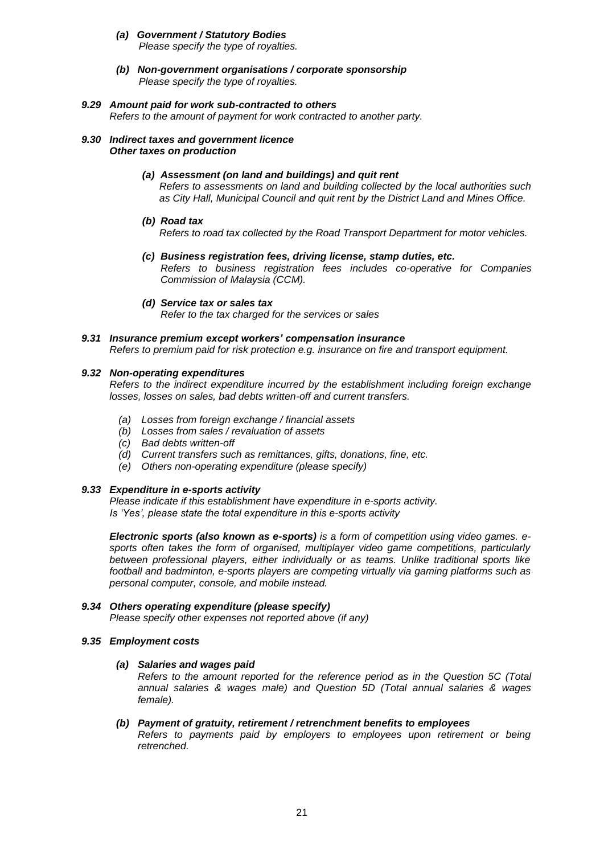- *(a) Government / Statutory Bodies Please specify the type of royalties.*
- *(b) Non-government organisations / corporate sponsorship Please specify the type of royalties.*

# *9.29 Amount paid for work sub-contracted to others*

*Refers to the amount of payment for work contracted to another party.*

#### *9.30 Indirect taxes and government licence Other taxes on production*

# *(a) Assessment (on land and buildings) and quit rent*

*Refers to assessments on land and building collected by the local authorities such as City Hall, Municipal Council and quit rent by the District Land and Mines Office.*

*(b) Road tax*

*Refers to road tax collected by the Road Transport Department for motor vehicles.*

- *(c) Business registration fees, driving license, stamp duties, etc. Refers to business registration fees includes co-operative for Companies Commission of Malaysia (CCM).*
- *(d) Service tax or sales tax Refer to the tax charged for the services or sales*

### *9.31 Insurance premium except workers' compensation insurance*

*Refers to premium paid for risk protection e.g. insurance on fire and transport equipment.*

### *9.32 Non-operating expenditures*

*Refers to the indirect expenditure incurred by the establishment including foreign exchange losses, losses on sales, bad debts written-off and current transfers.*

- *(a) Losses from foreign exchange / financial assets*
- *(b) Losses from sales / revaluation of assets*
- *(c) Bad debts written-off*
- *(d) Current transfers such as remittances, gifts, donations, fine, etc.*
- *(e) Others non-operating expenditure (please specify)*

# *9.33 Expenditure in e-sports activity*

*Please indicate if this establishment have expenditure in e-sports activity. Is 'Yes', please state the total expenditure in this e-sports activity*

*Electronic sports (also known as e-sports) is a form of competition using video games. esports often takes the form of organised, multiplayer video game competitions, particularly between professional players, either individually or as teams. Unlike traditional sports like football and badminton, e-sports players are competing virtually via gaming platforms such as personal computer, console, and mobile instead.*

#### *9.34 Others operating expenditure (please specify) Please specify other expenses not reported above (if any)*

#### *9.35 Employment costs*

#### *(a) Salaries and wages paid*

*Refers to the amount reported for the reference period as in the Question 5C (Total annual salaries & wages male) and Question 5D (Total annual salaries & wages female).*

*(b) Payment of gratuity, retirement / retrenchment benefits to employees*

*Refers to payments paid by employers to employees upon retirement or being retrenched.*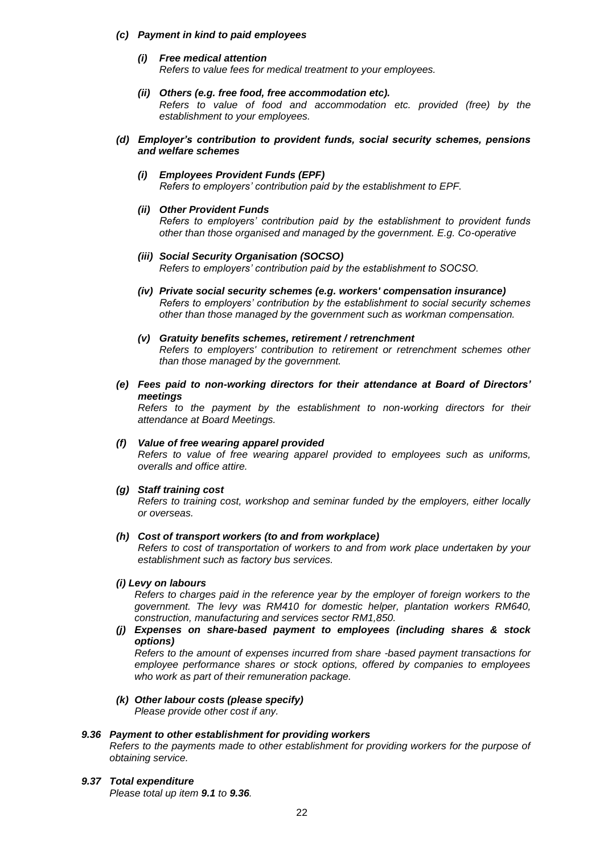#### *(c) Payment in kind to paid employees*

- *(i) Free medical attention Refers to value fees for medical treatment to your employees.*
- *(ii) Others (e.g. free food, free accommodation etc). Refers to value of food and accommodation etc. provided (free) by the establishment to your employees.*

#### *(d) Employer's contribution to provident funds, social security schemes, pensions and welfare schemes*

*(i) Employees Provident Funds (EPF) Refers to employers' contribution paid by the establishment to EPF.*

### *(ii) Other Provident Funds*

*Refers to employers' contribution paid by the establishment to provident funds other than those organised and managed by the government. E.g. Co-operative*

- *(iii) Social Security Organisation (SOCSO) Refers to employers' contribution paid by the establishment to SOCSO.*
- *(iv) Private social security schemes (e.g. workers' compensation insurance) Refers to employers' contribution by the establishment to social security schemes other than those managed by the government such as workman compensation.*
- *(v) Gratuity benefits schemes, retirement / retrenchment Refers to employers' contribution to retirement or retrenchment schemes other than those managed by the government.*
- *(e) Fees paid to non-working directors for their attendance at Board of Directors' meetings*

*Refers to the payment by the establishment to non-working directors for their attendance at Board Meetings.*

#### *(f) Value of free wearing apparel provided*

*Refers to value of free wearing apparel provided to employees such as uniforms, overalls and office attire.*

# *(g) Staff training cost*

*Refers to training cost, workshop and seminar funded by the employers, either locally or overseas.*

#### *(h) Cost of transport workers (to and from workplace)*

*Refers to cost of transportation of workers to and from work place undertaken by your establishment such as factory bus services.*

#### *(i) Levy on labours*

*Refers to charges paid in the reference year by the employer of foreign workers to the government. The levy was RM410 for domestic helper, plantation workers RM640, construction, manufacturing and services sector RM1,850.*

### *(j) Expenses on share-based payment to employees (including shares & stock options)*

*Refers to the amount of expenses incurred from share -based payment transactions for employee performance shares or stock options, offered by companies to employees who work as part of their remuneration package.*

# *(k) Other labour costs (please specify)*

*Please provide other cost if any.*

#### *9.36 Payment to other establishment for providing workers*

*Refers to the payments made to other establishment for providing workers for the purpose of obtaining service.*

*9.37 Total expenditure Please total up item 9.1 to 9.36.*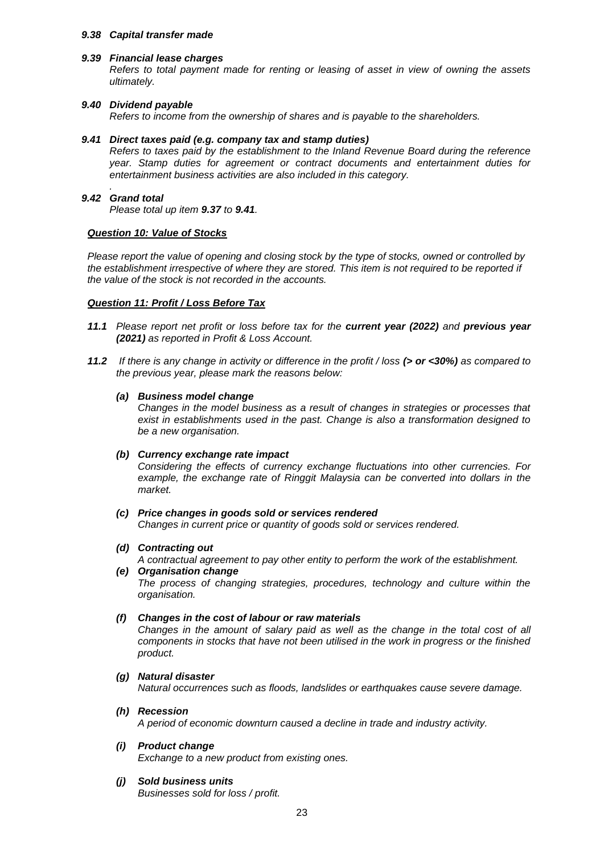#### *9.38 Capital transfer made*

#### *9.39 Financial lease charges*

*Refers to total payment made for renting or leasing of asset in view of owning the assets ultimately.*

#### *9.40 Dividend payable*

*Refers to income from the ownership of shares and is payable to the shareholders.*

#### *9.41 Direct taxes paid (e.g. company tax and stamp duties)*

*Refers to taxes paid by the establishment to the Inland Revenue Board during the reference year. Stamp duties for agreement or contract documents and entertainment duties for entertainment business activities are also included in this category.*

#### *. 9.42 Grand total*

*Please total up item 9.37 to 9.41.*

#### *Question 10: Value of Stocks*

*Please report the value of opening and closing stock by the type of stocks, owned or controlled by the establishment irrespective of where they are stored. This item is not required to be reported if the value of the stock is not recorded in the accounts.*

#### *Question 11: Profit / Loss Before Tax*

- *11.1 Please report net profit or loss before tax for the current year (2022) and previous year (2021) as reported in Profit & Loss Account.*
- *11.2 If there is any change in activity or difference in the profit / loss (> or <30%) as compared to the previous year, please mark the reasons below:*

#### *(a) Business model change*

*Changes in the model business as a result of changes in strategies or processes that exist in establishments used in the past. Change is also a transformation designed to be a new organisation.*

#### *(b) Currency exchange rate impact*

*Considering the effects of currency exchange fluctuations into other currencies. For example, the exchange rate of Ringgit Malaysia can be converted into dollars in the market.*

# *(c) Price changes in goods sold or services rendered*

*Changes in current price or quantity of goods sold or services rendered.*

#### *(d) Contracting out*

*A contractual agreement to pay other entity to perform the work of the establishment.*

# *(e) Organisation change*

*The process of changing strategies, procedures, technology and culture within the organisation.*

#### *(f) Changes in the cost of labour or raw materials*

*Changes in the amount of salary paid as well as the change in the total cost of all components in stocks that have not been utilised in the work in progress or the finished product.*

#### *(g) Natural disaster*

*Natural occurrences such as floods, landslides or earthquakes cause severe damage.*

#### *(h) Recession*

*A period of economic downturn caused a decline in trade and industry activity.*

#### *(i) Product change*

*Exchange to a new product from existing ones.*

#### *(j) Sold business units*

*Businesses sold for loss / profit.*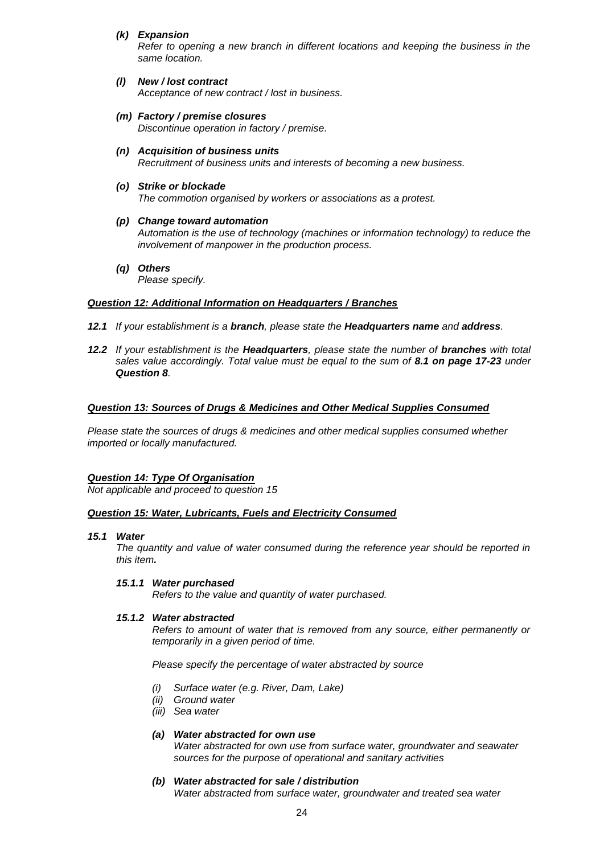*(k) Expansion*

*Refer to opening a new branch in different locations and keeping the business in the same location.*

- *(l) New / lost contract Acceptance of new contract / lost in business.*
- *(m) Factory / premise closures Discontinue operation in factory / premise.*
- *(n) Acquisition of business units Recruitment of business units and interests of becoming a new business.*
- *(o) Strike or blockade The commotion organised by workers or associations as a protest.*
- *(p) Change toward automation Automation is the use of technology (machines or information technology) to reduce the involvement of manpower in the production process.*
- *(q) Others*

 *Please specify.*

### *Question 12: Additional Information on Headquarters / Branches*

- *12.1 If your establishment is a branch, please state the Headquarters name and address.*
- *12.2 If your establishment is the Headquarters, please state the number of branches with total sales value accordingly. Total value must be equal to the sum of 8.1 on page 17-23 under Question 8.*

### *Question 13: Sources of Drugs & Medicines and Other Medical Supplies Consumed*

*Please state the sources of drugs & medicines and other medical supplies consumed whether imported or locally manufactured.*

# *Question 14: Type Of Organisation*

*Not applicable and proceed to question 15*

#### *Question 15: Water, Lubricants, Fuels and Electricity Consumed*

#### *15.1 Water*

*The quantity and value of water consumed during the reference year should be reported in this item.* 

#### *15.1.1 Water purchased*

*Refers to the value and quantity of water purchased.*

#### *15.1.2 Water abstracted*

*Refers to amount of water that is removed from any source, either permanently or temporarily in a given period of time.*

*Please specify the percentage of water abstracted by source*

- *(i) Surface water (e.g. River, Dam, Lake)*
- *(ii) Ground water*
- *(iii) Sea water*

# *(a) Water abstracted for own use*

*Water abstracted for own use from surface water, groundwater and seawater sources for the purpose of operational and sanitary activities*

*(b) Water abstracted for sale / distribution Water abstracted from surface water, groundwater and treated sea water*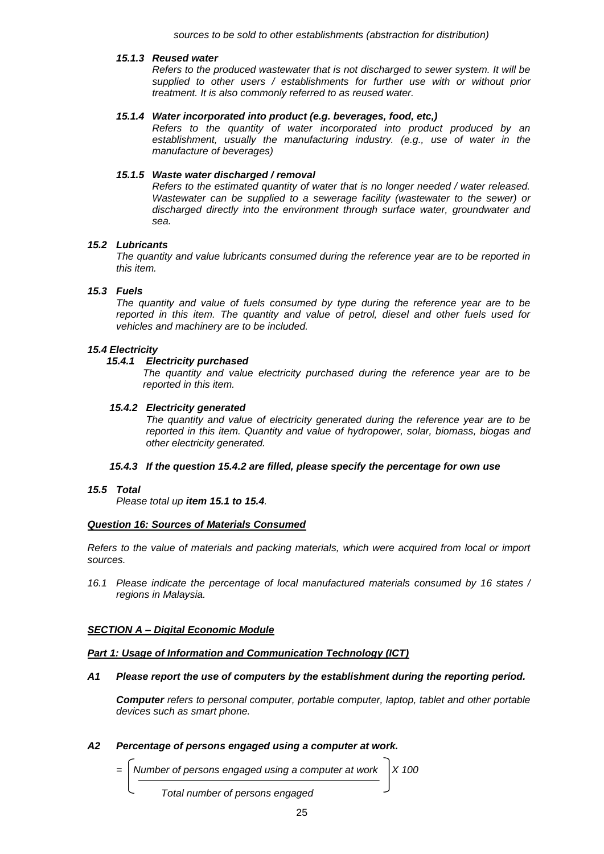*sources to be sold to other establishments (abstraction for distribution)*

#### *15.1.3 Reused water*

*Refers to the produced wastewater that is not discharged to sewer system. It will be supplied to other users / establishments for further use with or without prior treatment. It is also commonly referred to as reused water.*

#### *15.1.4 Water incorporated into product (e.g. beverages, food, etc,)*

*Refers to the quantity of water incorporated into product produced by an establishment, usually the manufacturing industry. (e.g., use of water in the manufacture of beverages)*

### *15.1.5 Waste water discharged / removal*

*Refers to the estimated quantity of water that is no longer needed / water released. Wastewater can be supplied to a sewerage facility (wastewater to the sewer) or discharged directly into the environment through surface water, groundwater and sea.*

### *15.2 Lubricants*

*The quantity and value lubricants consumed during the reference year are to be reported in this item.*

### *15.3 Fuels*

*The quantity and value of fuels consumed by type during the reference year are to be reported in this item. The quantity and value of petrol, diesel and other fuels used for vehicles and machinery are to be included.*

### *15.4 Electricity*

### *15.4.1 Electricity purchased*

*The quantity and value electricity purchased during the reference year are to be reported in this item.*

### *15.4.2 Electricity generated*

*The quantity and value of electricity generated during the reference year are to be reported in this item. Quantity and value of hydropower, solar, biomass, biogas and other electricity generated.*

#### *15.4.3 If the question 15.4.2 are filled, please specify the percentage for own use*

#### *15.5 Total*

*Please total up item 15.1 to 15.4.*

#### *Question 16: Sources of Materials Consumed*

*Refers to the value of materials and packing materials, which were acquired from local or import sources.*

*16.1 Please indicate the percentage of local manufactured materials consumed by 16 states / regions in Malaysia.*

# *SECTION A – Digital Economic Module*

#### *Part 1: Usage of Information and Communication Technology (ICT)*

#### *A1 Please report the use of computers by the establishment during the reporting period.*

*Computer refers to personal computer, portable computer, laptop, tablet and other portable devices such as smart phone.*

# *A2 Percentage of persons engaged using a computer at work.*

*Number of persons engaged using a computer at work* | X 100

 *Total number of persons engaged*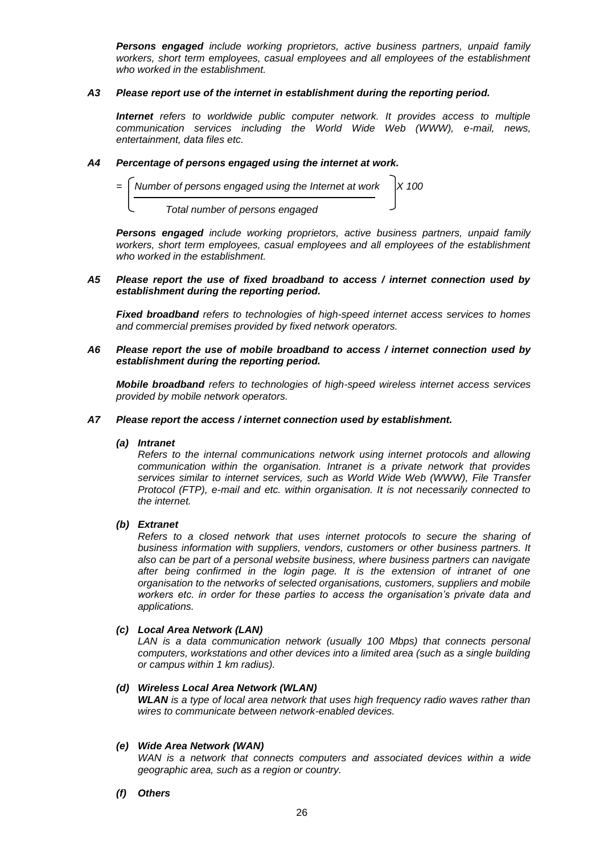*Persons engaged include working proprietors, active business partners, unpaid family workers, short term employees, casual employees and all employees of the establishment who worked in the establishment.*

#### *A3 Please report use of the internet in establishment during the reporting period.*

*Internet refers to worldwide public computer network. It provides access to multiple communication services including the World Wide Web (WWW), e-mail, news, entertainment, data files etc.*

### *A4 Percentage of persons engaged using the internet at work.*



*Persons engaged include working proprietors, active business partners, unpaid family workers, short term employees, casual employees and all employees of the establishment who worked in the establishment.*

### *A5 Please report the use of fixed broadband to access / internet connection used by establishment during the reporting period.*

*Fixed broadband refers to technologies of high-speed internet access services to homes and commercial premises provided by fixed network operators.* 

#### *A6 Please report the use of mobile broadband to access / internet connection used by establishment during the reporting period.*

*Mobile broadband refers to technologies of high-speed wireless internet access services provided by mobile network operators.*

#### *A7 Please report the access / internet connection used by establishment.*

#### *(a) Intranet*

*Refers to the internal communications network using internet protocols and allowing communication within the organisation. Intranet is a private network that provides services similar to internet services, such as World Wide Web (WWW), File Transfer Protocol (FTP), e-mail and etc. within organisation. It is not necessarily connected to the internet.*

#### *(b) Extranet*

*Refers to a closed network that uses internet protocols to secure the sharing of business information with suppliers, vendors, customers or other business partners. It also can be part of a personal website business, where business partners can navigate after being confirmed in the login page. It is the extension of intranet of one organisation to the networks of selected organisations, customers, suppliers and mobile workers etc. in order for these parties to access the organisation's private data and applications.*

### *(c) Local Area Network (LAN)*

*LAN is a data communication network (usually 100 Mbps) that connects personal computers, workstations and other devices into a limited area (such as a single building or campus within 1 km radius).*

#### *(d) Wireless Local Area Network (WLAN)*

*WLAN is a type of local area network that uses high frequency radio waves rather than wires to communicate between network-enabled devices.*

#### *(e) Wide Area Network (WAN)*

WAN is a network that connects computers and associated devices within a wide *geographic area, such as a region or country.*

*(f) Others*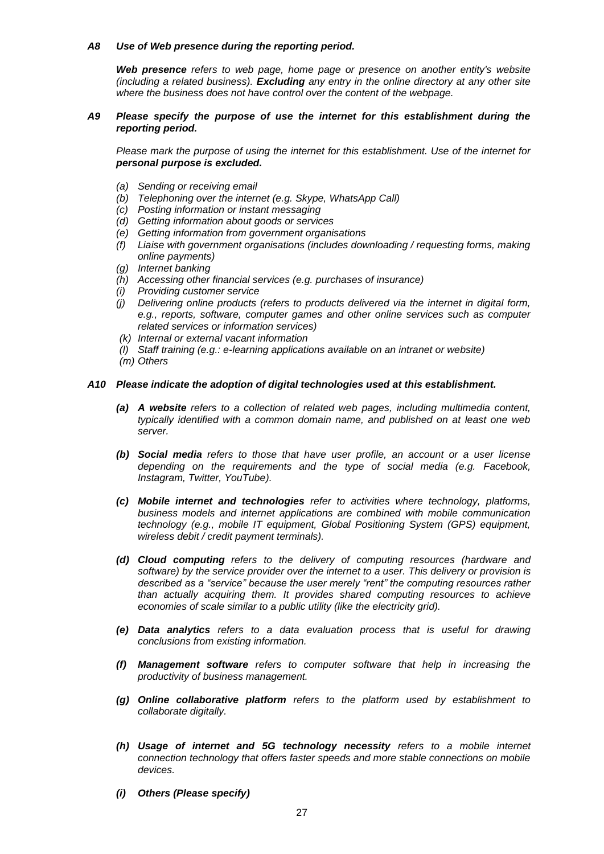#### *A8 Use of Web presence during the reporting period.*

*Web presence refers to web page, home page or presence on another entity's website (including a related business). Excluding any entry in the online directory at any other site where the business does not have control over the content of the webpage.*

#### *A9 Please specify the purpose of use the internet for this establishment during the reporting period.*

*Please mark the purpose of using the internet for this establishment. Use of the internet for personal purpose is excluded.*

- *(a) Sending or receiving email*
- *(b) Telephoning over the internet (e.g. Skype, WhatsApp Call)*
- *(c) Posting information or instant messaging*
- *(d) Getting information about goods or services*
- *(e) Getting information from government organisations*
- *(f) Liaise with government organisations (includes downloading / requesting forms, making online payments)*
- *(g) Internet banking*
- *(h) Accessing other financial services (e.g. purchases of insurance)*
- *(i) Providing customer service*
- *(j) Delivering online products (refers to products delivered via the internet in digital form, e.g., reports, software, computer games and other online services such as computer related services or information services)*
- *(k) Internal or external vacant information*
- *(l) Staff training (e.g.: e-learning applications available on an intranet or website)*
- *(m) Others*

#### *A10 Please indicate the adoption of digital technologies used at this establishment.*

- *(a) A website refers to a collection of related web pages, including multimedia content, typically identified with a common domain name, and published on at least one web server.*
- *(b) Social media refers to those that have user profile, an account or a user license depending on the requirements and the type of social media (e.g. Facebook, Instagram, Twitter, YouTube).*
- *(c) Mobile internet and technologies refer to activities where technology, platforms, business models and internet applications are combined with mobile communication technology (e.g., mobile IT equipment, Global Positioning System (GPS) equipment, wireless debit / credit payment terminals).*
- *(d) Cloud computing refers to the delivery of computing resources (hardware and software) by the service provider over the internet to a user. This delivery or provision is described as a "service" because the user merely "rent" the computing resources rather than actually acquiring them. It provides shared computing resources to achieve economies of scale similar to a public utility (like the electricity grid).*
- *(e) Data analytics refers to a data evaluation process that is useful for drawing conclusions from existing information.*
- *(f) Management software refers to computer software that help in increasing the productivity of business management.*
- *(g) Online collaborative platform refers to the platform used by establishment to collaborate digitally.*
- *(h) Usage of internet and 5G technology necessity refers to a mobile internet connection technology that offers faster speeds and more stable connections on mobile devices.*
- *(i) Others (Please specify)*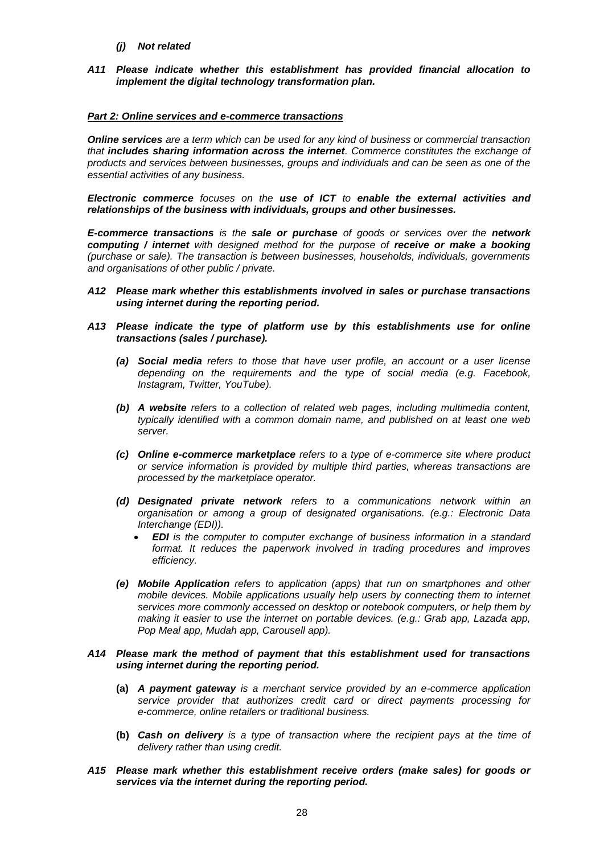- *(j) Not related*
- *A11 Please indicate whether this establishment has provided financial allocation to implement the digital technology transformation plan.*

### *Part 2: Online services and e-commerce transactions*

*Online services are a term which can be used for any kind of business or commercial transaction that includes sharing information across the internet. Commerce constitutes the exchange of products and services between businesses, groups and individuals and can be seen as one of the essential activities of any business.* 

*Electronic commerce focuses on the use of ICT to enable the external activities and relationships of the business with individuals, groups and other businesses.*

*E-commerce transactions is the sale or purchase of goods or services over the network computing / internet with designed method for the purpose of receive or make a booking (purchase or sale). The transaction is between businesses, households, individuals, governments and organisations of other public / private.* 

- *A12 Please mark whether this establishments involved in sales or purchase transactions using internet during the reporting period.*
- *A13 Please indicate the type of platform use by this establishments use for online transactions (sales / purchase).*
	- *(a) Social media refers to those that have user profile, an account or a user license depending on the requirements and the type of social media (e.g. Facebook, Instagram, Twitter, YouTube).*
	- *(b) A website refers to a collection of related web pages, including multimedia content, typically identified with a common domain name, and published on at least one web server.*
	- *(c) Online e-commerce marketplace refers to a type of e-commerce site where product or service information is provided by multiple third parties, whereas transactions are processed by the marketplace operator.*
	- *(d) Designated private network refers to a communications network within an organisation or among a group of designated organisations. (e.g.: Electronic Data Interchange (EDI)).*
		- *EDI is the computer to computer exchange of business information in a standard format. It reduces the paperwork involved in trading procedures and improves efficiency.*
	- *(e) Mobile Application refers to application (apps) that run on smartphones and other mobile devices. Mobile applications usually help users by connecting them to internet services more commonly accessed on desktop or notebook computers, or help them by making it easier to use the internet on portable devices. (e.g.: Grab app, Lazada app, Pop Meal app, Mudah app, Carousell app).*

### *A14 Please mark the method of payment that this establishment used for transactions using internet during the reporting period.*

- **(a)** *A payment gateway is a merchant service provided by an e-commerce application service provider that authorizes credit card or direct payments processing for e-commerce, online retailers or traditional business.*
- **(b)** *Cash on delivery is a type of transaction where the recipient pays at the time of delivery rather than using credit.*
- *A15 Please mark whether this establishment receive orders (make sales) for goods or services via the internet during the reporting period.*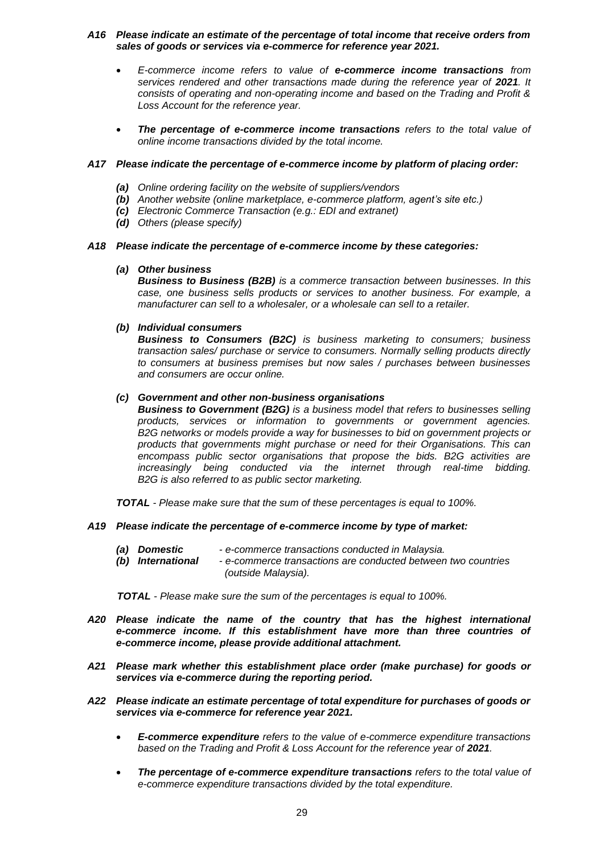### *A16 Please indicate an estimate of the percentage of total income that receive orders from sales of goods or services via e-commerce for reference year 2021.*

- *E-commerce income refers to value of e-commerce income transactions from services rendered and other transactions made during the reference year of 2021. It consists of operating and non-operating income and based on the Trading and Profit & Loss Account for the reference year.*
- *The percentage of e-commerce income transactions refers to the total value of online income transactions divided by the total income.*

### *A17 Please indicate the percentage of e-commerce income by platform of placing order:*

- *(a) Online ordering facility on the website of suppliers/vendors*
- *(b) Another website (online marketplace, e-commerce platform, agent's site etc.)*
- *(c) Electronic Commerce Transaction (e.g.: EDI and extranet)*
- *(d) Others (please specify)*

### *A18 Please indicate the percentage of e-commerce income by these categories:*

### *(a) Other business*

*Business to Business (B2B) is a commerce transaction between businesses. In this case, one business sells products or services to another business. For example, a manufacturer can sell to a wholesaler, or a wholesale can sell to a retailer.*

### *(b) Individual consumers*

*Business to Consumers (B2C) is business marketing to consumers; business transaction sales/ purchase or service to consumers. Normally selling products directly to consumers at business premises but now sales / purchases between businesses and consumers are occur online.*

### *(c) Government and other non-business organisations*

*Business to Government (B2G) is a business model that refers to businesses selling products, services or information to governments or government agencies. B2G networks or models provide a way for businesses to bid on government projects or products that governments might purchase or need for their Organisations. This can encompass public sector organisations that propose the bids. B2G activities are increasingly being conducted via the internet through real-time bidding. B2G is also referred to as public sector marketing.*

*TOTAL - Please make sure that the sum of these percentages is equal to 100%.*

#### *A19 Please indicate the percentage of e-commerce income by type of market:*

- *(a) Domestic - e-commerce transactions conducted in Malaysia.*
- *(b) International - e-commerce transactions are conducted between two countries (outside Malaysia).*

 *TOTAL - Please make sure the sum of the percentages is equal to 100%.*

- *A20 Please indicate the name of the country that has the highest international*  e-commerce income. If this establishment have more than three countries of *e-commerce income, please provide additional attachment.*
- *A21 Please mark whether this establishment place order (make purchase) for goods or services via e-commerce during the reporting period.*
- *A22 Please indicate an estimate percentage of total expenditure for purchases of goods or services via e-commerce for reference year 2021.*
	- *E-commerce expenditure refers to the value of e-commerce expenditure transactions*  based on the Trading and Profit & Loss Account for the reference year of 2021.
	- *The percentage of e-commerce expenditure transactions refers to the total value of e-commerce expenditure transactions divided by the total expenditure.*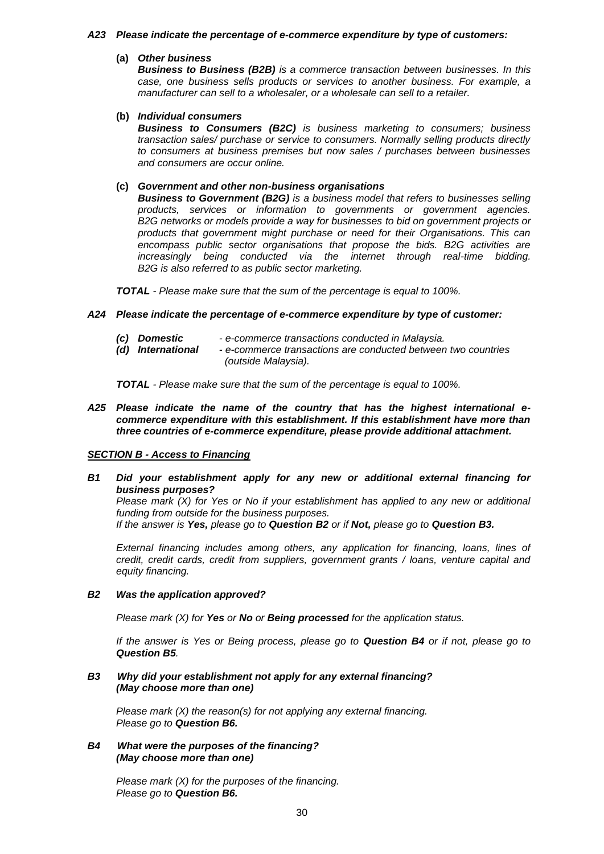#### *A23 Please indicate the percentage of e-commerce expenditure by type of customers:*

# **(a)** *Other business*

*Business to Business (B2B) is a commerce transaction between businesses. In this case, one business sells products or services to another business. For example, a manufacturer can sell to a wholesaler, or a wholesale can sell to a retailer.*

#### **(b)** *Individual consumers*

*Business to Consumers (B2C) is business marketing to consumers; business transaction sales/ purchase or service to consumers. Normally selling products directly to consumers at business premises but now sales / purchases between businesses and consumers are occur online.*

### **(c)** *Government and other non-business organisations*

*Business to Government (B2G) is a business model that refers to businesses selling products, services or information to governments or government agencies. B2G networks or models provide a way for businesses to bid on government projects or products that government might purchase or need for their Organisations. This can encompass public sector organisations that propose the bids. B2G activities are increasingly being conducted via the internet through real-time bidding. B2G is also referred to as public sector marketing.*

*TOTAL - Please make sure that the sum of the percentage is equal to 100%.*

#### *A24 Please indicate the percentage of e-commerce expenditure by type of customer:*

- *(c) Domestic - e-commerce transactions conducted in Malaysia.*
- *(d) International - e-commerce transactions are conducted between two countries (outside Malaysia).*

*TOTAL - Please make sure that the sum of the percentage is equal to 100%.*

*A25 Please indicate the name of the country that has the highest international ecommerce expenditure with this establishment. If this establishment have more than three countries of e-commerce expenditure, please provide additional attachment.*

#### *SECTION B - Access to Financing*

*B1 Did your establishment apply for any new or additional external financing for business purposes?*

 *Please mark (X) for Yes or No if your establishment has applied to any new or additional funding from outside for the business purposes.* 

*If the answer is Yes, please go to Question B2 or if Not, please go to Question B3.*

*External financing includes among others, any application for financing, loans, lines of credit, credit cards, credit from suppliers, government grants / loans, venture capital and equity financing.*

#### *B2 Was the application approved?*

*Please mark (X) for Yes or No or Being processed for the application status.*

*If the answer is Yes or Being process, please go to Question B4 or if not, please go to Question B5.*

### *B3 Why did your establishment not apply for any external financing? (May choose more than one)*

*Please mark (X) the reason(s) for not applying any external financing. Please go to Question B6.*

#### *B4 What were the purposes of the financing? (May choose more than one)*

*Please mark (X) for the purposes of the financing. Please go to Question B6.*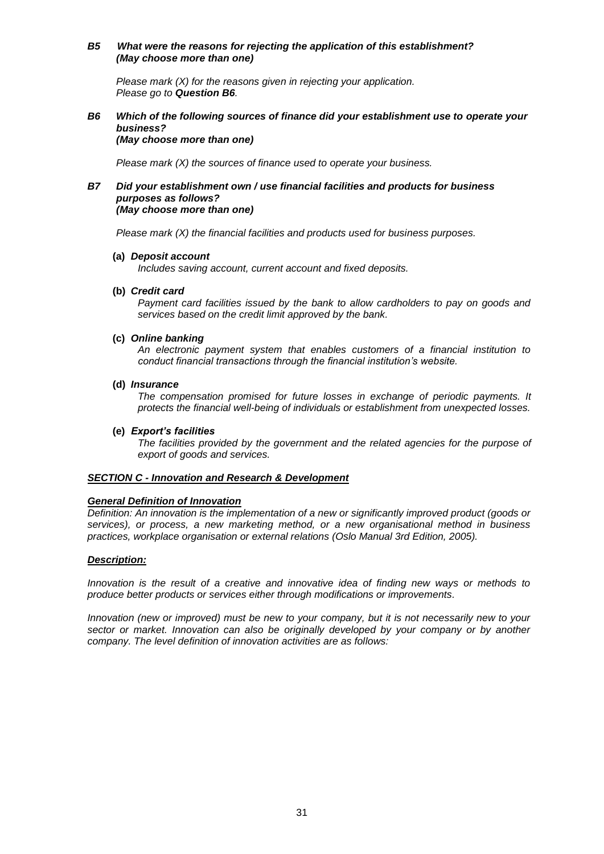### *B5 What were the reasons for rejecting the application of this establishment? (May choose more than one)*

*Please mark (X) for the reasons given in rejecting your application. Please go to Question B6.*

#### *B6 Which of the following sources of finance did your establishment use to operate your business? (May choose more than one)*

*Please mark (X) the sources of finance used to operate your business.*

#### *B7 Did your establishment own / use financial facilities and products for business purposes as follows? (May choose more than one)*

*Please mark (X) the financial facilities and products used for business purposes.* 

#### **(a)** *Deposit account*

*Includes saving account, current account and fixed deposits.*

#### **(b)** *Credit card*

*Payment card facilities issued by the bank to allow cardholders to pay on goods and services based on the credit limit approved by the bank.*

#### **(c)** *Online banking*

*An electronic payment system that enables customers of a financial institution to conduct financial transactions through the financial institution's website.*

#### **(d)** *Insurance*

*The compensation promised for future losses in exchange of periodic payments. It protects the financial well-being of individuals or establishment from unexpected losses.*

### **(e)** *Export's facilities*

*The facilities provided by the government and the related agencies for the purpose of export of goods and services.*

#### *SECTION C - Innovation and Research & Development*

# *General Definition of Innovation*

*Definition: An innovation is the implementation of a new or significantly improved product (goods or services), or process, a new marketing method, or a new organisational method in business practices, workplace organisation or external relations (Oslo Manual 3rd Edition, 2005).*

# *Description:*

*Innovation is the result of a creative and innovative idea of finding new ways or methods to produce better products or services either through modifications or improvements.*

*Innovation (new or improved) must be new to your company, but it is not necessarily new to your sector or market. Innovation can also be originally developed by your company or by another company. The level definition of innovation activities are as follows:*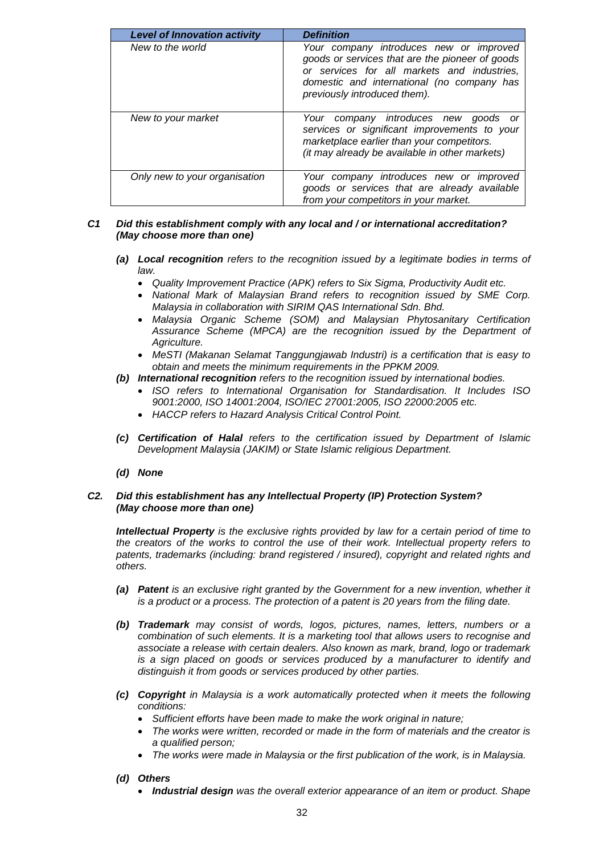| <b>Level of Innovation activity</b> | <b>Definition</b>                                                                                                                                                                                                       |
|-------------------------------------|-------------------------------------------------------------------------------------------------------------------------------------------------------------------------------------------------------------------------|
| New to the world                    | Your company introduces new or improved<br>goods or services that are the pioneer of goods<br>or services for all markets and industries,<br>domestic and international (no company has<br>previously introduced them). |
| New to your market                  | Your company introduces new goods or<br>services or significant improvements to your<br>marketplace earlier than your competitors.<br>(it may already be available in other markets)                                    |
| Only new to your organisation       | Your company introduces new or improved<br>goods or services that are already available<br>from your competitors in your market.                                                                                        |

### *C1 Did this establishment comply with any local and / or international accreditation? (May choose more than one)*

- *(a) Local recognition refers to the recognition issued by a legitimate bodies in terms of law.* 
	- *Quality Improvement Practice (APK) refers to Six Sigma, Productivity Audit etc.*
	- *National Mark of Malaysian Brand refers to recognition issued by SME Corp. Malaysia in collaboration with SIRIM QAS International Sdn. Bhd.*
	- *Malaysia Organic Scheme (SOM) and Malaysian Phytosanitary Certification*  Assurance Scheme (MPCA) are the recognition issued by the Department of *Agriculture.*
	- *MeSTI (Makanan Selamat Tanggungjawab Industri) is a certification that is easy to obtain and meets the minimum requirements in the PPKM 2009.*
- *(b) International recognition refers to the recognition issued by international bodies.*
	- *ISO refers to International Organisation for Standardisation. It Includes ISO 9001:2000, ISO 14001:2004, ISO/IEC 27001:2005, ISO 22000:2005 etc.*
	- *HACCP refers to Hazard Analysis Critical Control Point.*
- *(c) Certification of Halal refers to the certification issued by Department of Islamic Development Malaysia (JAKIM) or State Islamic religious Department.*
- *(d) None*

### *C2. Did this establishment has any Intellectual Property (IP) Protection System? (May choose more than one)*

*Intellectual Property is the exclusive rights provided by law for a certain period of time to the creators of the works to control the use of their work. Intellectual property refers to patents, trademarks (including: brand registered / insured), copyright and related rights and others.*

- *(a) Patent is an exclusive right granted by the Government for a new invention, whether it is a product or a process. The protection of a patent is 20 years from the filing date.*
- *(b) Trademark may consist of words, logos, pictures, names, letters, numbers or a combination of such elements. It is a marketing tool that allows users to recognise and associate a release with certain dealers. Also known as mark, brand, logo or trademark is a sign placed on goods or services produced by a manufacturer to identify and distinguish it from goods or services produced by other parties.*
- *(c) Copyright in Malaysia is a work automatically protected when it meets the following conditions:*
	- *Sufficient efforts have been made to make the work original in nature;*
	- *The works were written, recorded or made in the form of materials and the creator is a qualified person;*
	- *The works were made in Malaysia or the first publication of the work, is in Malaysia.*
- *(d) Others*
	- *Industrial design was the overall exterior appearance of an item or product. Shape*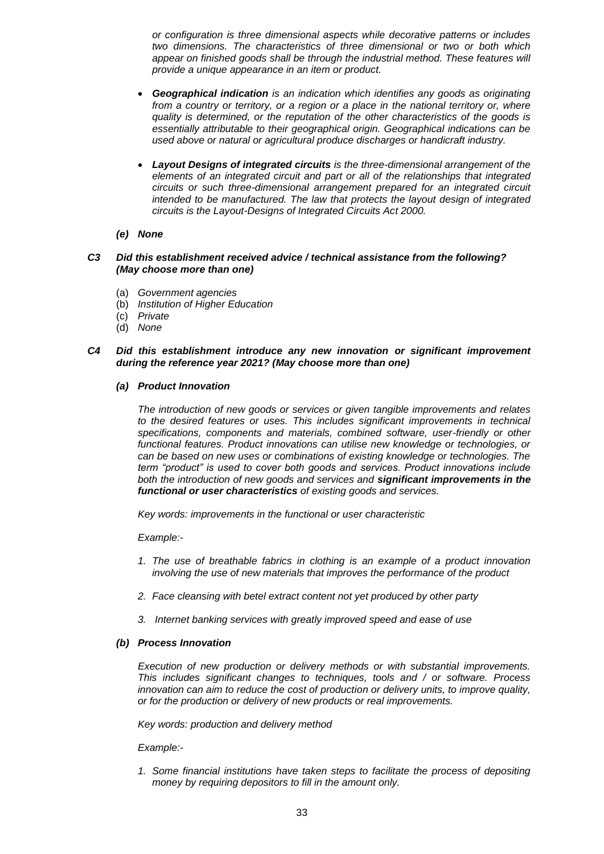*or configuration is three dimensional aspects while decorative patterns or includes two dimensions. The characteristics of three dimensional or two or both which appear on finished goods shall be through the industrial method. These features will provide a unique appearance in an item or product.*

- *Geographical indication is an indication which identifies any goods as originating from a country or territory, or a region or a place in the national territory or, where quality is determined, or the reputation of the other characteristics of the goods is essentially attributable to their geographical origin. Geographical indications can be used above or natural or agricultural produce discharges or handicraft industry.*
- *Layout Designs of integrated circuits is the three-dimensional arrangement of the elements of an integrated circuit and part or all of the relationships that integrated circuits or such three-dimensional arrangement prepared for an integrated circuit intended to be manufactured. The law that protects the layout design of integrated circuits is the Layout-Designs of Integrated Circuits Act 2000.*

#### *(e) None*

#### *C3 Did this establishment received advice / technical assistance from the following? (May choose more than one)*

- (a) *Government agencies*
- (b) *Institution of Higher Education*
- (c) *Private*
- (d) *None*

### *C4 Did this establishment introduce any new innovation or significant improvement during the reference year 2021? (May choose more than one)*

#### *(a) Product Innovation*

*The introduction of new goods or services or given tangible improvements and relates to the desired features or uses. This includes significant improvements in technical specifications, components and materials, combined software, user-friendly or other functional features. Product innovations can utilise new knowledge or technologies, or can be based on new uses or combinations of existing knowledge or technologies. The term "product" is used to cover both goods and services. Product innovations include both the introduction of new goods and services and significant improvements in the functional or user characteristics of existing goods and services.*

*Key words: improvements in the functional or user characteristic*

*Example:-*

- *1. The use of breathable fabrics in clothing is an example of a product innovation involving the use of new materials that improves the performance of the product*
- *2. Face cleansing with betel extract content not yet produced by other party*
- *3. Internet banking services with greatly improved speed and ease of use*

#### *(b) Process Innovation*

*Execution of new production or delivery methods or with substantial improvements. This includes significant changes to techniques, tools and / or software. Process innovation can aim to reduce the cost of production or delivery units, to improve quality, or for the production or delivery of new products or real improvements.*

*Key words: production and delivery method*

*Example:-*

*1. Some financial institutions have taken steps to facilitate the process of depositing money by requiring depositors to fill in the amount only.*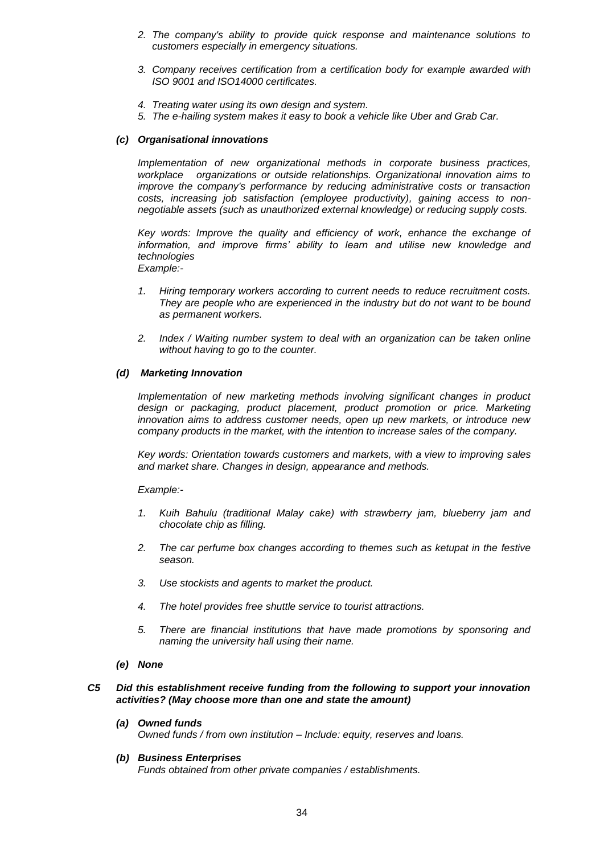- *2. The company's ability to provide quick response and maintenance solutions to customers especially in emergency situations.*
- *3. Company receives certification from a certification body for example awarded with ISO 9001 and ISO14000 certificates.*
- *4. Treating water using its own design and system.*
- *5. The e-hailing system makes it easy to book a vehicle like Uber and Grab Car.*

#### *(c) Organisational innovations*

*Implementation of new organizational methods in corporate business practices, workplace organizations or outside relationships. Organizational innovation aims to improve the company's performance by reducing administrative costs or transaction costs, increasing job satisfaction (employee productivity), gaining access to nonnegotiable assets (such as unauthorized external knowledge) or reducing supply costs.*

*Key words: Improve the quality and efficiency of work, enhance the exchange of*  information, and improve firms' ability to learn and utilise new knowledge and *technologies Example:-*

- *1. Hiring temporary workers according to current needs to reduce recruitment costs. They are people who are experienced in the industry but do not want to be bound as permanent workers.*
- *2. Index / Waiting number system to deal with an organization can be taken online without having to go to the counter.*

#### *(d) Marketing Innovation*

*Implementation of new marketing methods involving significant changes in product*  design or packaging, product placement, product promotion or price. Marketing *innovation aims to address customer needs, open up new markets, or introduce new company products in the market, with the intention to increase sales of the company.*

*Key words: Orientation towards customers and markets, with a view to improving sales and market share. Changes in design, appearance and methods.*

*Example:-*

- *1. Kuih Bahulu (traditional Malay cake) with strawberry jam, blueberry jam and chocolate chip as filling.*
- *2. The car perfume box changes according to themes such as ketupat in the festive season.*
- *3. Use stockists and agents to market the product.*
- *4. The hotel provides free shuttle service to tourist attractions.*
- *5. There are financial institutions that have made promotions by sponsoring and naming the university hall using their name.*
- *(e) None*

### *C5 Did this establishment receive funding from the following to support your innovation activities? (May choose more than one and state the amount)*

*(a) Owned funds*

*Owned funds / from own institution – Include: equity, reserves and loans.*

#### *(b) Business Enterprises*

*Funds obtained from other private companies / establishments.*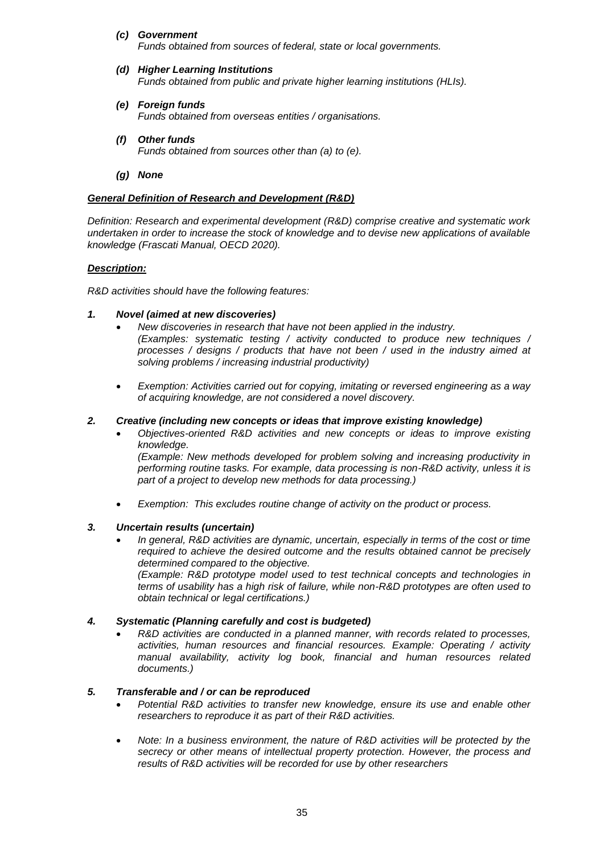*(c) Government*

*Funds obtained from sources of federal, state or local governments.*

- *(d) Higher Learning Institutions Funds obtained from public and private higher learning institutions (HLIs).*
- *(e) Foreign funds Funds obtained from overseas entities / organisations.*
- *(f) Other funds Funds obtained from sources other than (a) to (e).*
- *(g) None*

### *General Definition of Research and Development (R&D)*

*Definition: Research and experimental development (R&D) comprise creative and systematic work undertaken in order to increase the stock of knowledge and to devise new applications of available knowledge (Frascati Manual, OECD 2020).*

# *Description:*

*R&D activities should have the following features:*

# *1. Novel (aimed at new discoveries)*

- *New discoveries in research that have not been applied in the industry. (Examples: systematic testing / activity conducted to produce new techniques / processes / designs / products that have not been / used in the industry aimed at solving problems / increasing industrial productivity)*
- *Exemption: Activities carried out for copying, imitating or reversed engineering as a way of acquiring knowledge, are not considered a novel discovery.*

### *2. Creative (including new concepts or ideas that improve existing knowledge)*

- *Objectives-oriented R&D activities and new concepts or ideas to improve existing knowledge. (Example: New methods developed for problem solving and increasing productivity in performing routine tasks. For example, data processing is non-R&D activity, unless it is part of a project to develop new methods for data processing.)*
- *Exemption: This excludes routine change of activity on the product or process.*

# *3. Uncertain results (uncertain)*

• *In general, R&D activities are dynamic, uncertain, especially in terms of the cost or time required to achieve the desired outcome and the results obtained cannot be precisely determined compared to the objective. (Example: R&D prototype model used to test technical concepts and technologies in* 

*terms of usability has a high risk of failure, while non-R&D prototypes are often used to obtain technical or legal certifications.)*

# *4. Systematic (Planning carefully and cost is budgeted)*

• *R&D activities are conducted in a planned manner, with records related to processes, activities, human resources and financial resources. Example: Operating / activity manual availability, activity log book, financial and human resources related documents.)*

# *5. Transferable and / or can be reproduced*

- *Potential R&D activities to transfer new knowledge, ensure its use and enable other researchers to reproduce it as part of their R&D activities.*
- *Note: In a business environment, the nature of R&D activities will be protected by the secrecy or other means of intellectual property protection. However, the process and results of R&D activities will be recorded for use by other researchers*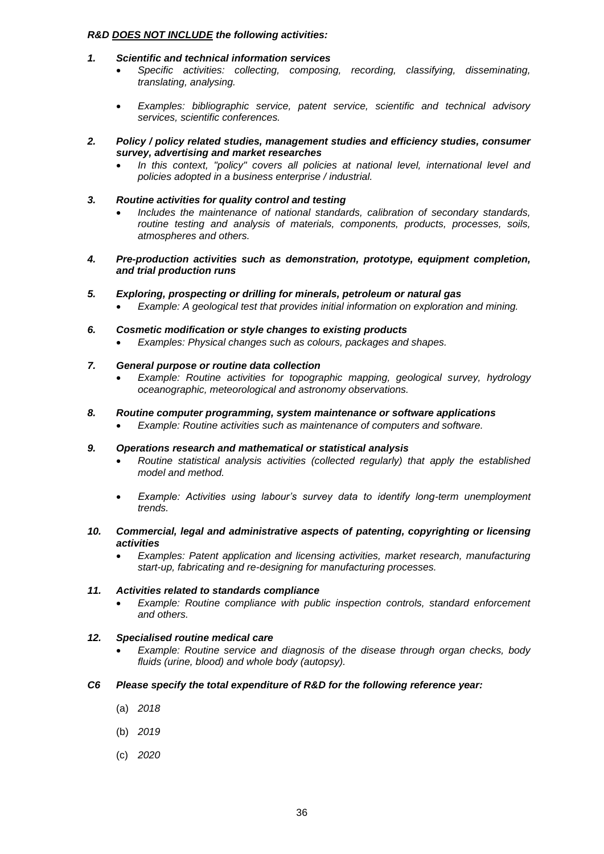#### *R&D DOES NOT INCLUDE the following activities:*

- *1. Scientific and technical information services*
	- *Specific activities: collecting, composing, recording, classifying, disseminating, translating, analysing.*
	- *Examples: bibliographic service, patent service, scientific and technical advisory services, scientific conferences.*
- *2. Policy / policy related studies, management studies and efficiency studies, consumer survey, advertising and market researches*
	- *In this context, "policy" covers all policies at national level, international level and policies adopted in a business enterprise / industrial.*
- *3. Routine activities for quality control and testing*
	- *Includes the maintenance of national standards, calibration of secondary standards, routine testing and analysis of materials, components, products, processes, soils, atmospheres and others.*
- *4. Pre-production activities such as demonstration, prototype, equipment completion, and trial production runs*
- *5. Exploring, prospecting or drilling for minerals, petroleum or natural gas*
	- *Example: A geological test that provides initial information on exploration and mining.*
- *6. Cosmetic modification or style changes to existing products*
	- *Examples: Physical changes such as colours, packages and shapes.*
- *7. General purpose or routine data collection*
	- *Example: Routine activities for topographic mapping, geological survey, hydrology oceanographic, meteorological and astronomy observations.*
- *8. Routine computer programming, system maintenance or software applications*
	- *Example: Routine activities such as maintenance of computers and software.*

#### *9. Operations research and mathematical or statistical analysis*

- *Routine statistical analysis activities (collected regularly) that apply the established model and method.*
- *Example: Activities using labour's survey data to identify long-term unemployment trends.*
- *10. Commercial, legal and administrative aspects of patenting, copyrighting or licensing activities*
	- *Examples: Patent application and licensing activities, market research, manufacturing start-up, fabricating and re-designing for manufacturing processes.*

#### *11. Activities related to standards compliance*

• *Example: Routine compliance with public inspection controls, standard enforcement and others.*

# *12. Specialised routine medical care*

• *Example: Routine service and diagnosis of the disease through organ checks, body fluids (urine, blood) and whole body (autopsy).*

# *C6 Please specify the total expenditure of R&D for the following reference year:*

- (a) *2018*
- (b) *2019*
- (c) *2020*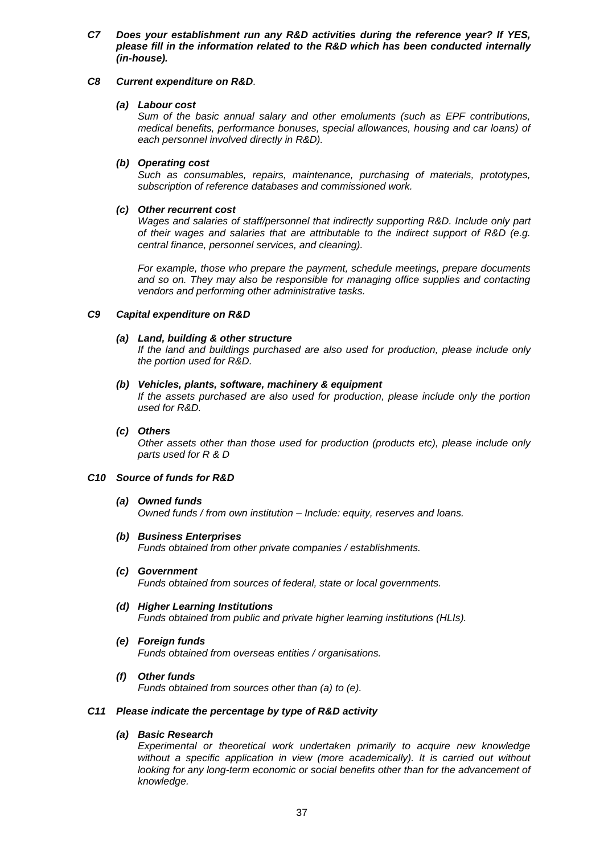*C7 Does your establishment run any R&D activities during the reference year? If YES, please fill in the information related to the R&D which has been conducted internally (in-house).*

### *C8 Current expenditure on R&D.*

#### *(a) Labour cost*

*Sum of the basic annual salary and other emoluments (such as EPF contributions, medical benefits, performance bonuses, special allowances, housing and car loans) of each personnel involved directly in R&D).* 

### *(b) Operating cost*

*Such as consumables, repairs, maintenance, purchasing of materials, prototypes, subscription of reference databases and commissioned work.*

### *(c) Other recurrent cost*

*Wages and salaries of staff/personnel that indirectly supporting R&D. Include only part of their wages and salaries that are attributable to the indirect support of R&D (e.g. central finance, personnel services, and cleaning).*

*For example, those who prepare the payment, schedule meetings, prepare documents and so on. They may also be responsible for managing office supplies and contacting vendors and performing other administrative tasks.*

# *C9 Capital expenditure on R&D*

### *(a) Land, building & other structure*

*If the land and buildings purchased are also used for production, please include only the portion used for R&D.*

#### *(b) Vehicles, plants, software, machinery & equipment*

*If the assets purchased are also used for production, please include only the portion used for R&D.*

### *(c) Others*

*Other assets other than those used for production (products etc), please include only parts used for R & D*

#### *C10 Source of funds for R&D*

#### *(a) Owned funds*

*Owned funds / from own institution – Include: equity, reserves and loans.*

- *(b) Business Enterprises Funds obtained from other private companies / establishments.*
- *(c) Government Funds obtained from sources of federal, state or local governments.*
- *(d) Higher Learning Institutions Funds obtained from public and private higher learning institutions (HLIs).*
- *(e) Foreign funds Funds obtained from overseas entities / organisations.*
- *(f) Other funds*

*Funds obtained from sources other than (a) to (e).*

#### *C11 Please indicate the percentage by type of R&D activity*

# *(a) Basic Research*

*Experimental or theoretical work undertaken primarily to acquire new knowledge*  without a specific application in view (more academically). It is carried out without *looking for any long-term economic or social benefits other than for the advancement of knowledge.*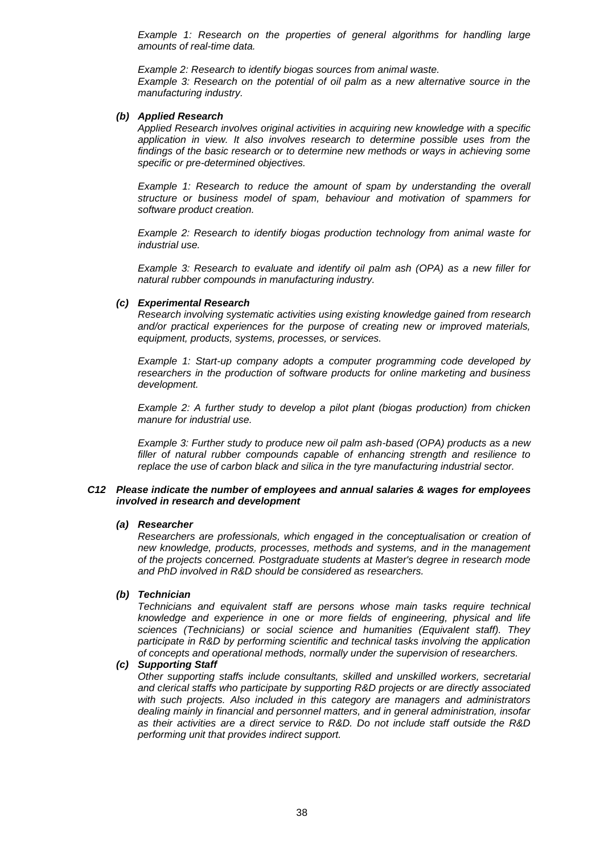*Example 1: Research on the properties of general algorithms for handling large amounts of real-time data.*

*Example 2: Research to identify biogas sources from animal waste.*

*Example 3: Research on the potential of oil palm as a new alternative source in the manufacturing industry.*

#### *(b) Applied Research*

*Applied Research involves original activities in acquiring new knowledge with a specific application in view. It also involves research to determine possible uses from the findings of the basic research or to determine new methods or ways in achieving some specific or pre-determined objectives.*

*Example 1: Research to reduce the amount of spam by understanding the overall structure or business model of spam, behaviour and motivation of spammers for software product creation.*

*Example 2: Research to identify biogas production technology from animal waste for industrial use.*

*Example 3: Research to evaluate and identify oil palm ash (OPA) as a new filler for natural rubber compounds in manufacturing industry.*

#### *(c) Experimental Research*

*Research involving systematic activities using existing knowledge gained from research and/or practical experiences for the purpose of creating new or improved materials, equipment, products, systems, processes, or services.*

*Example 1: Start-up company adopts a computer programming code developed by researchers in the production of software products for online marketing and business development.*

*Example 2: A further study to develop a pilot plant (biogas production) from chicken manure for industrial use.*

*Example 3: Further study to produce new oil palm ash-based (OPA) products as a new filler of natural rubber compounds capable of enhancing strength and resilience to replace the use of carbon black and silica in the tyre manufacturing industrial sector.*

#### *C12 Please indicate the number of employees and annual salaries & wages for employees involved in research and development*

#### *(a) Researcher*

*Researchers are professionals, which engaged in the conceptualisation or creation of new knowledge, products, processes, methods and systems, and in the management of the projects concerned. Postgraduate students at Master's degree in research mode and PhD involved in R&D should be considered as researchers.*

#### *(b) Technician*

*Technicians and equivalent staff are persons whose main tasks require technical knowledge and experience in one or more fields of engineering, physical and life sciences (Technicians) or social science and humanities (Equivalent staff). They participate in R&D by performing scientific and technical tasks involving the application of concepts and operational methods, normally under the supervision of researchers.*

#### *(c) Supporting Staff*

*Other supporting staffs include consultants, skilled and unskilled workers, secretarial and clerical staffs who participate by supporting R&D projects or are directly associated with such projects. Also included in this category are managers and administrators dealing mainly in financial and personnel matters, and in general administration, insofar as their activities are a direct service to R&D. Do not include staff outside the R&D performing unit that provides indirect support.*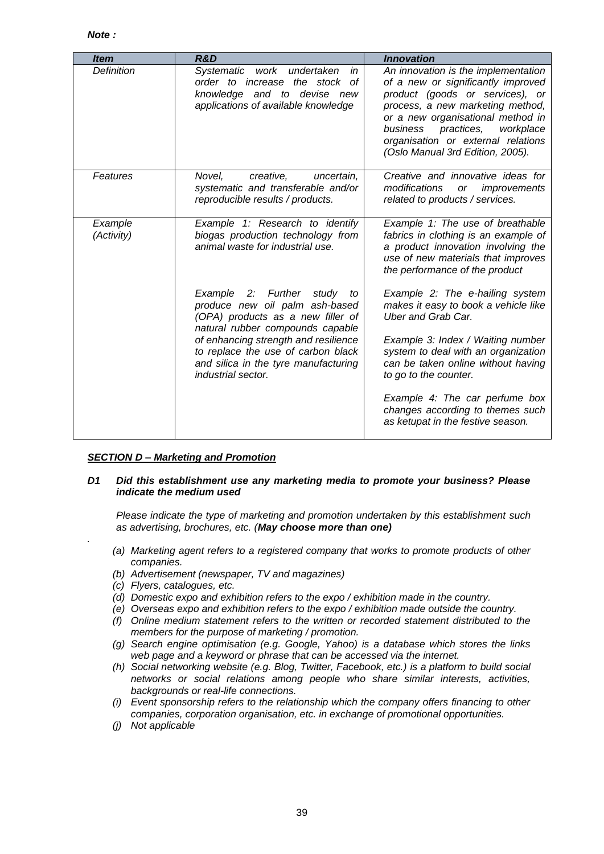| <b>Item</b>           | R&D                                                                                                                                                | <b>Innovation</b>                                                                                                                                                                                                                                                                                      |
|-----------------------|----------------------------------------------------------------------------------------------------------------------------------------------------|--------------------------------------------------------------------------------------------------------------------------------------------------------------------------------------------------------------------------------------------------------------------------------------------------------|
| Definition            | <b>Systematic</b><br>work undertaken<br>in<br>order to increase the stock of<br>knowledge and to devise new<br>applications of available knowledge | An innovation is the implementation<br>of a new or significantly improved<br>product (goods or services), or<br>process, a new marketing method,<br>or a new organisational method in<br>practices,<br>business<br>workplace<br>organisation or external relations<br>(Oslo Manual 3rd Edition, 2005). |
| Features              | Novel,<br>creative,<br>uncertain,<br>systematic and transferable and/or<br>reproducible results / products.                                        | Creative and innovative ideas for<br>modifications<br>improvements<br>or<br>related to products / services.                                                                                                                                                                                            |
| Example<br>(Activity) | Example 1: Research to identify<br>biogas production technology from<br>animal waste for industrial use.                                           | Example 1: The use of breathable<br>fabrics in clothing is an example of<br>a product innovation involving the<br>use of new materials that improves<br>the performance of the product                                                                                                                 |
|                       | Example 2: Further<br>study<br>to<br>produce new oil palm ash-based<br>(OPA) products as a new filler of<br>natural rubber compounds capable       | Example 2: The e-hailing system<br>makes it easy to book a vehicle like<br><b>Uber and Grab Car.</b>                                                                                                                                                                                                   |
|                       | of enhancing strength and resilience<br>to replace the use of carbon black<br>and silica in the tyre manufacturing<br>industrial sector.           | Example 3: Index / Waiting number<br>system to deal with an organization<br>can be taken online without having<br>to go to the counter.                                                                                                                                                                |
|                       |                                                                                                                                                    | Example 4: The car perfume box<br>changes according to themes such<br>as ketupat in the festive season.                                                                                                                                                                                                |

# *SECTION D – Marketing and Promotion*

### *D1 Did this establishment use any marketing media to promote your business? Please indicate the medium used*

*Please indicate the type of marketing and promotion undertaken by this establishment such as advertising, brochures, etc. (May choose more than one)*

- *(a) Marketing agent refers to a registered company that works to promote products of other companies.*
- *(b) Advertisement (newspaper, TV and magazines)*
- *(c) Flyers, catalogues, etc.*

*.*

- *(d) Domestic expo and exhibition refers to the expo / exhibition made in the country.*
- *(e) Overseas expo and exhibition refers to the expo / exhibition made outside the country.*
- *(f) Online medium statement refers to the written or recorded statement distributed to the members for the purpose of marketing / promotion.*
- *(g) Search engine optimisation (e.g. Google, Yahoo) is a database which stores the links web page and a keyword or phrase that can be accessed via the internet.*
- *(h) Social networking website (e.g. Blog, Twitter, Facebook, etc.) is a platform to build social networks or social relations among people who share similar interests, activities, backgrounds or real-life connections.*
- *(i) Event sponsorship refers to the relationship which the company offers financing to other companies, corporation organisation, etc. in exchange of promotional opportunities.*
- *(j) Not applicable*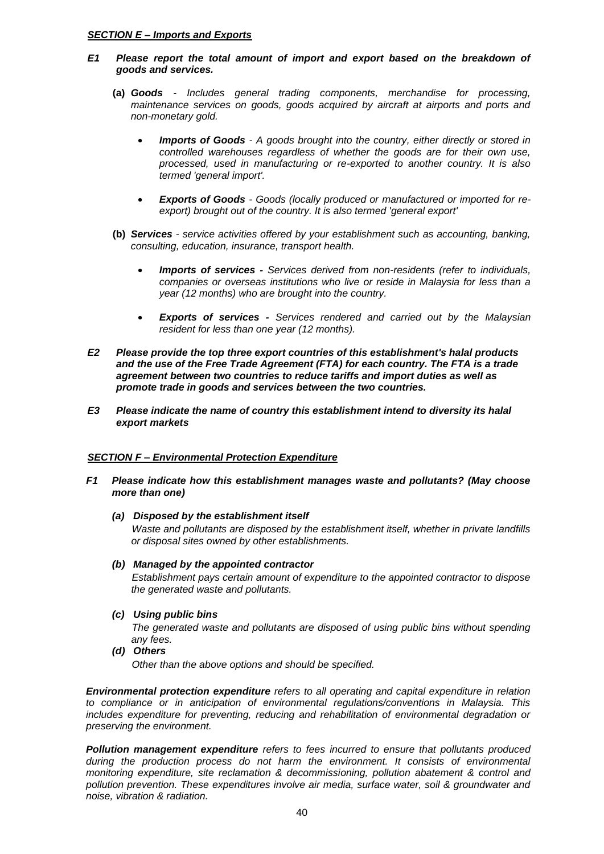### *SECTION E – Imports and Exports*

### *E1 Please report the total amount of import and export based on the breakdown of goods and services.*

- **(a)** *Goods - Includes general trading components, merchandise for processing, maintenance services on goods, goods acquired by aircraft at airports and ports and non-monetary gold.*
	- *Imports of Goods - A goods brought into the country, either directly or stored in controlled warehouses regardless of whether the goods are for their own use, processed, used in manufacturing or re-exported to another country. It is also termed 'general import'.*
	- *Exports of Goods - Goods (locally produced or manufactured or imported for reexport) brought out of the country. It is also termed 'general export'*
- **(b)** *Services - service activities offered by your establishment such as accounting, banking, consulting, education, insurance, transport health.*
	- *Imports of services - Services derived from non-residents (refer to individuals, companies or overseas institutions who live or reside in Malaysia for less than a year (12 months) who are brought into the country.*
	- *Exports of services - Services rendered and carried out by the Malaysian resident for less than one year (12 months).*
- *E2 Please provide the top three export countries of this establishment's halal products and the use of the Free Trade Agreement (FTA) for each country. The FTA is a trade agreement between two countries to reduce tariffs and import duties as well as promote trade in goods and services between the two countries.*
- *E3 Please indicate the name of country this establishment intend to diversity its halal export markets*

#### *SECTION F – Environmental Protection Expenditure*

- *F1 Please indicate how this establishment manages waste and pollutants? (May choose more than one)*
	- *(a) Disposed by the establishment itself*

*Waste and pollutants are disposed by the establishment itself, whether in private landfills or disposal sites owned by other establishments.*

#### *(b) Managed by the appointed contractor*

*Establishment pays certain amount of expenditure to the appointed contractor to dispose the generated waste and pollutants.*

*(c) Using public bins*

*The generated waste and pollutants are disposed of using public bins without spending any fees.* 

*(d) Others*

*Other than the above options and should be specified.*

*Environmental protection expenditure refers to all operating and capital expenditure in relation to compliance or in anticipation of environmental regulations/conventions in Malaysia. This includes expenditure for preventing, reducing and rehabilitation of environmental degradation or preserving the environment.*

*Pollution management expenditure refers to fees incurred to ensure that pollutants produced during the production process do not harm the environment. It consists of environmental monitoring expenditure, site reclamation & decommissioning, pollution abatement & control and pollution prevention. These expenditures involve air media, surface water, soil & groundwater and noise, vibration & radiation.*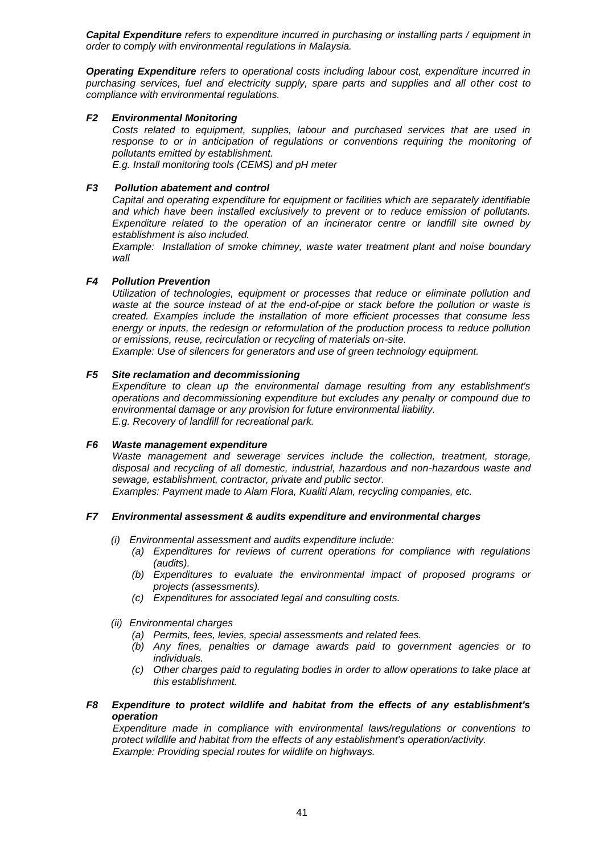*Capital Expenditure refers to expenditure incurred in purchasing or installing parts / equipment in order to comply with environmental regulations in Malaysia.*

*Operating Expenditure refers to operational costs including labour cost, expenditure incurred in purchasing services, fuel and electricity supply, spare parts and supplies and all other cost to compliance with environmental regulations.*

### *F2 Environmental Monitoring*

*Costs related to equipment, supplies, labour and purchased services that are used in response to or in anticipation of regulations or conventions requiring the monitoring of pollutants emitted by establishment. E.g. Install monitoring tools (CEMS) and pH meter*

*F3 Pollution abatement and control*

*Capital and operating expenditure for equipment or facilities which are separately identifiable and which have been installed exclusively to prevent or to reduce emission of pollutants. Expenditure related to the operation of an incinerator centre or landfill site owned by establishment is also included.* 

*Example: Installation of smoke chimney, waste water treatment plant and noise boundary wall*

### *F4 Pollution Prevention*

*Utilization of technologies, equipment or processes that reduce or eliminate pollution and waste at the source instead of at the end-of-pipe or stack before the pollution or waste is created. Examples include the installation of more efficient processes that consume less energy or inputs, the redesign or reformulation of the production process to reduce pollution or emissions, reuse, recirculation or recycling of materials on-site.*

*Example: Use of silencers for generators and use of green technology equipment.*

### *F5 Site reclamation and decommissioning*

*Expenditure to clean up the environmental damage resulting from any establishment's operations and decommissioning expenditure but excludes any penalty or compound due to environmental damage or any provision for future environmental liability. E.g. Recovery of landfill for recreational park.*

#### *F6 Waste management expenditure*

*Waste management and sewerage services include the collection, treatment, storage, disposal and recycling of all domestic, industrial, hazardous and non-hazardous waste and sewage, establishment, contractor, private and public sector.* 

*Examples: Payment made to Alam Flora, Kualiti Alam, recycling companies, etc.*

#### *F7 Environmental assessment & audits expenditure and environmental charges*

- *(i) Environmental assessment and audits expenditure include:*
	- *(a) Expenditures for reviews of current operations for compliance with regulations (audits).*
	- *(b) Expenditures to evaluate the environmental impact of proposed programs or projects (assessments).*
	- *(c) Expenditures for associated legal and consulting costs.*
- *(ii) Environmental charges*
	- *(a) Permits, fees, levies, special assessments and related fees.*
	- *(b) Any fines, penalties or damage awards paid to government agencies or to individuals.*
	- *(c) Other charges paid to regulating bodies in order to allow operations to take place at this establishment.*

#### *F8 Expenditure to protect wildlife and habitat from the effects of any establishment's operation*

*Expenditure made in compliance with environmental laws/regulations or conventions to protect wildlife and habitat from the effects of any establishment's operation/activity. Example: Providing special routes for wildlife on highways.*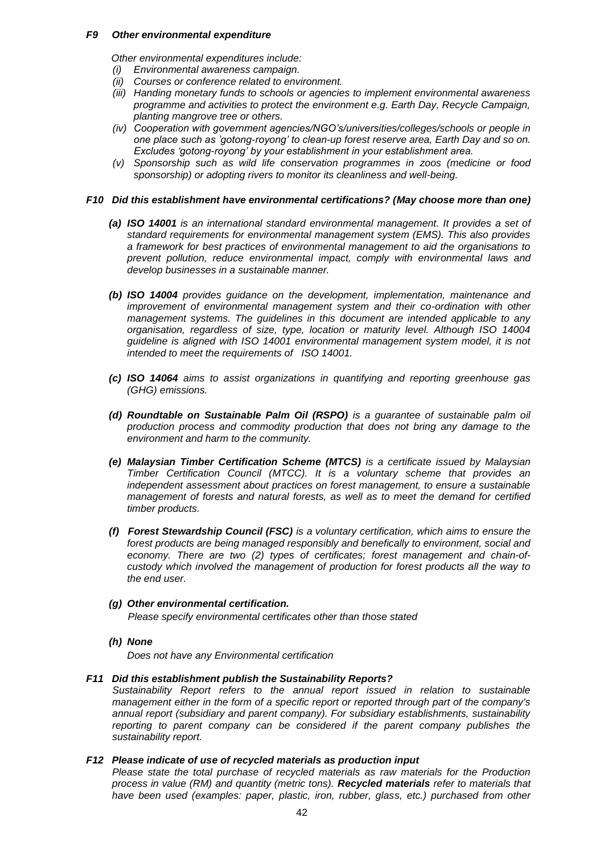#### *F9 Other environmental expenditure*

*Other environmental expenditures include:*

- *(i) Environmental awareness campaign.*
- *(ii) Courses or conference related to environment.*
- *(iii) Handing monetary funds to schools or agencies to implement environmental awareness programme and activities to protect the environment e.g. Earth Day, Recycle Campaign, planting mangrove tree or others.*
- *(iv) Cooperation with government agencies/NGO's/universities/colleges/schools or people in one place such as 'gotong-royong' to clean-up forest reserve area, Earth Day and so on. Excludes 'gotong-royong' by your establishment in your establishment area.*
- *(v) Sponsorship such as wild life conservation programmes in zoos (medicine or food sponsorship) or adopting rivers to monitor its cleanliness and well-being.*

#### *F10 Did this establishment have environmental certifications? (May choose more than one)*

- *(a) ISO 14001 is an international standard environmental management. It provides a set of standard requirements for environmental management system (EMS). This also provides a framework for best practices of environmental management to aid the organisations to prevent pollution, reduce environmental impact, comply with environmental laws and develop businesses in a sustainable manner.*
- *(b) ISO 14004 provides guidance on the development, implementation, maintenance and improvement of environmental management system and their co-ordination with other management systems. The guidelines in this document are intended applicable to any organisation, regardless of size, type, location or maturity level. Although ISO 14004 guideline is aligned with ISO 14001 environmental management system model, it is not intended to meet the requirements of ISO 14001.*
- *(c) ISO 14064 aims to assist organizations in quantifying and reporting greenhouse gas (GHG) emissions.*
- *(d) Roundtable on Sustainable Palm Oil (RSPO) is a guarantee of sustainable palm oil production process and commodity production that does not bring any damage to the environment and harm to the community.*
- *(e) Malaysian Timber Certification Scheme (MTCS) is a certificate issued by Malaysian Timber Certification Council (MTCC). It is a voluntary scheme that provides an independent assessment about practices on forest management, to ensure a sustainable management of forests and natural forests, as well as to meet the demand for certified timber products.*
- *(f) Forest Stewardship Council (FSC) is a voluntary certification, which aims to ensure the forest products are being managed responsibly and benefically to environment, social and economy. There are two (2) types of certificates; forest management and chain-ofcustody which involved the management of production for forest products all the way to the end user.*
- *(g) Other environmental certification. Please specify environmental certificates other than those stated*
- *(h) None*

*Does not have any Environmental certification*

#### *F11 Did this establishment publish the Sustainability Reports?*

*Sustainability Report refers to the annual report issued in relation to sustainable management either in the form of a specific report or reported through part of the company's annual report (subsidiary and parent company). For subsidiary establishments, sustainability reporting to parent company can be considered if the parent company publishes the sustainability report.*

### *F12 Please indicate of use of recycled materials as production input*

*Please state the total purchase of recycled materials as raw materials for the Production process in value (RM) and quantity (metric tons). Recycled materials refer to materials that*  have been used (examples: paper, plastic, iron, rubber, glass, etc.) purchased from other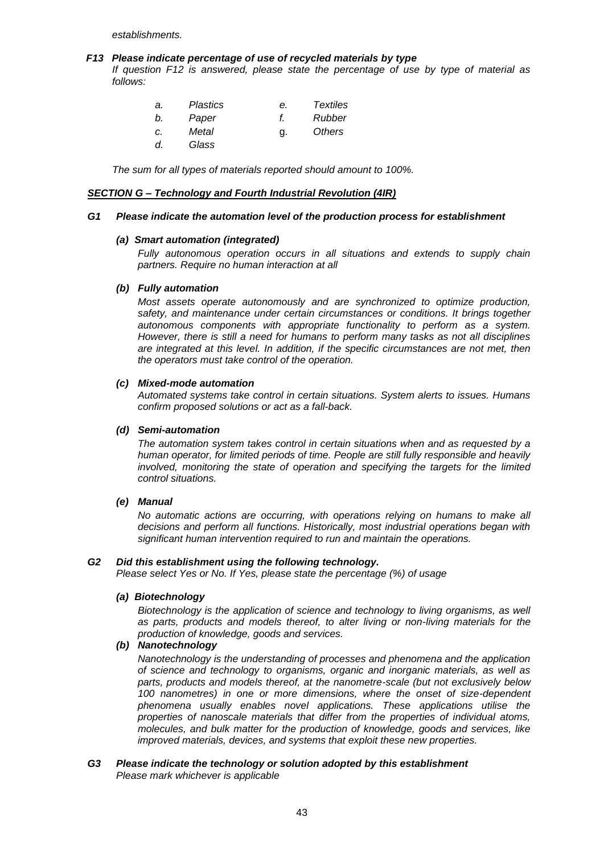*establishments.*

#### *F13 Please indicate percentage of use of recycled materials by type*

*If question F12 is answered, please state the percentage of use by type of material as follows:*

| а. | Plastics | е. | Textiles |
|----|----------|----|----------|
| b. | Paper    |    | Rubber   |
| C. | Metal    | g. | Others   |
| d. | Glass    |    |          |

*The sum for all types of materials reported should amount to 100%.*

#### *SECTION G – Technology and Fourth Industrial Revolution (4IR)*

#### *G1 Please indicate the automation level of the production process for establishment*

#### *(a) Smart automation (integrated)*

*Fully autonomous operation occurs in all situations and extends to supply chain partners. Require no human interaction at all*

#### *(b) Fully automation*

*Most assets operate autonomously and are synchronized to optimize production, safety, and maintenance under certain circumstances or conditions. It brings together autonomous components with appropriate functionality to perform as a system. However, there is still a need for humans to perform many tasks as not all disciplines are integrated at this level. In addition, if the specific circumstances are not met, then the operators must take control of the operation.* 

#### *(c) Mixed-mode automation*

*Automated systems take control in certain situations. System alerts to issues. Humans confirm proposed solutions or act as a fall-back.*

#### *(d) Semi-automation*

*The automation system takes control in certain situations when and as requested by a human operator, for limited periods of time. People are still fully responsible and heavily involved, monitoring the state of operation and specifying the targets for the limited control situations.*

#### *(e) Manual*

*No automatic actions are occurring, with operations relying on humans to make all decisions and perform all functions. Historically, most industrial operations began with significant human intervention required to run and maintain the operations.*

#### *G2 Did this establishment using the following technology.*

*Please select Yes or No. If Yes, please state the percentage (%) of usage*

#### *(a) Biotechnology*

*Biotechnology is the application of science and technology to living organisms, as well as parts, products and models thereof, to alter living or non-living materials for the production of knowledge, goods and services.*

# *(b) Nanotechnology*

*Nanotechnology is the understanding of processes and phenomena and the application of science and technology to organisms, organic and inorganic materials, as well as parts, products and models thereof, at the nanometre-scale (but not exclusively below 100 nanometres) in one or more dimensions, where the onset of size-dependent phenomena usually enables novel applications. These applications utilise the properties of nanoscale materials that differ from the properties of individual atoms, molecules, and bulk matter for the production of knowledge, goods and services, like improved materials, devices, and systems that exploit these new properties.*

#### *G3 Please indicate the technology or solution adopted by this establishment Please mark whichever is applicable*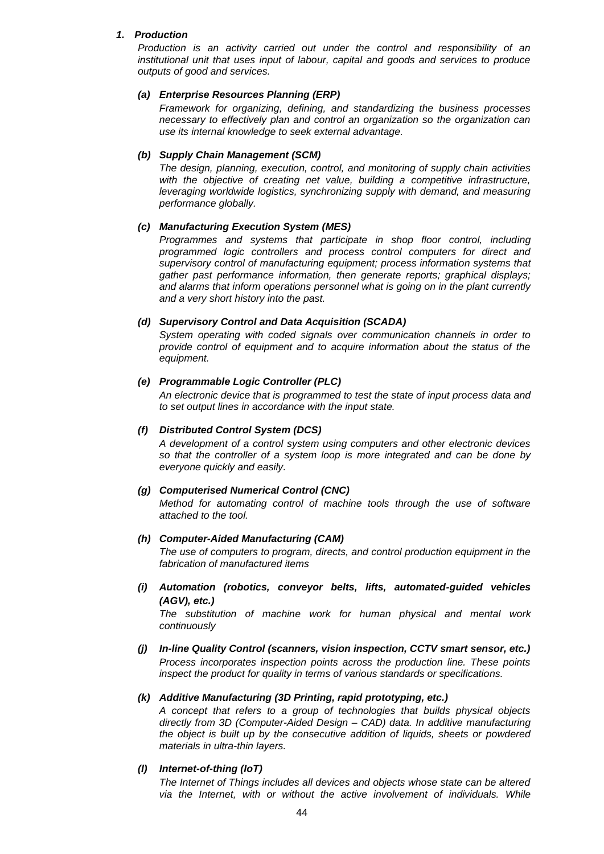### *1. Production*

*Production is an activity carried out under the control and responsibility of an institutional unit that uses input of labour, capital and goods and services to produce outputs of good and services.*

#### *(a) Enterprise Resources Planning (ERP)*

*Framework for organizing, defining, and standardizing the business processes necessary to effectively plan and control an organization so the organization can use its internal knowledge to seek external advantage.*

#### *(b) Supply Chain Management (SCM)*

*The design, planning, execution, control, and monitoring of supply chain activities*  with the objective of creating net value, building a competitive infrastructure, *leveraging worldwide logistics, synchronizing supply with demand, and measuring performance globally.* 

#### *(c) Manufacturing Execution System (MES)*

*Programmes and systems that participate in shop floor control, including programmed logic controllers and process control computers for direct and supervisory control of manufacturing equipment; process information systems that gather past performance information, then generate reports; graphical displays; and alarms that inform operations personnel what is going on in the plant currently and a very short history into the past.*

### *(d) Supervisory Control and Data Acquisition (SCADA)*

*System operating with coded signals over communication channels in order to provide control of equipment and to acquire information about the status of the equipment.*

### *(e) Programmable Logic Controller (PLC)*

*An electronic device that is programmed to test the state of input process data and to set output lines in accordance with the input state.*

### *(f) Distributed Control System (DCS)*

*A development of a control system using computers and other electronic devices so that the controller of a system loop is more integrated and can be done by everyone quickly and easily.*

#### *(g) Computerised Numerical Control (CNC)*

*Method for automating control of machine tools through the use of software attached to the tool.*

### *(h) Computer-Aided Manufacturing (CAM)*

*The use of computers to program, directs, and control production equipment in the fabrication of manufactured items*

*(i) Automation (robotics, conveyor belts, lifts, automated-guided vehicles (AGV), etc.)*

*The substitution of machine work for human physical and mental work continuously*

*(j) In-line Quality Control (scanners, vision inspection, CCTV smart sensor, etc.) Process incorporates inspection points across the production line. These points inspect the product for quality in terms of various standards or specifications.*

#### *(k) Additive Manufacturing (3D Printing, rapid prototyping, etc.)*

*A concept that refers to a group of technologies that builds physical objects directly from 3D (Computer-Aided Design – CAD) data. In additive manufacturing the object is built up by the consecutive addition of liquids, sheets or powdered materials in ultra-thin layers.*

#### *(l) Internet-of-thing (IoT)*

*The Internet of Things includes all devices and objects whose state can be altered*  via the Internet, with or without the active involvement of individuals. While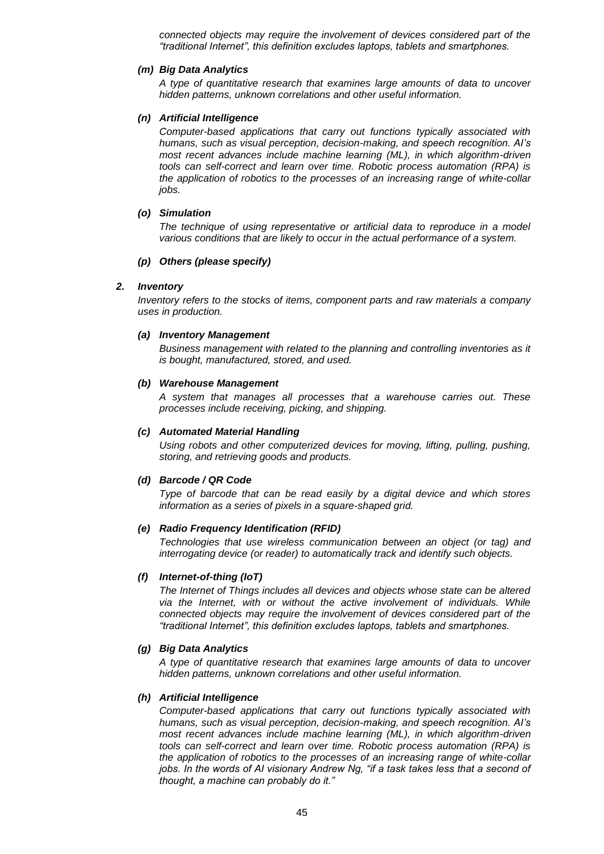*connected objects may require the involvement of devices considered part of the "traditional Internet", this definition excludes laptops, tablets and smartphones.*

#### *(m) Big Data Analytics*

*A type of quantitative research that examines large amounts of data to uncover hidden patterns, unknown correlations and other useful information.*

#### *(n) Artificial Intelligence*

*Computer-based applications that carry out functions typically associated with humans, such as visual perception, decision-making, and speech recognition. AI's most recent advances include machine learning (ML), in which algorithm-driven tools can self-correct and learn over time. Robotic process automation (RPA) is the application of robotics to the processes of an increasing range of white-collar jobs.*

#### *(o) Simulation*

*The technique of using representative or artificial data to reproduce in a model various conditions that are likely to occur in the actual performance of a system.*

#### *(p) Others (please specify)*

#### *2. Inventory*

*Inventory refers to the stocks of items, component parts and raw materials a company uses in production.*

#### *(a) Inventory Management*

*Business management with related to the planning and controlling inventories as it is bought, manufactured, stored, and used.*

#### *(b) Warehouse Management*

*A system that manages all processes that a warehouse carries out. These processes include receiving, picking, and shipping.*

#### *(c) Automated Material Handling*

*Using robots and other computerized devices for moving, lifting, pulling, pushing, storing, and retrieving goods and products.*

#### *(d) Barcode / QR Code*

*Type of barcode that can be read easily by a digital device and which stores information as a series of pixels in a square-shaped grid.*

#### *(e) Radio Frequency Identification (RFID)*

*Technologies that use wireless communication between an object (or tag) and interrogating device (or reader) to automatically track and identify such objects.*

#### *(f) Internet-of-thing (IoT)*

*The Internet of Things includes all devices and objects whose state can be altered via the Internet, with or without the active involvement of individuals. While connected objects may require the involvement of devices considered part of the "traditional Internet", this definition excludes laptops, tablets and smartphones.*

#### *(g) Big Data Analytics*

*A type of quantitative research that examines large amounts of data to uncover hidden patterns, unknown correlations and other useful information.*

#### *(h) Artificial Intelligence*

*Computer-based applications that carry out functions typically associated with humans, such as visual perception, decision-making, and speech recognition. AI's most recent advances include machine learning (ML), in which algorithm-driven tools can self-correct and learn over time. Robotic process automation (RPA) is the application of robotics to the processes of an increasing range of white-collar*  jobs. In the words of AI visionary Andrew Ng, "if a task takes less that a second of *thought, a machine can probably do it."*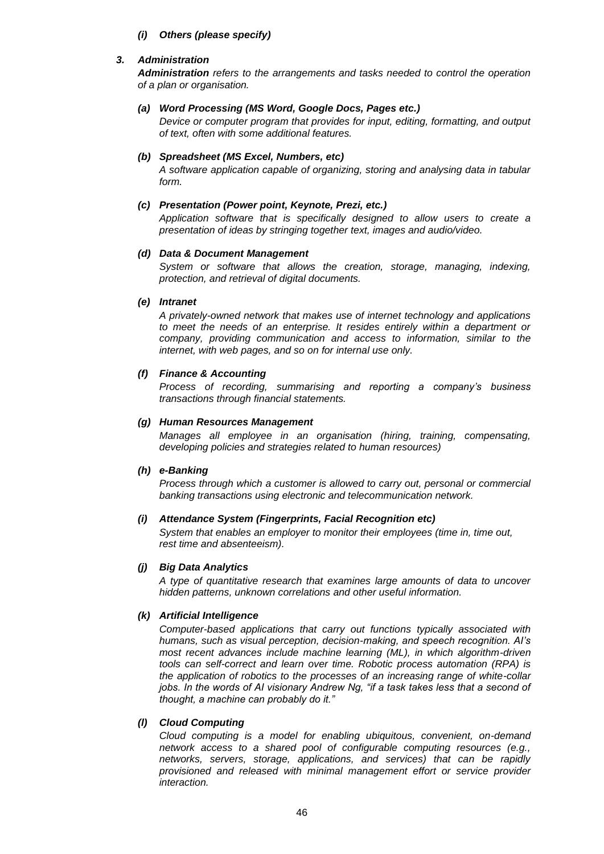*(i) Others (please specify)*

### *3. Administration*

*Administration refers to the arrangements and tasks needed to control the operation of a plan or organisation.*

### *(a) Word Processing (MS Word, Google Docs, Pages etc.)*

*Device or computer program that provides for input, editing, formatting, and output of text, often with some additional features.*

# *(b) Spreadsheet (MS Excel, Numbers, etc)*

*A software application capable of organizing, storing and analysing data in tabular form.*

### *(c) Presentation (Power point, Keynote, Prezi, etc.)*

*Application software that is specifically designed to allow users to create a presentation of ideas by stringing together text, images and audio/video.*

### *(d) Data & Document Management*

*System or software that allows the creation, storage, managing, indexing, protection, and retrieval of digital documents.*

### *(e) Intranet*

*A privately-owned network that makes use of internet technology and applications to meet the needs of an enterprise. It resides entirely within a department or company, providing communication and access to information, similar to the internet, with web pages, and so on for internal use only.*

### *(f) Finance & Accounting*

*Process of recording, summarising and reporting a company's business transactions through financial statements.*

### *(g) Human Resources Management*

*Manages all employee in an organisation (hiring, training, compensating, developing policies and strategies related to human resources)*

#### *(h) e-Banking*

*Process through which a customer is allowed to carry out, personal or commercial banking transactions using electronic and telecommunication network.*

#### *(i) Attendance System (Fingerprints, Facial Recognition etc)*

*System that enables an employer to monitor their employees (time in, time out, rest time and absenteeism).*

#### *(j) Big Data Analytics*

*A type of quantitative research that examines large amounts of data to uncover hidden patterns, unknown correlations and other useful information.*

#### *(k) Artificial Intelligence*

*Computer-based applications that carry out functions typically associated with humans, such as visual perception, decision-making, and speech recognition. AI's most recent advances include machine learning (ML), in which algorithm-driven tools can self-correct and learn over time. Robotic process automation (RPA) is the application of robotics to the processes of an increasing range of white-collar jobs. In the words of AI visionary Andrew Ng, "if a task takes less that a second of thought, a machine can probably do it."*

#### *(l) Cloud Computing*

*Cloud computing is a model for enabling ubiquitous, convenient, on-demand network access to a shared pool of configurable computing resources (e.g., networks, servers, storage, applications, and services) that can be rapidly provisioned and released with minimal management effort or service provider interaction.*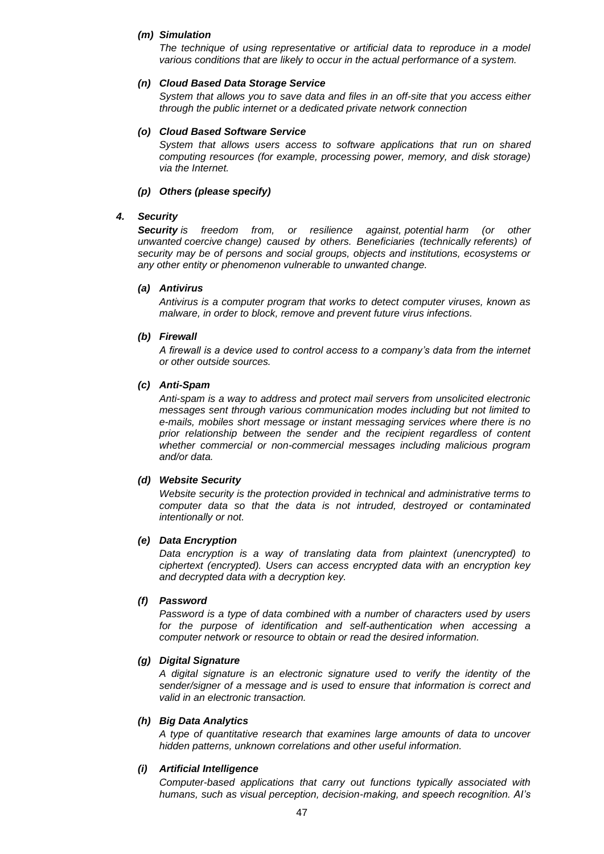#### *(m) Simulation*

*The technique of using representative or artificial data to reproduce in a model various conditions that are likely to occur in the actual performance of a system.*

#### *(n) Cloud Based Data Storage Service*

*System that allows you to save data and files in an off-site that you access either through the public internet or a dedicated private network connection*

#### *(o) Cloud Based Software Service*

*System that allows users access to software applications that run on shared computing resources (for example, processing power, memory, and disk storage) via the Internet.*

### *(p) Others (please specify)*

### *4. Security*

*Security is freedom from, or resilience against, [potential](https://en.wikipedia.org/wiki/Potential) harm (or other unwanted [coercive](https://en.wikipedia.org/wiki/Coercion) change) caused by others. Beneficiaries (technically [referents\)](https://en.wikipedia.org/wiki/Referent) of security may be of persons and social groups, objects and institutions, ecosystems or any other entity or phenomenon vulnerable to unwanted change.*

#### *(a) Antivirus*

*Antivirus is a computer program that works to detect computer viruses, known as malware, in order to block, remove and prevent future virus infections.*

### *(b) Firewall*

*A firewall is a device used to control access to a company's data from the internet or other outside sources.*

#### *(c) Anti-Spam*

*Anti-spam is a way to address and protect mail servers from unsolicited electronic messages sent through various communication modes including but not limited to e-mails, mobiles short message or instant messaging services where there is no prior relationship between the sender and the recipient regardless of content whether commercial or non-commercial messages including malicious program and/or data.*

#### *(d) Website Security*

*Website security is the protection provided in technical and administrative terms to computer data so that the data is not intruded, destroyed or contaminated intentionally or not.*

#### *(e) Data Encryption*

*Data encryption is a way of translating data from plaintext (unencrypted) to ciphertext (encrypted). Users can access encrypted data with an encryption key and decrypted data with a decryption key.*

#### *(f) Password*

*Password is a type of data combined with a number of characters used by users for the purpose of identification and self-authentication when accessing a computer network or resource to obtain or read the desired information.*

#### *(g) Digital Signature*

*A digital signature is an electronic signature used to verify the identity of the sender/signer of a message and is used to ensure that information is correct and valid in an electronic transaction.*

#### *(h) Big Data Analytics*

*A type of quantitative research that examines large amounts of data to uncover hidden patterns, unknown correlations and other useful information.*

#### *(i) Artificial Intelligence*

*Computer-based applications that carry out functions typically associated with humans, such as visual perception, decision-making, and speech recognition. AI's*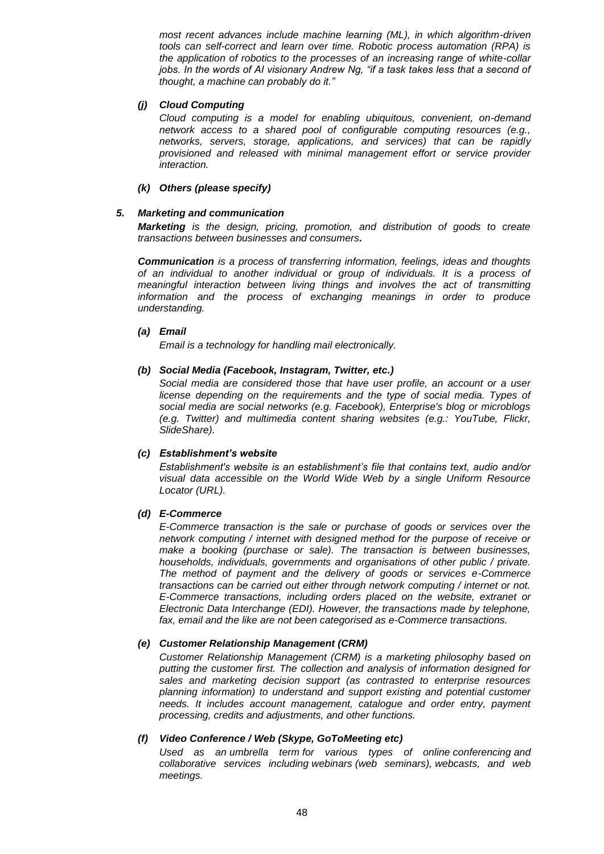*most recent advances include machine learning (ML), in which algorithm-driven tools can self-correct and learn over time. Robotic process automation (RPA) is the application of robotics to the processes of an increasing range of white-collar*  jobs. In the words of AI visionary Andrew Ng, "if a task takes less that a second of *thought, a machine can probably do it."*

#### *(j) Cloud Computing*

*Cloud computing is a model for enabling ubiquitous, convenient, on-demand network access to a shared pool of configurable computing resources (e.g., networks, servers, storage, applications, and services) that can be rapidly provisioned and released with minimal management effort or service provider interaction.* 

### *(k) Others (please specify)*

### *5. Marketing and communication*

*Marketing is the design, pricing, promotion, and distribution of goods to create transactions between businesses and consumers.*

*Communication is a process of transferring information, feelings, ideas and thoughts of an individual to another individual or group of individuals. It is a process of meaningful interaction between living things and involves the act of transmitting information and the process of exchanging meanings in order to produce understanding.*

#### *(a) Email*

*Email is a technology for handling mail electronically.*

#### *(b) Social Media (Facebook, Instagram, Twitter, etc.)*

*Social media are considered those that have user profile, an account or a user license depending on the requirements and the type of social media. Types of social media are social networks (e.g. Facebook), Enterprise's blog or microblogs (e.g. Twitter) and multimedia content sharing websites (e.g.: YouTube, Flickr, SlideShare).*

#### *(c) Establishment's website*

*Establishment's website is an establishment's file that contains text, audio and/or visual data accessible on the World Wide Web by a single Uniform Resource Locator (URL).*

# *(d) E-Commerce*

*E-Commerce transaction is the sale or purchase of goods or services over the network computing / internet with designed method for the purpose of receive or make a booking (purchase or sale). The transaction is between businesses, households, individuals, governments and organisations of other public / private. The method of payment and the delivery of goods or services e-Commerce transactions can be carried out either through network computing / internet or not. E-Commerce transactions, including orders placed on the website, extranet or Electronic Data Interchange (EDI). However, the transactions made by telephone, fax, email and the like are not been categorised as e-Commerce transactions.*

# *(e) Customer Relationship Management (CRM)*

*Customer Relationship Management (CRM) is a marketing philosophy based on putting the customer first. The collection and analysis of information designed for sales and marketing decision support (as contrasted to enterprise resources planning information) to understand and support existing and potential customer needs. It includes account management, catalogue and order entry, payment processing, credits and adjustments, and other functions.* 

# *(f) Video Conference / Web (Skype, GoToMeeting etc)*

*Used as an [umbrella term](https://en.wikipedia.org/wiki/Umbrella_term) for various types of online [conferencing](https://en.wikipedia.org/wiki/Conference) and collaborative services including webinars (web seminars), [webcasts,](https://en.wikipedia.org/wiki/Webcasts) and web meetings.*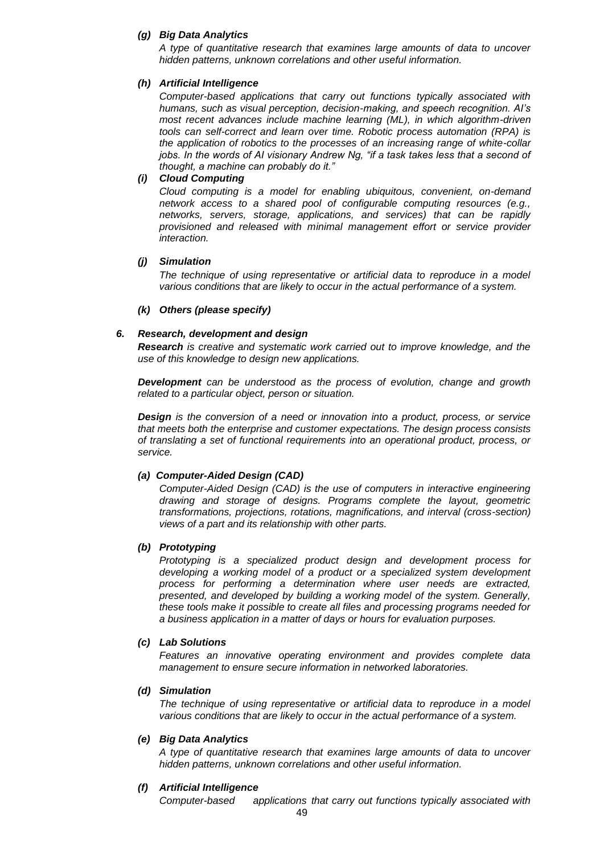### *(g) Big Data Analytics*

*A type of quantitative research that examines large amounts of data to uncover hidden patterns, unknown correlations and other useful information.*

#### *(h) Artificial Intelligence*

*Computer-based applications that carry out functions typically associated with humans, such as visual perception, decision-making, and speech recognition. AI's most recent advances include machine learning (ML), in which algorithm-driven tools can self-correct and learn over time. Robotic process automation (RPA) is the application of robotics to the processes of an increasing range of white-collar jobs. In the words of AI visionary Andrew Ng, "if a task takes less that a second of thought, a machine can probably do it."*

#### *(i) Cloud Computing*

*Cloud computing is a model for enabling ubiquitous, convenient, on-demand network access to a shared pool of configurable computing resources (e.g., networks, servers, storage, applications, and services) that can be rapidly provisioned and released with minimal management effort or service provider interaction.* 

#### *(j) Simulation*

*The technique of using representative or artificial data to reproduce in a model various conditions that are likely to occur in the actual performance of a system.*

#### *(k) Others (please specify)*

#### *6. Research, development and design*

*Research is creative and systematic work carried out to improve knowledge, and the use of this knowledge to design new applications.*

*Development can be understood as the process of evolution, change and growth related to a particular object, person or situation.*

*Design is the conversion of a need or innovation into a product, process, or service that meets both the enterprise and customer expectations. The design process consists of translating a set of functional requirements into an operational product, process, or service.*

### *(a) Computer-Aided Design (CAD)*

*Computer-Aided Design (CAD) is the use of computers in interactive engineering drawing and storage of designs. Programs complete the layout, geometric transformations, projections, rotations, magnifications, and interval (cross-section) views of a part and its relationship with other parts.*

#### *(b) Prototyping*

*Prototyping is a specialized product design and development process for developing a working model of a product or a specialized system development process for performing a determination where user needs are extracted, presented, and developed by building a working model of the system. Generally, these tools make it possible to create all files and processing programs needed for a business application in a matter of days or hours for evaluation purposes.*

#### *(c) Lab Solutions*

*Features an innovative operating environment and provides complete data management to ensure secure information in networked laboratories.*

#### *(d) Simulation*

*The technique of using representative or artificial data to reproduce in a model various conditions that are likely to occur in the actual performance of a system.*

#### *(e) Big Data Analytics*

*A type of quantitative research that examines large amounts of data to uncover hidden patterns, unknown correlations and other useful information.*

#### *(f) Artificial Intelligence*

*Computer-based applications that carry out functions typically associated with*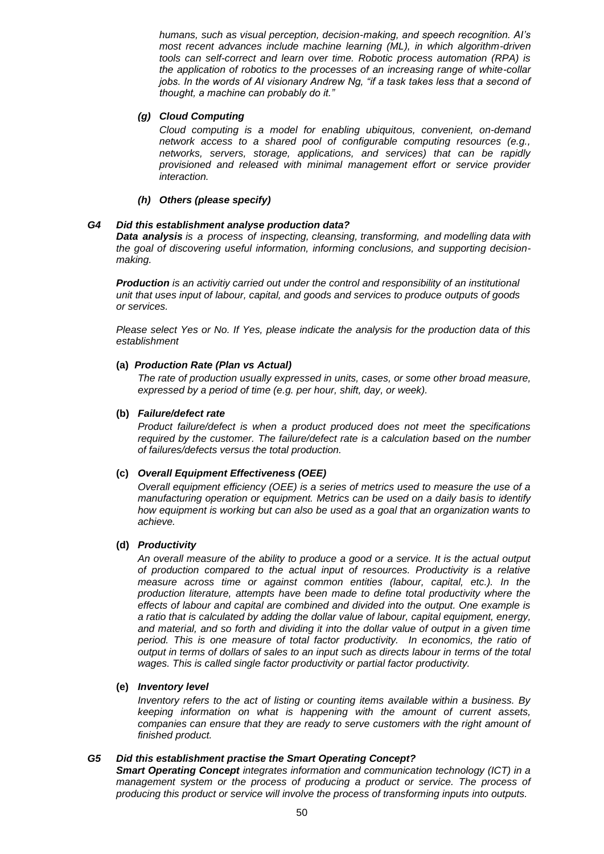*humans, such as visual perception, decision-making, and speech recognition. AI's most recent advances include machine learning (ML), in which algorithm-driven tools can self-correct and learn over time. Robotic process automation (RPA) is the application of robotics to the processes of an increasing range of white-collar jobs. In the words of AI visionary Andrew Ng, "if a task takes less that a second of thought, a machine can probably do it."*

### *(g) Cloud Computing*

*Cloud computing is a model for enabling ubiquitous, convenient, on-demand network access to a shared pool of configurable computing resources (e.g., networks, servers, storage, applications, and services) that can be rapidly provisioned and released with minimal management effort or service provider interaction.* 

### *(h) Others (please specify)*

### *G4 Did this establishment analyse production data?*

*Data analysis is a process of inspecting, [cleansing,](https://en.wikipedia.org/wiki/Data_cleansing) [transforming,](https://en.wikipedia.org/wiki/Data_transformation) and [modelling](https://en.wikipedia.org/wiki/Data_modeling) [data](https://en.wikipedia.org/wiki/Data) with the goal of discovering useful information, informing conclusions, and supporting decisionmaking.*

*Production is an activitiy carried out under the control and responsibility of an institutional unit that uses input of labour, capital, and goods and services to produce outputs of goods or services.*

*Please select Yes or No. If Yes, please indicate the analysis for the production data of this establishment*

### **(a)** *Production Rate (Plan vs Actual)*

*The rate of production usually expressed in units, cases, or some other broad measure, expressed by a period of time (e.g. per hour, shift, day, or week).*

#### **(b)** *Failure/defect rate*

*Product failure/defect is when a product produced does not meet the specifications required by the customer. The failure/defect rate is a calculation based on the number of failures/defects versus the total production.*

# **(c)** *Overall Equipment Effectiveness (OEE)*

*Overall equipment efficiency (OEE) is a series of metrics used to measure the use of a manufacturing operation or equipment. Metrics can be used on a daily basis to identify how equipment is working but can also be used as a goal that an organization wants to achieve.*

#### **(d)** *Productivity*

*An overall measure of the ability to produce a good or a service. It is the actual output of production compared to the actual input of resources. Productivity is a relative measure across time or against common entities (labour, capital, etc.). In the production literature, attempts have been made to define total productivity where the effects of labour and capital are combined and divided into the output. One example is a ratio that is calculated by adding the dollar value of labour, capital equipment, energy, and material, and so forth and dividing it into the dollar value of output in a given time*  period. This is one measure of total factor productivity. In economics, the ratio of *output in terms of dollars of sales to an input such as directs labour in terms of the total wages. This is called single factor productivity or partial factor productivity.*

#### **(e)** *Inventory level*

*Inventory refers to the act of listing or counting items available within a business. By keeping information on what is happening with the amount of current assets, companies can ensure that they are ready to serve customers with the right amount of finished product.*

#### *G5 Did this establishment practise the Smart Operating Concept?*

*Smart Operating Concept integrates information and communication technology (ICT) in a management system or the process of producing a product or service. The process of producing this product or service will involve the process of transforming inputs into outputs.*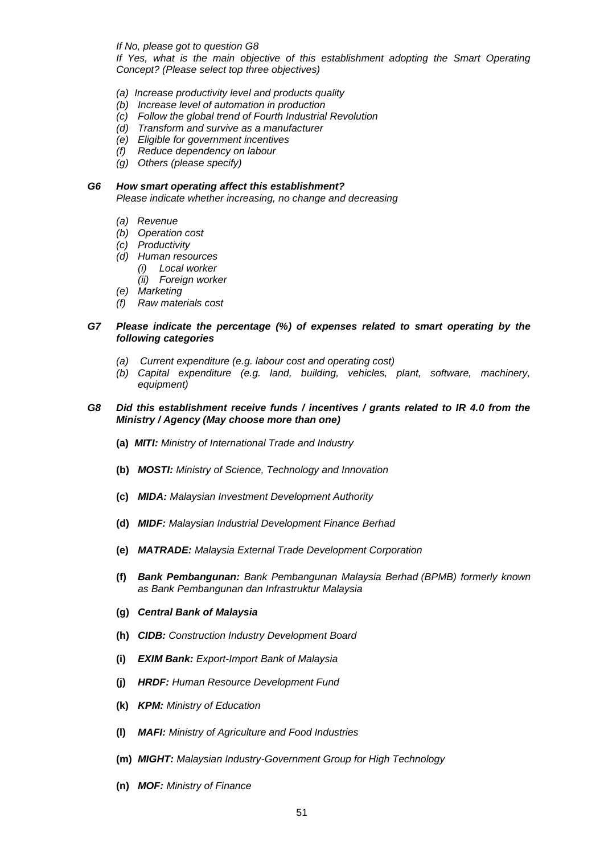*If No, please got to question G8*

*If Yes, what is the main objective of this establishment adopting the Smart Operating Concept? (Please select top three objectives)*

- *(a) Increase productivity level and products quality*
- *(b) Increase level of automation in production*
- *(c) Follow the global trend of Fourth Industrial Revolution*
- *(d) Transform and survive as a manufacturer*
- *(e) Eligible for government incentives*
- *(f) Reduce dependency on labour*
- *(g) Others (please specify)*

#### *G6 How smart operating affect this establishment?*

*Please indicate whether increasing, no change and decreasing*

- *(a) Revenue*
- *(b) Operation cost*
- *(c) Productivity*
- *(d) Human resources*
	- *(i) Local worker*
	- *(ii) Foreign worker*
- *(e) Marketing*
- *(f) Raw materials cost*

#### *G7 Please indicate the percentage (%) of expenses related to smart operating by the following categories*

- *(a) Current expenditure (e.g. labour cost and operating cost)*
- *(b) Capital expenditure (e.g. land, building, vehicles, plant, software, machinery, equipment)*

#### *G8 Did this establishment receive funds / incentives / grants related to IR 4.0 from the Ministry / Agency (May choose more than one)*

- **(a)** *MITI: Ministry of International Trade and Industry*
- **(b)** *MOSTI: Ministry of Science, Technology and Innovation*
- **(c)** *MIDA: Malaysian Investment Development Authority*
- **(d)** *MIDF: Malaysian Industrial Development Finance Berhad*
- **(e)** *MATRADE: Malaysia External Trade Development Corporation*
- **(f)** *Bank Pembangunan: Bank Pembangunan Malaysia Berhad (BPMB) formerly known as Bank Pembangunan dan Infrastruktur Malaysia*
- **(g)** *Central Bank of Malaysia*
- **(h)** *CIDB: Construction Industry Development Board*
- **(i)** *EXIM Bank: Export-Import Bank of Malaysia*
- **(j)** *HRDF: Human Resource Development Fund*
- **(k)** *KPM: Ministry of Education*
- **(l)** *MAFI: Ministry of Agriculture and Food Industries*
- **(m)** *MIGHT: Malaysian Industry-Government Group for High Technology*
- **(n)** *MOF: Ministry of Finance*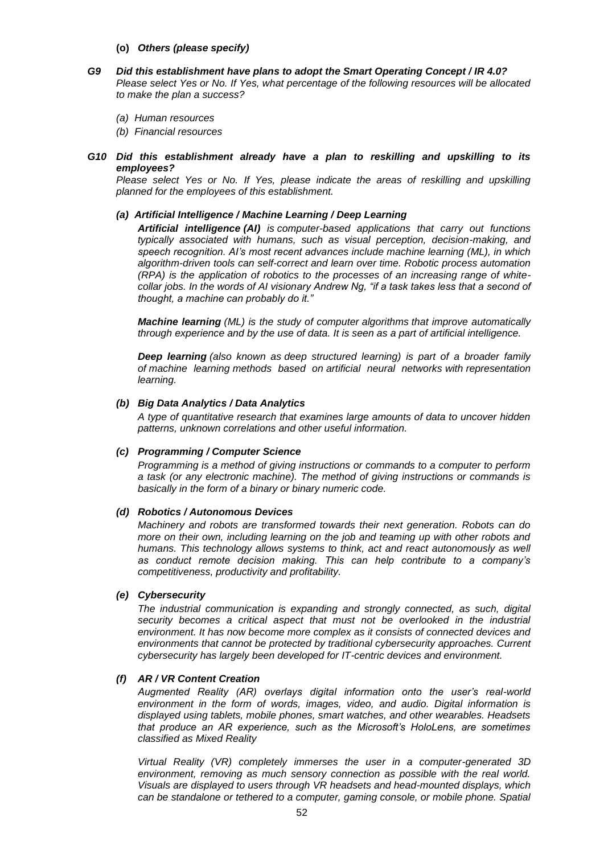- **(o)** *Others (please specify)*
- *G9 Did this establishment have plans to adopt the Smart Operating Concept / IR 4.0? Please select Yes or No. If Yes, what percentage of the following resources will be allocated to make the plan a success?*
	- *(a) Human resources*
	- *(b) Financial resources*
- *G10 Did this establishment already have a plan to reskilling and upskilling to its employees?*

Please select Yes or No. If Yes, please indicate the areas of reskilling and upskilling *planned for the employees of this establishment.*

#### *(a) Artificial Intelligence / Machine Learning / Deep Learning*

*Artificial intelligence (AI) is computer-based applications that carry out functions typically associated with humans, such as visual perception, decision-making, and speech recognition. AI's most recent advances include machine learning (ML), in which algorithm-driven tools can self-correct and learn over time. Robotic process automation (RPA) is the application of robotics to the processes of an increasing range of whitecollar jobs. In the words of AI visionary Andrew Ng, "if a task takes less that a second of thought, a machine can probably do it."*

*Machine learning (ML) is the study of computer [algorithms](https://en.wikipedia.org/wiki/Algorithm) that improve automatically through experience and by the use of data. It is seen as a part of [artificial intelligence.](https://en.wikipedia.org/wiki/Artificial_intelligence)*

*Deep learning (also known as deep structured learning) is part of a broader family of [machine learning](https://en.wikipedia.org/wiki/Machine_learning) methods based on artificial [neural networks](https://en.wikipedia.org/wiki/Artificial_neural_networks) with [representation](https://en.wikipedia.org/wiki/Representation_learning)  [learning.](https://en.wikipedia.org/wiki/Representation_learning)*

#### *(b) Big Data Analytics / Data Analytics*

*A type of quantitative research that examines large amounts of data to uncover hidden patterns, unknown correlations and other useful information.*

#### *(c) Programming / Computer Science*

*Programming is a method of giving instructions or commands to a computer to perform a task (or any electronic machine). The method of giving instructions or commands is basically in the form of a binary or binary numeric code.*

#### *(d) Robotics / Autonomous Devices*

*Machinery and robots are transformed towards their next generation. Robots can do more on their own, including learning on the job and teaming up with other robots and humans. This technology allows systems to think, act and react autonomously as well as conduct remote decision making. This can help contribute to a company's competitiveness, productivity and profitability.*

#### *(e) Cybersecurity*

*The industrial communication is expanding and strongly connected, as such, digital security becomes a critical aspect that must not be overlooked in the industrial environment. It has now become more complex as it consists of connected devices and environments that cannot be protected by traditional cybersecurity approaches. Current cybersecurity has largely been developed for IT-centric devices and environment.*

#### *(f) AR / VR Content Creation*

*Augmented Reality (AR) overlays digital information onto the user's real-world environment in the form of words, images, video, and audio. Digital information is displayed using tablets, mobile phones, smart watches, and other wearables. Headsets that produce an AR experience, such as the Microsoft's HoloLens, are sometimes classified as Mixed Reality*

*Virtual Reality (VR) completely immerses the user in a computer-generated 3D environment, removing as much sensory connection as possible with the real world. Visuals are displayed to users through VR headsets and head-mounted displays, which can be standalone or tethered to a computer, gaming console, or mobile phone. Spatial*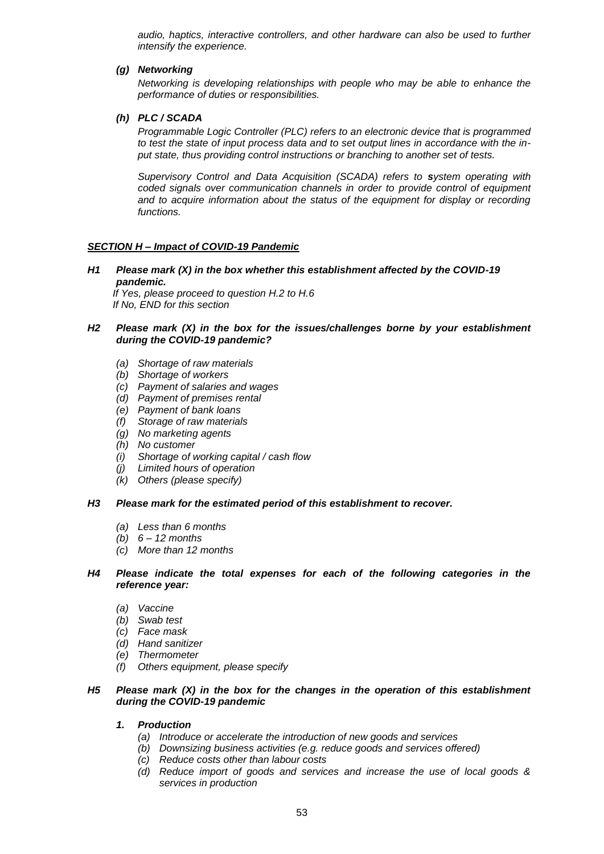*audio, haptics, interactive controllers, and other hardware can also be used to further intensify the experience.*

### *(g) Networking*

*Networking is developing relationships with people who may be able to enhance the performance of duties or responsibilities.*

### *(h) PLC / SCADA*

*Programmable Logic Controller (PLC) refers to an electronic device that is programmed to test the state of input process data and to set output lines in accordance with the input state, thus providing control instructions or branching to another set of tests.*

*Supervisory Control and Data Acquisition (SCADA) refers to system operating with coded signals over communication channels in order to provide control of equipment and to acquire information about the status of the equipment for display or recording functions.*

# *SECTION H – Impact of COVID-19 Pandemic*

*H1 Please mark (X) in the box whether this establishment affected by the COVID-19 pandemic.*

 *If Yes, please proceed to question H.2 to H.6 If No, END for this section*

#### *H2 Please mark (X) in the box for the issues/challenges borne by your establishment during the COVID-19 pandemic?*

- *(a) Shortage of raw materials*
- *(b) Shortage of workers*
- *(c) Payment of salaries and wages*
- *(d) Payment of premises rental*
- *(e) Payment of bank loans*
- *(f) Storage of raw materials*
- *(g) No marketing agents*
- *(h) No customer*
- *(i) Shortage of working capital / cash flow*
- *(j) Limited hours of operation*
- *(k) Others (please specify)*

#### *H3 Please mark for the estimated period of this establishment to recover.*

- *(a) Less than 6 months*
- *(b) 6 – 12 months*
- *(c) More than 12 months*

#### *H4 Please indicate the total expenses for each of the following categories in the reference year:*

- *(a) Vaccine*
- *(b) Swab test*
- *(c) Face mask*
- *(d) Hand sanitizer*
- *(e) Thermometer*
- *(f) Others equipment, please specify*

#### *H5 Please mark (X) in the box for the changes in the operation of this establishment during the COVID-19 pandemic*

- *1. Production*
	- *(a) Introduce or accelerate the introduction of new goods and services*
	- *(b) Downsizing business activities (e.g. reduce goods and services offered)*
	- *(c) Reduce costs other than labour costs*
	- *(d) Reduce import of goods and services and increase the use of local goods & services in production*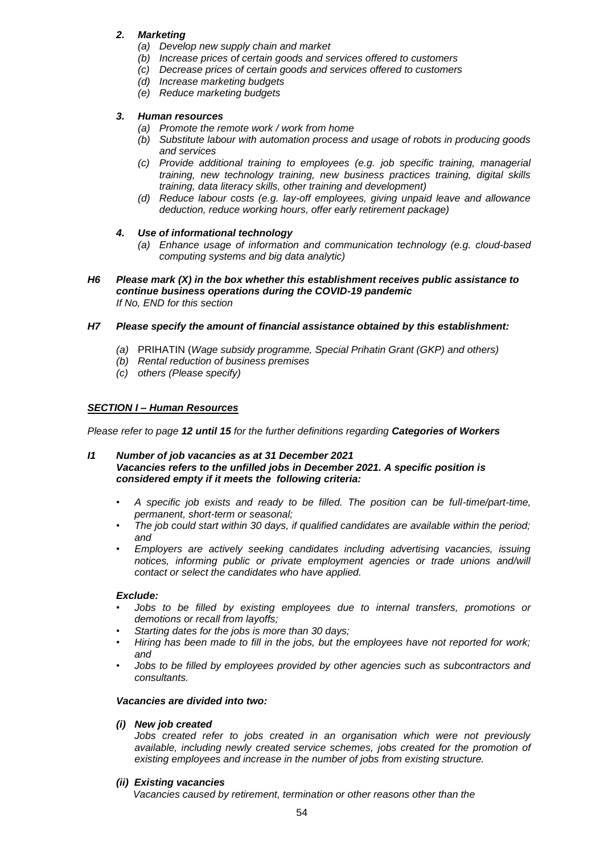# *2. Marketing*

- *(a) Develop new supply chain and market*
- *(b) Increase prices of certain goods and services offered to customers*
- *(c) Decrease prices of certain goods and services offered to customers*
- *(d) Increase marketing budgets*
- *(e) Reduce marketing budgets*

# *3. Human resources*

- *(a) Promote the remote work / work from home*
- *(b) Substitute labour with automation process and usage of robots in producing goods and services*
- *(c) Provide additional training to employees (e.g. job specific training, managerial training, new technology training, new business practices training, digital skills training, data literacy skills, other training and development)*
- *(d) Reduce labour costs (e.g. lay-off employees, giving unpaid leave and allowance deduction, reduce working hours, offer early retirement package)*

# *4. Use of informational technology*

- *(a) Enhance usage of information and communication technology (e.g. cloud-based computing systems and big data analytic)*
- *H6 Please mark (X) in the box whether this establishment receives public assistance to continue business operations during the COVID-19 pandemic If No, END for this section*

# *H7 Please specify the amount of financial assistance obtained by this establishment:*

- *(a)* PRIHATIN (*Wage subsidy programme, Special Prihatin Grant (GKP) and others)*
- *(b) Rental reduction of business premises*
- *(c) others (Please specify)*

# *SECTION I – Human Resources*

*Please refer to page 12 until 15 for the further definitions regarding Categories of Workers*

### *I1 Number of job vacancies as at 31 December 2021 Vacancies refers to the unfilled jobs in December 2021. A specific position is considered empty if it meets the following criteria:*

- *A specific job exists and ready to be filled. The position can be full-time/part-time, permanent, short-term or seasonal;*
- *The job could start within 30 days, if qualified candidates are available within the period; and*
- *Employers are actively seeking candidates including advertising vacancies, issuing*  notices, informing public or private employment agencies or trade unions and/will *contact or select the candidates who have applied.*

# *Exclude:*

- *Jobs to be filled by existing employees due to internal transfers, promotions or demotions or recall from layoffs;*
- *Starting dates for the jobs is more than 30 days;*
- *Hiring has been made to fill in the jobs, but the employees have not reported for work; and*
- *Jobs to be filled by employees provided by other agencies such as subcontractors and consultants.*

# *Vacancies are divided into two:*

# *(i) New job created*

*Jobs created refer to jobs created in an organisation which were not previously available, including newly created service schemes, jobs created for the promotion of existing employees and increase in the number of jobs from existing structure.*

# *(ii) Existing vacancies*

 *Vacancies caused by retirement, termination or other reasons other than the*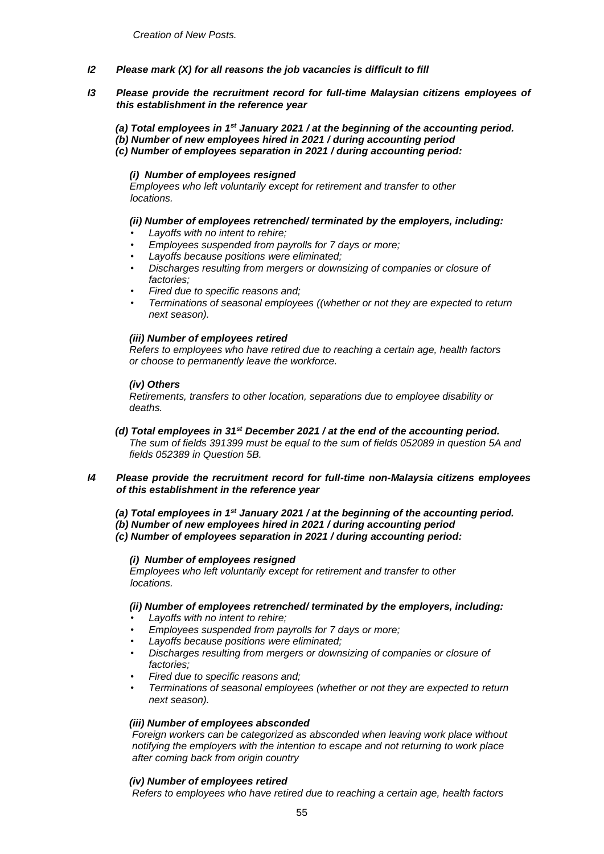- *I2 Please mark (X) for all reasons the job vacancies is difficult to fill*
- *I3 Please provide the recruitment record for full-time Malaysian citizens employees of this establishment in the reference year*

 *(a) Total employees in 1st January 2021 / at the beginning of the accounting period. (b) Number of new employees hired in 2021 / during accounting period (c) Number of employees separation in 2021 / during accounting period:*

# *(i) Number of employees resigned*

 *Employees who left voluntarily except for retirement and transfer to other locations.*

#### *(ii) Number of employees retrenched/ terminated by the employers, including:*

- *Layoffs with no intent to rehire;*
- *Employees suspended from payrolls for 7 days or more;*
- *Layoffs because positions were eliminated;*
- *Discharges resulting from mergers or downsizing of companies or closure of factories;*
- *Fired due to specific reasons and;*
- *Terminations of seasonal employees ((whether or not they are expected to return next season).*

#### *(iii) Number of employees retired*

 *Refers to employees who have retired due to reaching a certain age, health factors or choose to permanently leave the workforce.*

#### *(iv) Others*

 *Retirements, transfers to other location, separations due to employee disability or deaths.*

 *(d) Total employees in 31st December 2021 / at the end of the accounting period. The sum of fields 391399 must be equal to the sum of fields 052089 in question 5A and fields 052389 in Question 5B.* 

### *I4 Please provide the recruitment record for full-time non-Malaysia citizens employees of this establishment in the reference year*

- *(a) Total employees in 1st January 2021 / at the beginning of the accounting period.*
- *(b) Number of new employees hired in 2021 / during accounting period*

 *(c) Number of employees separation in 2021 / during accounting period:* 

#### *(i) Number of employees resigned*

 *Employees who left voluntarily except for retirement and transfer to other locations.*

# *(ii) Number of employees retrenched/ terminated by the employers, including:*

- *Layoffs with no intent to rehire;*
- *Employees suspended from payrolls for 7 days or more;*
- *Layoffs because positions were eliminated;*
- *Discharges resulting from mergers or downsizing of companies or closure of factories;*
- *Fired due to specific reasons and;*
- *Terminations of seasonal employees (whether or not they are expected to return next season).*

#### *(iii) Number of employees absconded*

 *Foreign workers can be categorized as absconded when leaving work place without notifying the employers with the intention to escape and not returning to work place after coming back from origin country*

#### *(iv) Number of employees retired*

 *Refers to employees who have retired due to reaching a certain age, health factors*